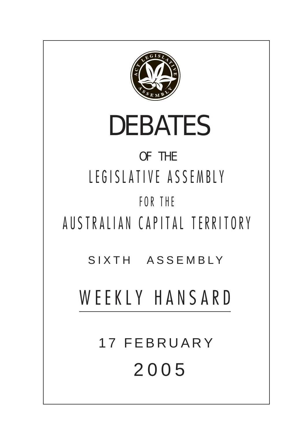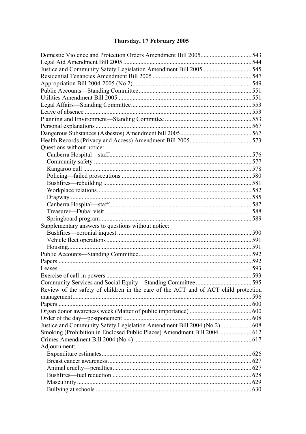# Thursday, 17 February 2005

| Justice and Community Safety Legislation Amendment Bill 2005  545                   |  |
|-------------------------------------------------------------------------------------|--|
|                                                                                     |  |
|                                                                                     |  |
|                                                                                     |  |
|                                                                                     |  |
|                                                                                     |  |
|                                                                                     |  |
|                                                                                     |  |
|                                                                                     |  |
|                                                                                     |  |
|                                                                                     |  |
| Questions without notice:                                                           |  |
|                                                                                     |  |
|                                                                                     |  |
|                                                                                     |  |
|                                                                                     |  |
|                                                                                     |  |
|                                                                                     |  |
|                                                                                     |  |
|                                                                                     |  |
|                                                                                     |  |
|                                                                                     |  |
| Supplementary answers to questions without notice:                                  |  |
|                                                                                     |  |
|                                                                                     |  |
|                                                                                     |  |
|                                                                                     |  |
|                                                                                     |  |
|                                                                                     |  |
|                                                                                     |  |
|                                                                                     |  |
| Review of the safety of children in the care of the ACT and of ACT child protection |  |
|                                                                                     |  |
|                                                                                     |  |
|                                                                                     |  |
|                                                                                     |  |
| Justice and Community Safety Legislation Amendment Bill 2004 (No 2) 608             |  |
| Smoking (Prohibition in Enclosed Public Places) Amendment Bill 2004 612             |  |
|                                                                                     |  |
| Adjournment:                                                                        |  |
|                                                                                     |  |
|                                                                                     |  |
|                                                                                     |  |
|                                                                                     |  |
|                                                                                     |  |
|                                                                                     |  |
|                                                                                     |  |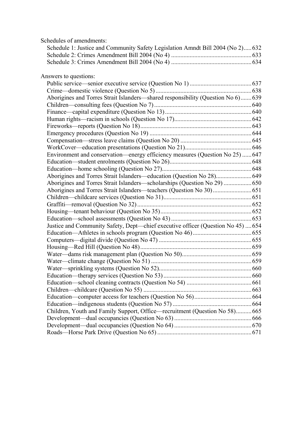| Schedules of amendments:                                                         |  |
|----------------------------------------------------------------------------------|--|
| Schedule 1: Justice and Community Safety Legislation Amndt Bill 2004 (No 2) 632  |  |
|                                                                                  |  |
|                                                                                  |  |
|                                                                                  |  |
| Answers to questions:                                                            |  |
|                                                                                  |  |
|                                                                                  |  |
| Aborigines and Torres Strait Islanders—shared responsibility (Question No 6) 639 |  |
|                                                                                  |  |
|                                                                                  |  |
|                                                                                  |  |
|                                                                                  |  |
|                                                                                  |  |
|                                                                                  |  |
|                                                                                  |  |
| Environment and conservation—energy efficiency measures (Question No 25)  647    |  |
|                                                                                  |  |
|                                                                                  |  |
|                                                                                  |  |
| Aborigines and Torres Strait Islanders—scholarships (Question No 29)  650        |  |
|                                                                                  |  |
|                                                                                  |  |
|                                                                                  |  |
|                                                                                  |  |
|                                                                                  |  |
| Justice and Community Safety, Dept—chief executive officer (Question No 45)  654 |  |
|                                                                                  |  |
|                                                                                  |  |
|                                                                                  |  |
|                                                                                  |  |
|                                                                                  |  |
|                                                                                  |  |
|                                                                                  |  |
|                                                                                  |  |
|                                                                                  |  |
|                                                                                  |  |
|                                                                                  |  |
| Children, Youth and Family Support, Office—recruitment (Question No 58) 665      |  |
|                                                                                  |  |
|                                                                                  |  |
|                                                                                  |  |
|                                                                                  |  |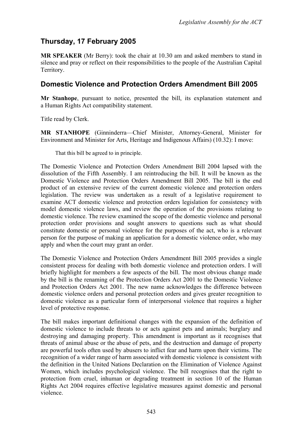# **Thursday, 17 February 2005**

**MR SPEAKER** (Mr Berry): took the chair at 10.30 am and asked members to stand in silence and pray or reflect on their responsibilities to the people of the Australian Capital Territory.

### <span id="page-3-0"></span>**Domestic Violence and Protection Orders Amendment Bill 2005**

**Mr Stanhope**, pursuant to notice, presented the bill, its explanation statement and a Human Rights Act compatibility statement.

Title read by Clerk.

**MR STANHOPE** (Ginninderra—Chief Minister, Attorney-General, Minister for Environment and Minister for Arts, Heritage and Indigenous Affairs) (10.32): I move:

That this bill be agreed to in principle.

The Domestic Violence and Protection Orders Amendment Bill 2004 lapsed with the dissolution of the Fifth Assembly. I am reintroducing the bill. It will be known as the Domestic Violence and Protection Orders Amendment Bill 2005. The bill is the end product of an extensive review of the current domestic violence and protection orders legislation. The review was undertaken as a result of a legislative requirement to examine ACT domestic violence and protection orders legislation for consistency with model domestic violence laws, and review the operation of the provisions relating to domestic violence. The review examined the scope of the domestic violence and personal protection order provisions and sought answers to questions such as what should constitute domestic or personal violence for the purposes of the act, who is a relevant person for the purpose of making an application for a domestic violence order, who may apply and when the court may grant an order.

The Domestic Violence and Protection Orders Amendment Bill 2005 provides a single consistent process for dealing with both domestic violence and protection orders. I will briefly highlight for members a few aspects of the bill. The most obvious change made by the bill is the renaming of the Protection Orders Act 2001 to the Domestic Violence and Protection Orders Act 2001. The new name acknowledges the difference between domestic violence orders and personal protection orders and gives greater recognition to domestic violence as a particular form of interpersonal violence that requires a higher level of protective response.

The bill makes important definitional changes with the expansion of the definition of domestic violence to include threats to or acts against pets and animals; burglary and destroying and damaging property. This amendment is important as it recognises that threats of animal abuse or the abuse of pets, and the destruction and damage of property are powerful tools often used by abusers to inflict fear and harm upon their victims. The recognition of a wider range of harm associated with domestic violence is consistent with the definition in the United Nations Declaration on the Elimination of Violence Against Women, which includes psychological violence. The bill recognises that the right to protection from cruel, inhuman or degrading treatment in section 10 of the Human Rights Act 2004 requires effective legislative measures against domestic and personal violence.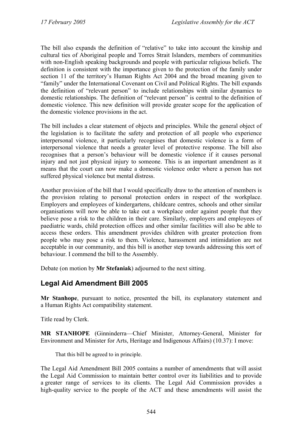The bill also expands the definition of "relative" to take into account the kinship and cultural ties of Aboriginal people and Torres Strait Islanders, members of communities with non-English speaking backgrounds and people with particular religious beliefs. The definition is consistent with the importance given to the protection of the family under section 11 of the territory's Human Rights Act 2004 and the broad meaning given to "family" under the International Covenant on Civil and Political Rights. The bill expands the definition of "relevant person" to include relationships with similar dynamics to domestic relationships. The definition of "relevant person" is central to the definition of domestic violence. This new definition will provide greater scope for the application of the domestic violence provisions in the act.

The bill includes a clear statement of objects and principles. While the general object of the legislation is to facilitate the safety and protection of all people who experience interpersonal violence, it particularly recognises that domestic violence is a form of interpersonal violence that needs a greater level of protective response. The bill also recognises that a person's behaviour will be domestic violence if it causes personal injury and not just physical injury to someone. This is an important amendment as it means that the court can now make a domestic violence order where a person has not suffered physical violence but mental distress.

Another provision of the bill that I would specifically draw to the attention of members is the provision relating to personal protection orders in respect of the workplace. Employers and employees of kindergartens, childcare centres, schools and other similar organisations will now be able to take out a workplace order against people that they believe pose a risk to the children in their care. Similarly, employers and employees of paediatric wards, child protection offices and other similar facilities will also be able to access these orders. This amendment provides children with greater protection from people who may pose a risk to them. Violence, harassment and intimidation are not acceptable in our community, and this bill is another step towards addressing this sort of behaviour. I commend the bill to the Assembly.

Debate (on motion by **Mr Stefaniak**) adjourned to the next sitting.

## <span id="page-4-0"></span>**Legal Aid Amendment Bill 2005**

**Mr Stanhope**, pursuant to notice, presented the bill, its explanatory statement and a Human Rights Act compatibility statement.

Title read by Clerk.

**MR STANHOPE** (Ginninderra—Chief Minister, Attorney-General, Minister for Environment and Minister for Arts, Heritage and Indigenous Affairs) (10.37): I move:

That this bill be agreed to in principle.

The Legal Aid Amendment Bill 2005 contains a number of amendments that will assist the Legal Aid Commission to maintain better control over its liabilities and to provide a greater range of services to its clients. The Legal Aid Commission provides a high-quality service to the people of the ACT and these amendments will assist the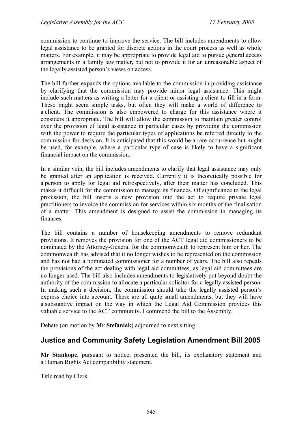commission to continue to improve the service. The bill includes amendments to allow legal assistance to be granted for discrete actions in the court process as well as whole matters. For example, it may be appropriate to provide legal aid to pursue general access arrangements in a family law matter, but not to provide it for an unreasonable aspect of the legally assisted person's views on access.

The bill further expands the options available to the commission in providing assistance by clarifying that the commission may provide minor legal assistance. This might include such matters as writing a letter for a client or assisting a client to fill in a form. These might seem simple tasks, but often they will make a world of difference to a client. The commission is also empowered to charge for this assistance where it considers it appropriate. The bill will allow the commission to maintain greater control over the provision of legal assistance in particular cases by providing the commission with the power to require the particular types of applications be referred directly to the commission for decision. It is anticipated that this would be a rare occurrence but might be used, for example, where a particular type of case is likely to have a significant financial impact on the commission.

In a similar vein, the bill includes amendments to clarify that legal assistance may only be granted after an application is received. Currently it is theoretically possible for a person to apply for legal aid retrospectively, after their matter has concluded. This makes it difficult for the commission to manage its finances. Of significance to the legal profession, the bill inserts a new provision into the act to require private legal practitioners to invoice the commission for services within six months of the finalisation of a matter. This amendment is designed to assist the commission in managing its finances.

The bill contains a number of housekeeping amendments to remove redundant provisions. It removes the provision for one of the ACT legal aid commissioners to be nominated by the Attorney-General for the commonwealth to represent him or her. The commonwealth has advised that it no longer wishes to be represented on the commission and has not had a nominated commissioner for a number of years. The bill also repeals the provisions of the act dealing with legal aid committees, as legal aid committees are no longer used. The bill also includes amendments to legislatively put beyond doubt the authority of the commission to allocate a particular solicitor for a legally assisted person. In making such a decision, the commission should take the legally assisted person's express choice into account. These are all quite small amendments, but they will have a substantive impact on the way in which the Legal Aid Commission provides this valuable service to the ACT community. I commend the bill to the Assembly.

Debate (on motion by **Mr Stefaniak**) adjourned to next sitting.

# <span id="page-5-0"></span>**Justice and Community Safety Legislation Amendment Bill 2005**

**Mr Stanhope**, pursuant to notice, presented the bill, its explanatory statement and a Human Rights Act compatibility statement.

Title read by Clerk.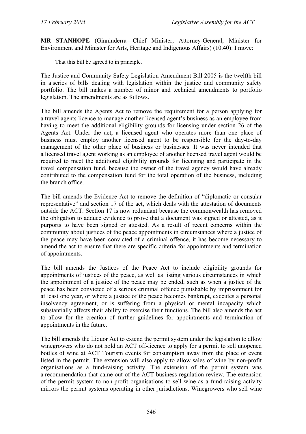**MR STANHOPE** (Ginninderra—Chief Minister, Attorney-General, Minister for Environment and Minister for Arts, Heritage and Indigenous Affairs) (10.40): I move:

That this bill be agreed to in principle.

The Justice and Community Safety Legislation Amendment Bill 2005 is the twelfth bill in a series of bills dealing with legislation within the justice and community safety portfolio. The bill makes a number of minor and technical amendments to portfolio legislation. The amendments are as follows.

The bill amends the Agents Act to remove the requirement for a person applying for a travel agents licence to manage another licensed agent's business as an employee from having to meet the additional eligibility grounds for licensing under section 26 of the Agents Act. Under the act, a licensed agent who operates more than one place of business must employ another licensed agent to be responsible for the day-to-day management of the other place of business or businesses. It was never intended that a licensed travel agent working as an employee of another licensed travel agent would be required to meet the additional eligibility grounds for licensing and participate in the travel compensation fund, because the owner of the travel agency would have already contributed to the compensation fund for the total operation of the business, including the branch office.

The bill amends the Evidence Act to remove the definition of "diplomatic or consular representative" and section 17 of the act, which deals with the attestation of documents outside the ACT. Section 17 is now redundant because the commonwealth has removed the obligation to adduce evidence to prove that a document was signed or attested, as it purports to have been signed or attested. As a result of recent concerns within the community about justices of the peace appointments in circumstances where a justice of the peace may have been convicted of a criminal offence, it has become necessary to amend the act to ensure that there are specific criteria for appointments and termination of appointments.

The bill amends the Justices of the Peace Act to include eligibility grounds for appointments of justices of the peace, as well as listing various circumstances in which the appointment of a justice of the peace may be ended, such as when a justice of the peace has been convicted of a serious criminal offence punishable by imprisonment for at least one year, or where a justice of the peace becomes bankrupt, executes a personal insolvency agreement, or is suffering from a physical or mental incapacity which substantially affects their ability to exercise their functions. The bill also amends the act to allow for the creation of further guidelines for appointments and termination of appointments in the future.

The bill amends the Liquor Act to extend the permit system under the legislation to allow winegrowers who do not hold an ACT off-licence to apply for a permit to sell unopened bottles of wine at ACT Tourism events for consumption away from the place or event listed in the permit. The extension will also apply to allow sales of wine by non-profit organisations as a fund-raising activity. The extension of the permit system was a recommendation that came out of the ACT business regulation review. The extension of the permit system to non-profit organisations to sell wine as a fund-raising activity mirrors the permit systems operating in other jurisdictions. Winegrowers who sell wine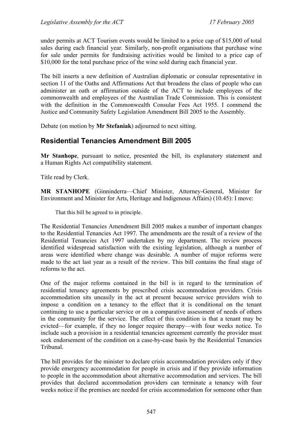under permits at ACT Tourism events would be limited to a price cap of \$15,000 of total sales during each financial year. Similarly, non-profit organisations that purchase wine for sale under permits for fundraising activities would be limited to a price cap of \$10,000 for the total purchase price of the wine sold during each financial year.

The bill inserts a new definition of Australian diplomatic or consular representative in section 11 of the Oaths and Affirmations Act that broadens the class of people who can administer an oath or affirmation outside of the ACT to include employees of the commonwealth and employees of the Australian Trade Commission. This is consistent with the definition in the Commonwealth Consular Fees Act 1955. I commend the Justice and Community Safety Legislation Amendment Bill 2005 to the Assembly.

Debate (on motion by **Mr Stefaniak**) adjourned to next sitting.

## <span id="page-7-0"></span>**Residential Tenancies Amendment Bill 2005**

**Mr Stanhope**, pursuant to notice, presented the bill, its explanatory statement and a Human Rights Act compatibility statement.

Title read by Clerk.

**MR STANHOPE** (Ginninderra—Chief Minister, Attorney-General, Minister for Environment and Minister for Arts, Heritage and Indigenous Affairs) (10.45): I move:

That this bill be agreed to in principle.

The Residential Tenancies Amendment Bill 2005 makes a number of important changes to the Residential Tenancies Act 1997. The amendments are the result of a review of the Residential Tenancies Act 1997 undertaken by my department. The review process identified widespread satisfaction with the existing legislation, although a number of areas were identified where change was desirable. A number of major reforms were made to the act last year as a result of the review. This bill contains the final stage of reforms to the act.

One of the major reforms contained in the bill is in regard to the termination of residential tenancy agreements by prescribed crisis accommodation providers. Crisis accommodation sits uneasily in the act at present because service providers wish to impose a condition on a tenancy to the effect that it is conditional on the tenant continuing to use a particular service or on a comparative assessment of needs of others in the community for the service. The effect of this condition is that a tenant may be evicted—for example, if they no longer require therapy—with four weeks notice. To include such a provision in a residential tenancies agreement currently the provider must seek endorsement of the condition on a case-by-case basis by the Residential Tenancies Tribunal.

The bill provides for the minister to declare crisis accommodation providers only if they provide emergency accommodation for people in crisis and if they provide information to people in the accommodation about alternative accommodation and services. The bill provides that declared accommodation providers can terminate a tenancy with four weeks notice if the premises are needed for crisis accommodation for someone other than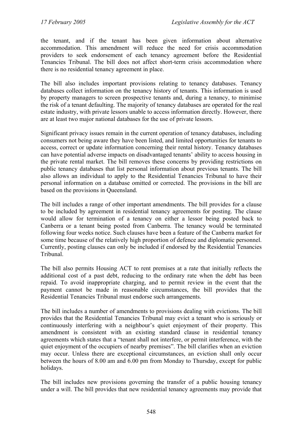the tenant, and if the tenant has been given information about alternative accommodation. This amendment will reduce the need for crisis accommodation providers to seek endorsement of each tenancy agreement before the Residential Tenancies Tribunal. The bill does not affect short-term crisis accommodation where there is no residential tenancy agreement in place.

The bill also includes important provisions relating to tenancy databases. Tenancy databases collect information on the tenancy history of tenants. This information is used by property managers to screen prospective tenants and, during a tenancy, to minimise the risk of a tenant defaulting. The majority of tenancy databases are operated for the real estate industry, with private lessors unable to access information directly. However, there are at least two major national databases for the use of private lessors.

Significant privacy issues remain in the current operation of tenancy databases, including consumers not being aware they have been listed, and limited opportunities for tenants to access, correct or update information concerning their rental history. Tenancy databases can have potential adverse impacts on disadvantaged tenants' ability to access housing in the private rental market. The bill removes these concerns by providing restrictions on public tenancy databases that list personal information about previous tenants. The bill also allows an individual to apply to the Residential Tenancies Tribunal to have their personal information on a database omitted or corrected. The provisions in the bill are based on the provisions in Queensland.

The bill includes a range of other important amendments. The bill provides for a clause to be included by agreement in residential tenancy agreements for posting. The clause would allow for termination of a tenancy on either a lessor being posted back to Canberra or a tenant being posted from Canberra. The tenancy would be terminated following four weeks notice. Such clauses have been a feature of the Canberra market for some time because of the relatively high proportion of defence and diplomatic personnel. Currently, posting clauses can only be included if endorsed by the Residential Tenancies Tribunal.

The bill also permits Housing ACT to rent premises at a rate that initially reflects the additional cost of a past debt, reducing to the ordinary rate when the debt has been repaid. To avoid inappropriate charging, and to permit review in the event that the payment cannot be made in reasonable circumstances, the bill provides that the Residential Tenancies Tribunal must endorse such arrangements.

The bill includes a number of amendments to provisions dealing with evictions. The bill provides that the Residential Tenancies Tribunal may evict a tenant who is seriously or continuously interfering with a neighbour's quiet enjoyment of their property. This amendment is consistent with an existing standard clause in residential tenancy agreements which states that a "tenant shall not interfere, or permit interference, with the quiet enjoyment of the occupiers of nearby premises". The bill clarifies when an eviction may occur. Unless there are exceptional circumstances, an eviction shall only occur between the hours of 8.00 am and 6.00 pm from Monday to Thursday, except for public holidays.

The bill includes new provisions governing the transfer of a public housing tenancy under a will. The bill provides that new residential tenancy agreements may provide that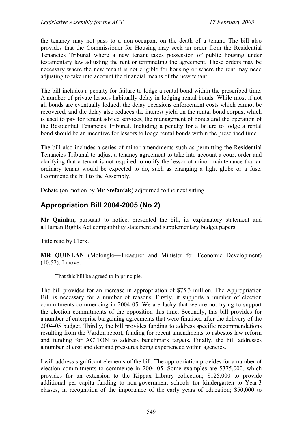the tenancy may not pass to a non-occupant on the death of a tenant. The bill also provides that the Commissioner for Housing may seek an order from the Residential Tenancies Tribunal where a new tenant takes possession of public housing under testamentary law adjusting the rent or terminating the agreement. These orders may be necessary where the new tenant is not eligible for housing or where the rent may need adjusting to take into account the financial means of the new tenant.

The bill includes a penalty for failure to lodge a rental bond within the prescribed time. A number of private lessors habitually delay in lodging rental bonds. While most if not all bonds are eventually lodged, the delay occasions enforcement costs which cannot be recovered, and the delay also reduces the interest yield on the rental bond corpus, which is used to pay for tenant advice services, the management of bonds and the operation of the Residential Tenancies Tribunal. Including a penalty for a failure to lodge a rental bond should be an incentive for lessors to lodge rental bonds within the prescribed time.

The bill also includes a series of minor amendments such as permitting the Residential Tenancies Tribunal to adjust a tenancy agreement to take into account a court order and clarifying that a tenant is not required to notify the lessor of minor maintenance that an ordinary tenant would be expected to do, such as changing a light globe or a fuse. I commend the bill to the Assembly.

Debate (on motion by **Mr Stefaniak**) adjourned to the next sitting.

# <span id="page-9-0"></span>**Appropriation Bill 2004-2005 (No 2)**

**Mr Quinlan**, pursuant to notice, presented the bill, its explanatory statement and a Human Rights Act compatibility statement and supplementary budget papers.

Title read by Clerk.

**MR QUINLAN** (Molonglo—Treasurer and Minister for Economic Development) (10.52): I move:

That this bill be agreed to in principle.

The bill provides for an increase in appropriation of \$75.3 million. The Appropriation Bill is necessary for a number of reasons. Firstly, it supports a number of election commitments commencing in 2004-05. We are lucky that we are not trying to support the election commitments of the opposition this time. Secondly, this bill provides for a number of enterprise bargaining agreements that were finalised after the delivery of the 2004-05 budget. Thirdly, the bill provides funding to address specific recommendations resulting from the Vardon report, funding for recent amendments to asbestos law reform and funding for ACTION to address benchmark targets. Finally, the bill addresses a number of cost and demand pressures being experienced within agencies.

I will address significant elements of the bill. The appropriation provides for a number of election commitments to commence in 2004-05. Some examples are \$375,000, which provides for an extension to the Kippax Library collection; \$125,000 to provide additional per capita funding to non-government schools for kindergarten to Year 3 classes, in recognition of the importance of the early years of education; \$50,000 to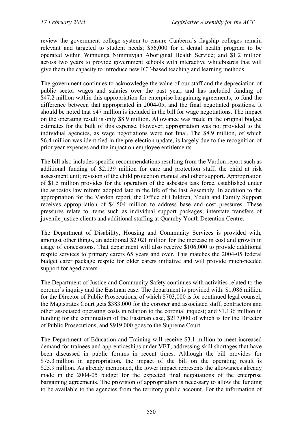review the government college system to ensure Canberra's flagship colleges remain relevant and targeted to student needs; \$56,000 for a dental health program to be operated within Winnunga Nimmityjah Aboriginal Health Service; and \$1.2 million across two years to provide government schools with interactive whiteboards that will give them the capacity to introduce new ICT-based teaching and learning methods.

The government continues to acknowledge the value of our staff and the depreciation of public sector wages and salaries over the past year, and has included funding of \$47.2 million within this appropriation for enterprise bargaining agreements, to fund the difference between that appropriated in 2004-05, and the final negotiated positions. It should be noted that \$47 million is included in the bill for wage negotiations. The impact on the operating result is only \$8.9 million. Allowance was made in the original budget estimates for the bulk of this expense. However, appropriation was not provided to the individual agencies, as wage negotiations were not final. The \$8.9 million, of which \$6.4 million was identified in the pre-election update, is largely due to the recognition of prior year expenses and the impact on employee entitlements.

The bill also includes specific recommendations resulting from the Vardon report such as additional funding of \$2.139 million for care and protection staff; the child at risk assessment unit; revision of the child protection manual and other support. Appropriation of \$1.5 million provides for the operation of the asbestos task force, established under the asbestos law reform adopted late in the life of the last Assembly. In addition to the appropriation for the Vardon report, the Office of Children, Youth and Family Support receives appropriation of \$4.504 million to address base and cost pressures. These pressures relate to items such as individual support packages, interstate transfers of juvenile justice clients and additional staffing at Quamby Youth Detention Centre.

The Department of Disability, Housing and Community Services is provided with, amongst other things, an additional \$2.021 million for the increase in cost and growth in usage of concessions. That department will also receive \$106,000 to provide additional respite services to primary carers 65 years and over. This matches the 2004-05 federal budget carer package respite for older carers initiative and will provide much-needed support for aged carers.

The Department of Justice and Community Safety continues with activities related to the coroner's inquiry and the Eastman case. The department is provided with: \$1.086 million for the Director of Public Prosecutions, of which \$703,000 is for continued legal counsel; the Magistrates Court gets \$383,000 for the coroner and associated staff, contractors and other associated operating costs in relation to the coronial inquest; and \$1.136 million in funding for the continuation of the Eastman case, \$217,000 of which is for the Director of Public Prosecutions, and \$919,000 goes to the Supreme Court.

The Department of Education and Training will receive \$3.1 million to meet increased demand for trainees and apprenticeships under VET, addressing skill shortages that have been discussed in public forums in recent times. Although the bill provides for \$75.3 million in appropriation, the impact of the bill on the operating result is \$25.9 million. As already mentioned, the lower impact represents the allowances already made in the 2004-05 budget for the expected final negotiations of the enterprise bargaining agreements. The provision of appropriation is necessary to allow the funding to be available to the agencies from the territory public account. For the information of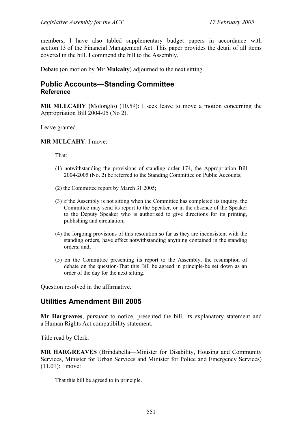members, I have also tabled supplementary budget papers in accordance with section 13 of the Financial Management Act. This paper provides the detail of all items covered in the bill. I commend the bill to the Assembly.

Debate (on motion by **Mr Mulcahy**) adjourned to the next sitting.

### <span id="page-11-0"></span>**Public Accounts—Standing Committee Reference**

**MR MULCAHY** (Molonglo) (10.59): I seek leave to move a motion concerning the Appropriation Bill 2004-05 (No 2).

Leave granted.

#### **MR MULCAHY**: I move:

That:

- (1) notwithstanding the provisions of standing order 174, the Appropriation Bill 2004-2005 (No. 2) be referred to the Standing Committee on Public Accounts;
- (2) the Committee report by March 31 2005;
- (3) if the Assembly is not sitting when the Committee has completed its inquiry, the Committee may send its report to the Speaker, or in the absence of the Speaker to the Deputy Speaker who is authorised to give directions for its printing, publishing and circulation;
- (4) the forgoing provisions of this resolution so far as they are inconsistent with the standing orders, have effect notwithstanding anything contained in the standing orders; and;
- (5) on the Committee presenting its report to the Assembly, the resumption of debate on the question-That this Bill be agreed in principle-be set down as an order of the day for the next sitting.

Question resolved in the affirmative.

## <span id="page-11-1"></span>**Utilities Amendment Bill 2005**

**Mr Hargreaves**, pursuant to notice, presented the bill, its explanatory statement and a Human Rights Act compatibility statement.

Title read by Clerk.

**MR HARGREAVES** (Brindabella—Minister for Disability, Housing and Community Services, Minister for Urban Services and Minister for Police and Emergency Services) (11.01): I move:

That this bill be agreed to in principle.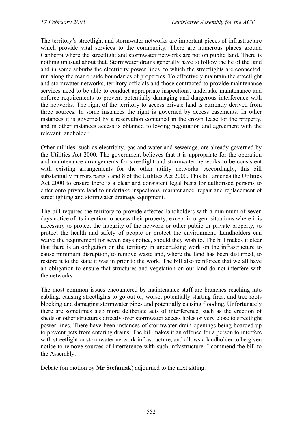The territory's streetlight and stormwater networks are important pieces of infrastructure which provide vital services to the community. There are numerous places around Canberra where the streetlight and stormwater networks are not on public land. There is nothing unusual about that. Stormwater drains generally have to follow the lie of the land and in some suburbs the electricity power lines, to which the streetlights are connected, run along the rear or side boundaries of properties. To effectively maintain the streetlight and stormwater networks, territory officials and those contracted to provide maintenance services need to be able to conduct appropriate inspections, undertake maintenance and enforce requirements to prevent potentially damaging and dangerous interference with the networks. The right of the territory to access private land is currently derived from three sources. In some instances the right is governed by access easements. In other instances it is governed by a reservation contained in the crown lease for the property, and in other instances access is obtained following negotiation and agreement with the relevant landholder.

Other utilities, such as electricity, gas and water and sewerage, are already governed by the Utilities Act 2000. The government believes that it is appropriate for the operation and maintenance arrangements for streetlight and stormwater networks to be consistent with existing arrangements for the other utility networks. Accordingly, this bill substantially mirrors parts 7 and 8 of the Utilities Act 2000. This bill amends the Utilities Act 2000 to ensure there is a clear and consistent legal basis for authorised persons to enter onto private land to undertake inspections, maintenance, repair and replacement of streetlighting and stormwater drainage equipment.

The bill requires the territory to provide affected landholders with a minimum of seven days notice of its intention to access their property, except in urgent situations where it is necessary to protect the integrity of the network or other public or private property, to protect the health and safety of people or protect the environment. Landholders can waive the requirement for seven days notice, should they wish to. The bill makes it clear that there is an obligation on the territory in undertaking work on the infrastructure to cause minimum disruption, to remove waste and, where the land has been disturbed, to restore it to the state it was in prior to the work. The bill also reinforces that we all have an obligation to ensure that structures and vegetation on our land do not interfere with the networks.

The most common issues encountered by maintenance staff are branches reaching into cabling, causing streetlights to go out or, worse, potentially starting fires, and tree roots blocking and damaging stormwater pipes and potentially causing flooding. Unfortunately there are sometimes also more deliberate acts of interference, such as the erection of sheds or other structures directly over stormwater access holes or very close to streetlight power lines. There have been instances of stormwater drain openings being boarded up to prevent pets from entering drains. The bill makes it an offence for a person to interfere with streetlight or stormwater network infrastructure, and allows a landholder to be given notice to remove sources of interference with such infrastructure. I commend the bill to the Assembly.

Debate (on motion by **Mr Stefaniak**) adjourned to the next sitting.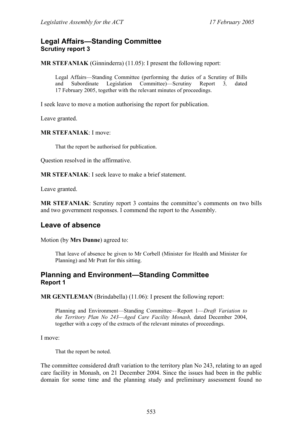### <span id="page-13-0"></span>**Legal Affairs—Standing Committee Scrutiny report 3**

**MR STEFANIAK** (Ginninderra) (11.05): I present the following report:

Legal Affairs—Standing Committee (performing the duties of a Scrutiny of Bills and Subordinate Legislation Committee)—Scrutiny Report 3*,* dated 17 February 2005, together with the relevant minutes of proceedings.

I seek leave to move a motion authorising the report for publication.

Leave granted.

#### **MR STEFANIAK**: I move:

That the report be authorised for publication.

Question resolved in the affirmative.

**MR STEFANIAK**: I seek leave to make a brief statement.

Leave granted.

**MR STEFANIAK**: Scrutiny report 3 contains the committee's comments on two bills and two government responses. I commend the report to the Assembly.

### <span id="page-13-1"></span>**Leave of absence**

Motion (by **Mrs Dunne**) agreed to:

That leave of absence be given to Mr Corbell (Minister for Health and Minister for Planning) and Mr Pratt for this sitting.

### <span id="page-13-2"></span>**Planning and Environment—Standing Committee Report 1**

**MR GENTLEMAN** (Brindabella) (11.06): I present the following report:

Planning and Environment—Standing Committee—Report 1—*Draft Variation to the Territory Plan No 243—Aged Care Facility Monash,* dated December 2004, together with a copy of the extracts of the relevant minutes of proceedings.

I move:

That the report be noted.

The committee considered draft variation to the territory plan No 243, relating to an aged care facility in Monash, on 21 December 2004. Since the issues had been in the public domain for some time and the planning study and preliminary assessment found no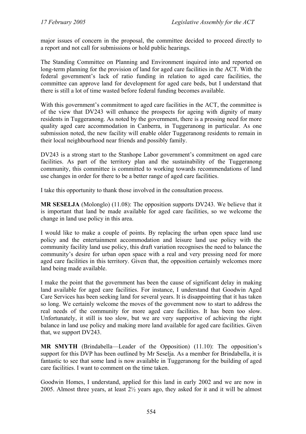major issues of concern in the proposal, the committee decided to proceed directly to a report and not call for submissions or hold public hearings.

The Standing Committee on Planning and Environment inquired into and reported on long-term planning for the provision of land for aged care facilities in the ACT. With the federal government's lack of ratio funding in relation to aged care facilities, the committee can approve land for development for aged care beds, but I understand that there is still a lot of time wasted before federal funding becomes available.

With this government's commitment to aged care facilities in the ACT, the committee is of the view that DV243 will enhance the prospects for ageing with dignity of many residents in Tuggeranong. As noted by the government, there is a pressing need for more quality aged care accommodation in Canberra, in Tuggeranong in particular. As one submission noted, the new facility will enable older Tuggeranong residents to remain in their local neighbourhood near friends and possibly family.

DV243 is a strong start to the Stanhope Labor government's commitment on aged care facilities. As part of the territory plan and the sustainability of the Tuggeranong community, this committee is committed to working towards recommendations of land use changes in order for there to be a better range of aged care facilities.

I take this opportunity to thank those involved in the consultation process.

**MR SESELJA** (Molonglo) (11.08): The opposition supports DV243. We believe that it is important that land be made available for aged care facilities, so we welcome the change in land use policy in this area.

I would like to make a couple of points. By replacing the urban open space land use policy and the entertainment accommodation and leisure land use policy with the community facility land use policy, this draft variation recognises the need to balance the community's desire for urban open space with a real and very pressing need for more aged care facilities in this territory. Given that, the opposition certainly welcomes more land being made available.

I make the point that the government has been the cause of significant delay in making land available for aged care facilities. For instance, I understand that Goodwin Aged Care Services has been seeking land for several years. It is disappointing that it has taken so long. We certainly welcome the moves of the government now to start to address the real needs of the community for more aged care facilities. It has been too slow. Unfortunately, it still is too slow, but we are very supportive of achieving the right balance in land use policy and making more land available for aged care facilities. Given that, we support DV243.

**MR SMYTH** (Brindabella—Leader of the Opposition) (11.10): The opposition's support for this DVP has been outlined by Mr Seselja. As a member for Brindabella, it is fantastic to see that some land is now available in Tuggeranong for the building of aged care facilities. I want to comment on the time taken.

Goodwin Homes, I understand, applied for this land in early 2002 and we are now in 2005. Almost three years, at least 2½ years ago, they asked for it and it will be almost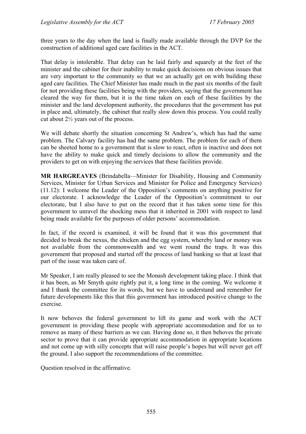three years to the day when the land is finally made available through the DVP for the construction of additional aged care facilities in the ACT.

That delay is intolerable. That delay can be laid fairly and squarely at the feet of the minister and the cabinet for their inability to make quick decisions on obvious issues that are very important to the community so that we an actually get on with building these aged care facilities. The Chief Minister has made much in the past six months of the fault for not providing these facilities being with the providers, saying that the government has cleared the way for them, but it is the time taken on each of these facilities by the minister and the land development authority, the procedures that the government has put in place and, ultimately, the cabinet that really slow down this process. You could really cut about  $2\frac{1}{2}$  years out of the process.

We will debate shortly the situation concerning St Andrew's, which has had the same problem. The Calvary facility has had the same problem. The problem for each of them can be sheeted home to a government that is slow to react, often is inactive and does not have the ability to make quick and timely decisions to allow the community and the providers to get on with enjoying the services that these facilities provide.

**MR HARGREAVES** (Brindabella—Minister for Disability, Housing and Community Services, Minister for Urban Services and Minister for Police and Emergency Services) (11.12): I welcome the Leader of the Opposition's comments on anything positive for our electorate. I acknowledge the Leader of the Opposition's commitment to our electorate, but I also have to put on the record that it has taken some time for this government to unravel the shocking mess that it inherited in 2001 with respect to land being made available for the purposes of older persons' accommodation.

In fact, if the record is examined, it will be found that it was this government that decided to break the nexus, the chicken and the egg system, whereby land or money was not available from the commonwealth and we went round the traps. It was this government that proposed and started off the process of land banking so that at least that part of the issue was taken care of.

Mr Speaker, I am really pleased to see the Monash development taking place. I think that it has been, as Mr Smyth quite rightly put it, a long time in the coming. We welcome it and I thank the committee for its words, but we have to understand and remember for future developments like this that this government has introduced positive change to the exercise.

It now behoves the federal government to lift its game and work with the ACT government in providing these people with appropriate accommodation and for us to remove as many of these barriers as we can. Having done so, it then behoves the private sector to prove that it can provide appropriate accommodation in appropriate locations and not come up with silly concepts that will raise people's hopes but will never get off the ground. I also support the recommendations of the committee.

Question resolved in the affirmative.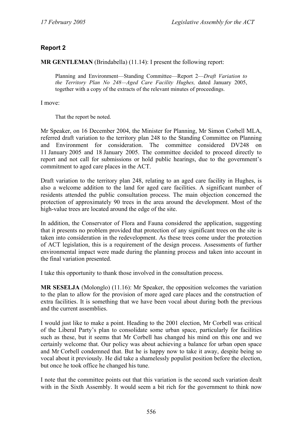### **Report 2**

**MR GENTLEMAN** (Brindabella) (11.14): I present the following report:

Planning and Environment—Standing Committee—Report 2—*Draft Variation to the Territory Plan No 248—Aged Care Facility Hughes,* dated January 2005, together with a copy of the extracts of the relevant minutes of proceedings.

I move:

That the report be noted.

Mr Speaker, on 16 December 2004, the Minister for Planning, Mr Simon Corbell MLA, referred draft variation to the territory plan 248 to the Standing Committee on Planning and Environment for consideration. The committee considered DV248 on 11 January 2005 and 18 January 2005. The committee decided to proceed directly to report and not call for submissions or hold public hearings, due to the government's commitment to aged care places in the ACT.

Draft variation to the territory plan 248, relating to an aged care facility in Hughes, is also a welcome addition to the land for aged care facilities. A significant number of residents attended the public consultation process. The main objection concerned the protection of approximately 90 trees in the area around the development. Most of the high-value trees are located around the edge of the site.

In addition, the Conservator of Flora and Fauna considered the application, suggesting that it presents no problem provided that protection of any significant trees on the site is taken into consideration in the redevelopment. As these trees come under the protection of ACT legislation, this is a requirement of the design process. Assessments of further environmental impact were made during the planning process and taken into account in the final variation presented.

I take this opportunity to thank those involved in the consultation process.

**MR SESELJA** (Molonglo) (11.16): Mr Speaker, the opposition welcomes the variation to the plan to allow for the provision of more aged care places and the construction of extra facilities. It is something that we have been vocal about during both the previous and the current assemblies.

I would just like to make a point. Heading to the 2001 election, Mr Corbell was critical of the Liberal Party's plan to consolidate some urban space, particularly for facilities such as these, but it seems that Mr Corbell has changed his mind on this one and we certainly welcome that. Our policy was about achieving a balance for urban open space and Mr Corbell condemned that. But he is happy now to take it away, despite being so vocal about it previously. He did take a shamelessly populist position before the election, but once he took office he changed his tune.

I note that the committee points out that this variation is the second such variation dealt with in the Sixth Assembly. It would seem a bit rich for the government to think now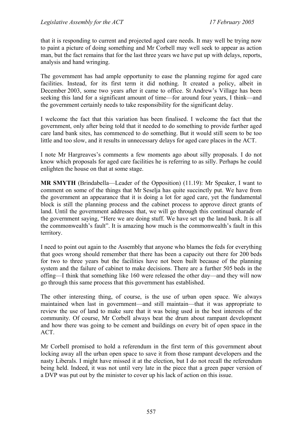that it is responding to current and projected aged care needs. It may well be trying now to paint a picture of doing something and Mr Corbell may well seek to appear as action man, but the fact remains that for the last three years we have put up with delays, reports, analysis and hand wringing.

The government has had ample opportunity to ease the planning regime for aged care facilities. Instead, for its first term it did nothing. It created a policy, albeit in December 2003, some two years after it came to office. St Andrew's Village has been seeking this land for a significant amount of time—for around four years, I think—and the government certainly needs to take responsibility for the significant delay.

I welcome the fact that this variation has been finalised. I welcome the fact that the government, only after being told that it needed to do something to provide further aged care land bank sites, has commenced to do something. But it would still seem to be too little and too slow, and it results in unnecessary delays for aged care places in the ACT.

I note Mr Hargreaves's comments a few moments ago about silly proposals. I do not know which proposals for aged care facilities he is referring to as silly. Perhaps he could enlighten the house on that at some stage.

**MR SMYTH** (Brindabella—Leader of the Opposition) (11.19): Mr Speaker, I want to comment on some of the things that Mr Seselja has quite succinctly put. We have from the government an appearance that it is doing a lot for aged care, yet the fundamental block is still the planning process and the cabinet process to approve direct grants of land. Until the government addresses that, we will go through this continual charade of the government saying, "Here we are doing stuff. We have set up the land bank. It is all the commonwealth's fault". It is amazing how much is the commonwealth's fault in this territory.

I need to point out again to the Assembly that anyone who blames the feds for everything that goes wrong should remember that there has been a capacity out there for 200 beds for two to three years but the facilities have not been built because of the planning system and the failure of cabinet to make decisions. There are a further 505 beds in the offing—I think that something like 160 were released the other day—and they will now go through this same process that this government has established.

The other interesting thing, of course, is the use of urban open space. We always maintained when last in government—and still maintain—that it was appropriate to review the use of land to make sure that it was being used in the best interests of the community. Of course, Mr Corbell always beat the drum about rampant development and how there was going to be cement and buildings on every bit of open space in the ACT.

Mr Corbell promised to hold a referendum in the first term of this government about locking away all the urban open space to save it from those rampant developers and the nasty Liberals. I might have missed it at the election, but I do not recall the referendum being held. Indeed, it was not until very late in the piece that a green paper version of a DVP was put out by the minister to cover up his lack of action on this issue.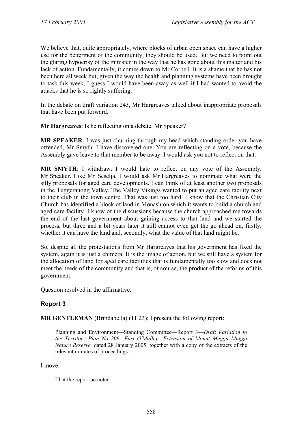We believe that, quite appropriately, where blocks of urban open space can have a higher use for the betterment of the community, they should be used. But we need to point out the glaring hypocrisy of the minister in the way that he has gone about this matter and his lack of action. Fundamentally, it comes down to Mr Corbell. It is a shame that he has not been here all week but, given the way the health and planning systems have been brought to task this week, I guess I would have been away as well if I had wanted to avoid the attacks that he is so rightly suffering.

In the debate on draft variation 243, Mr Hargreaves talked about inappropriate proposals that have been put forward.

**Mr Hargreaves**: Is he reflecting on a debate, Mr Speaker?

**MR SPEAKER**: I was just churning through my head which standing order you have offended, Mr Smyth. I have discovered one. You are reflecting on a vote, because the Assembly gave leave to that member to be away. I would ask you not to reflect on that.

**MR SMYTH**: I withdraw. I would hate to reflect on any vote of the Assembly, Mr Speaker. Like Mr Seselja, I would ask Mr Hargreaves to nominate what were the silly proposals for aged care developments. I can think of at least another two proposals in the Tuggeranong Valley. The Valley Vikings wanted to put an aged care facility next to their club in the town centre. That was just too hard. I know that the Christian City Church has identified a block of land in Monash on which it wants to build a church and aged care facility. I know of the discussions because the church approached me towards the end of the last government about gaining access to that land and we started the process, but three and a bit years later it still cannot even get the go ahead on, firstly, whether it can have the land and, secondly, what the value of that land might be.

So, despite all the protestations from Mr Hargreaves that his government has fixed the system, again it is just a chimera. It is the image of action, but we still have a system for the allocation of land for aged care facilities that is fundamentally too slow and does not meet the needs of the community and that is, of course, the product of the reforms of this government.

Question resolved in the affirmative.

### **Report 3**

**MR GENTLEMAN** (Brindabella) (11.23): I present the following report:

Planning and Environment—Standing Committee—Report 3—*Draft Variation to the Territory Plan No 209—East O'Malley—Extension of Mount Mugga Mugga Nature Reserve,* dated 28 January 2005, together with a copy of the extracts of the relevant minutes of proceedings.

I move:

That the report be noted.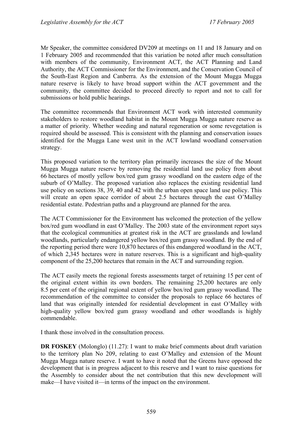Mr Speaker, the committee considered DV209 at meetings on 11 and 18 January and on 1 February 2005 and recommended that this variation be noted after much consultation with members of the community, Environment ACT, the ACT Planning and Land Authority, the ACT Commissioner for the Environment, and the Conservation Council of the South-East Region and Canberra. As the extension of the Mount Mugga Mugga nature reserve is likely to have broad support within the ACT government and the community, the committee decided to proceed directly to report and not to call for submissions or hold public hearings.

The committee recommends that Environment ACT work with interested community stakeholders to restore woodland habitat in the Mount Mugga Mugga nature reserve as a matter of priority. Whether weeding and natural regeneration or some revegetation is required should be assessed. This is consistent with the planning and conservation issues identified for the Mugga Lane west unit in the ACT lowland woodland conservation strategy.

This proposed variation to the territory plan primarily increases the size of the Mount Mugga Mugga nature reserve by removing the residential land use policy from about 66 hectares of mostly yellow box/red gum grassy woodland on the eastern edge of the suburb of O'Malley. The proposed variation also replaces the existing residential land use policy on sections 38, 39, 40 and 42 with the urban open space land use policy. This will create an open space corridor of about 2.5 hectares through the east O'Malley residential estate. Pedestrian paths and a playground are planned for the area.

The ACT Commissioner for the Environment has welcomed the protection of the yellow box/red gum woodland in east O'Malley. The 2003 state of the environment report says that the ecological communities at greatest risk in the ACT are grasslands and lowland woodlands, particularly endangered yellow box/red gum grassy woodland. By the end of the reporting period there were 10,870 hectares of this endangered woodland in the ACT, of which 2,345 hectares were in nature reserves. This is a significant and high-quality component of the 25,200 hectares that remain in the ACT and surrounding region.

The ACT easily meets the regional forests assessments target of retaining 15 per cent of the original extent within its own borders. The remaining 25,200 hectares are only 8.5 per cent of the original regional extent of yellow box/red gum grassy woodland. The recommendation of the committee to consider the proposals to replace 66 hectares of land that was originally intended for residential development in east O'Malley with high-quality yellow box/red gum grassy woodland and other woodlands is highly commendable.

I thank those involved in the consultation process.

**DR FOSKEY** (Molonglo) (11.27): I want to make brief comments about draft variation to the territory plan No 209, relating to east O'Malley and extension of the Mount Mugga Mugga nature reserve. I want to have it noted that the Greens have opposed the development that is in progress adjacent to this reserve and I want to raise questions for the Assembly to consider about the net contribution that this new development will make—I have visited it—in terms of the impact on the environment.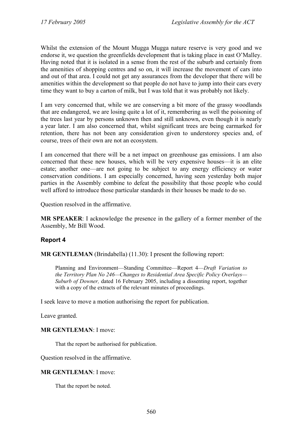Whilst the extension of the Mount Mugga Mugga nature reserve is very good and we endorse it, we question the greenfields development that is taking place in east O'Malley. Having noted that it is isolated in a sense from the rest of the suburb and certainly from the amenities of shopping centres and so on, it will increase the movement of cars into and out of that area. I could not get any assurances from the developer that there will be amenities within the development so that people do not have to jump into their cars every time they want to buy a carton of milk, but I was told that it was probably not likely.

I am very concerned that, while we are conserving a bit more of the grassy woodlands that are endangered, we are losing quite a lot of it, remembering as well the poisoning of the trees last year by persons unknown then and still unknown, even though it is nearly a year later. I am also concerned that, whilst significant trees are being earmarked for retention, there has not been any consideration given to understorey species and, of course, trees of their own are not an ecosystem.

I am concerned that there will be a net impact on greenhouse gas emissions. I am also concerned that these new houses, which will be very expensive houses—it is an elite estate; another one—are not going to be subject to any energy efficiency or water conservation conditions. I am especially concerned, having seen yesterday both major parties in the Assembly combine to defeat the possibility that those people who could well afford to introduce those particular standards in their houses be made to do so.

Question resolved in the affirmative.

**MR SPEAKER**: I acknowledge the presence in the gallery of a former member of the Assembly, Mr Bill Wood.

### **Report 4**

**MR GENTLEMAN** (Brindabella) (11.30): I present the following report:

Planning and Environment—Standing Committee—Report 4—*Draft Variation to the Territory Plan No 246—Changes to Residential Area Specific Policy Overlays— Suburb of Downer,* dated 16 February 2005, including a dissenting report, together with a copy of the extracts of the relevant minutes of proceedings.

I seek leave to move a motion authorising the report for publication.

Leave granted.

#### **MR GENTLEMAN**: I move:

That the report be authorised for publication.

Question resolved in the affirmative.

#### **MR GENTLEMAN**: I move:

That the report be noted.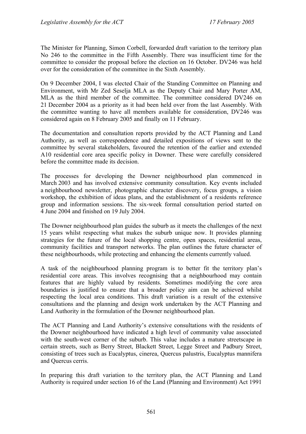The Minister for Planning, Simon Corbell, forwarded draft variation to the territory plan No 246 to the committee in the Fifth Assembly. There was insufficient time for the committee to consider the proposal before the election on 16 October. DV246 was held over for the consideration of the committee in the Sixth Assembly.

On 9 December 2004, I was elected Chair of the Standing Committee on Planning and Environment, with Mr Zed Seselja MLA as the Deputy Chair and Mary Porter AM, MLA as the third member of the committee. The committee considered DV246 on 21 December 2004 as a priority as it had been held over from the last Assembly. With the committee wanting to have all members available for consideration, DV246 was considered again on 8 February 2005 and finally on 11 February.

The documentation and consultation reports provided by the ACT Planning and Land Authority, as well as correspondence and detailed expositions of views sent to the committee by several stakeholders, favoured the retention of the earlier and extended A10 residential core area specific policy in Downer. These were carefully considered before the committee made its decision.

The processes for developing the Downer neighbourhood plan commenced in March 2003 and has involved extensive community consultation. Key events included a neighbourhood newsletter, photographic character discovery, focus groups, a vision workshop, the exhibition of ideas plans, and the establishment of a residents reference group and information sessions. The six-week formal consultation period started on 4 June 2004 and finished on 19 July 2004.

The Downer neighbourhood plan guides the suburb as it meets the challenges of the next 15 years whilst respecting what makes the suburb unique now. It provides planning strategies for the future of the local shopping centre, open spaces, residential areas, community facilities and transport networks. The plan outlines the future character of these neighbourhoods, while protecting and enhancing the elements currently valued.

A task of the neighbourhood planning program is to better fit the territory plan's residential core areas. This involves recognising that a neighbourhood may contain features that are highly valued by residents. Sometimes modifying the core area boundaries is justified to ensure that a broader policy aim can be achieved whilst respecting the local area conditions. This draft variation is a result of the extensive consultations and the planning and design work undertaken by the ACT Planning and Land Authority in the formulation of the Downer neighbourhood plan.

The ACT Planning and Land Authority's extensive consultations with the residents of the Downer neighbourhood have indicated a high level of community value associated with the south-west corner of the suburb. This value includes a mature streetscape in certain streets, such as Berry Street, Blackett Street, Legge Street and Padbury Street, consisting of trees such as Eucalyptus, cinerea, Quercus palustris, Eucalyptus mannifera and Quercus cerris.

In preparing this draft variation to the territory plan, the ACT Planning and Land Authority is required under section 16 of the Land (Planning and Environment) Act 1991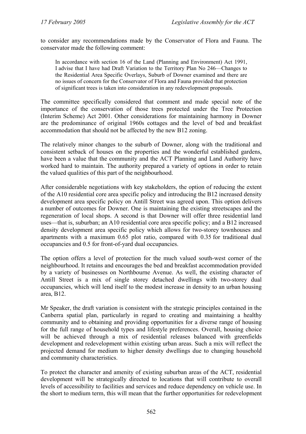to consider any recommendations made by the Conservator of Flora and Fauna. The conservator made the following comment:

In accordance with section 16 of the Land (Planning and Environment) Act 1991, I advise that I have had Draft Variation to the Territory Plan No 246—Changes to the Residential Area Specific Overlays, Suburb of Downer examined and there are no issues of concern for the Conservator of Flora and Fauna provided that protection of significant trees is taken into consideration in any redevelopment proposals.

The committee specifically considered that comment and made special note of the importance of the conservation of those trees protected under the Tree Protection (Interim Scheme) Act 2001. Other considerations for maintaining harmony in Downer are the predominance of original 1960s cottages and the level of bed and breakfast accommodation that should not be affected by the new B12 zoning.

The relatively minor changes to the suburb of Downer, along with the traditional and consistent setback of houses on the properties and the wonderful established gardens, have been a value that the community and the ACT Planning and Land Authority have worked hard to maintain. The authority prepared a variety of options in order to retain the valued qualities of this part of the neighbourhood.

After considerable negotiations with key stakeholders, the option of reducing the extent of the A10 residential core area specific policy and introducing the B12 increased density development area specific policy on Antill Street was agreed upon. This option delivers a number of outcomes for Downer. One is maintaining the existing streetscapes and the regeneration of local shops. A second is that Downer will offer three residential land uses—that is, suburban; an A10 residential core area specific policy; and a B12 increased density development area specific policy which allows for two-storey townhouses and apartments with a maximum 0.65 plot ratio, compared with 0.35 for traditional dual occupancies and 0.5 for front-of-yard dual occupancies.

The option offers a level of protection for the much valued south-west corner of the neighbourhood. It retains and encourages the bed and breakfast accommodation provided by a variety of businesses on Northbourne Avenue. As well, the existing character of Antill Street is a mix of single storey detached dwellings with two-storey dual occupancies, which will lend itself to the modest increase in density to an urban housing area, B12.

Mr Speaker, the draft variation is consistent with the strategic principles contained in the Canberra spatial plan, particularly in regard to creating and maintaining a healthy community and to obtaining and providing opportunities for a diverse range of housing for the full range of household types and lifestyle preferences. Overall, housing choice will be achieved through a mix of residential releases balanced with greenfields development and redevelopment within existing urban areas. Such a mix will reflect the projected demand for medium to higher density dwellings due to changing household and community characteristics.

To protect the character and amenity of existing suburban areas of the ACT, residential development will be strategically directed to locations that will contribute to overall levels of accessibility to facilities and services and reduce dependency on vehicle use. In the short to medium term, this will mean that the further opportunities for redevelopment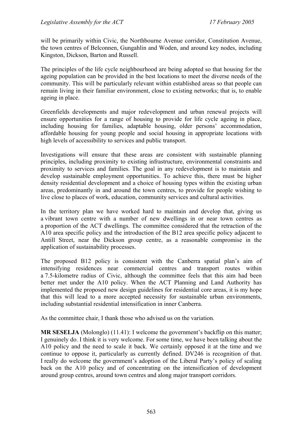will be primarily within Civic, the Northbourne Avenue corridor, Constitution Avenue, the town centres of Belconnen, Gungahlin and Woden, and around key nodes, including Kingston, Dickson, Barton and Russell.

The principles of the life cycle neighbourhood are being adopted so that housing for the ageing population can be provided in the best locations to meet the diverse needs of the community. This will be particularly relevant within established areas so that people can remain living in their familiar environment, close to existing networks; that is, to enable ageing in place.

Greenfields developments and major redevelopment and urban renewal projects will ensure opportunities for a range of housing to provide for life cycle ageing in place, including housing for families, adaptable housing, older persons' accommodation, affordable housing for young people and social housing in appropriate locations with high levels of accessibility to services and public transport.

Investigations will ensure that these areas are consistent with sustainable planning principles, including proximity to existing infrastructure, environmental constraints and proximity to services and families. The goal in any redevelopment is to maintain and develop sustainable employment opportunities. To achieve this, there must be higher density residential development and a choice of housing types within the existing urban areas, predominantly in and around the town centres, to provide for people wishing to live close to places of work, education, community services and cultural activities.

In the territory plan we have worked hard to maintain and develop that, giving us a vibrant town centre with a number of new dwellings in or near town centres as a proportion of the ACT dwellings. The committee considered that the retraction of the A10 area specific policy and the introduction of the B12 area specific policy adjacent to Antill Street, near the Dickson group centre, as a reasonable compromise in the application of sustainability processes.

The proposed B12 policy is consistent with the Canberra spatial plan's aim of intensifying residences near commercial centres and transport routes within a 7.5-kilometre radius of Civic, although the committee feels that this aim had been better met under the A10 policy. When the ACT Planning and Land Authority has implemented the proposed new design guidelines for residential core areas, it is my hope that this will lead to a more accepted necessity for sustainable urban environments, including substantial residential intensification in inner Canberra.

As the committee chair, I thank those who advised us on the variation.

**MR SESELJA** (Molonglo) (11.41): I welcome the government's backflip on this matter; I genuinely do. I think it is very welcome. For some time, we have been talking about the A10 policy and the need to scale it back. We certainly opposed it at the time and we continue to oppose it, particularly as currently defined. DV246 is recognition of that. I really do welcome the government's adoption of the Liberal Party's policy of scaling back on the A10 policy and of concentrating on the intensification of development around group centres, around town centres and along major transport corridors.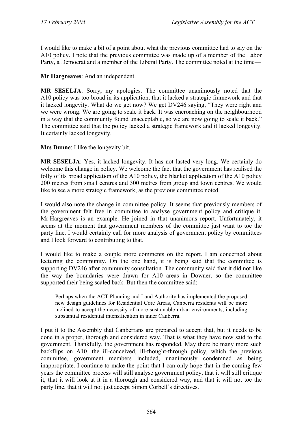I would like to make a bit of a point about what the previous committee had to say on the A10 policy. I note that the previous committee was made up of a member of the Labor Party, a Democrat and a member of the Liberal Party. The committee noted at the time—

**Mr Hargreaves**: And an independent.

**MR SESELJA**: Sorry, my apologies. The committee unanimously noted that the A10 policy was too broad in its application, that it lacked a strategic framework and that it lacked longevity. What do we get now? We get DV246 saying, "They were right and we were wrong. We are going to scale it back. It was encroaching on the neighbourhood in a way that the community found unacceptable, so we are now going to scale it back." The committee said that the policy lacked a strategic framework and it lacked longevity. It certainly lacked longevity.

**Mrs Dunne**: I like the longevity bit.

**MR SESELJA**: Yes, it lacked longevity. It has not lasted very long. We certainly do welcome this change in policy. We welcome the fact that the government has realised the folly of its broad application of the A10 policy, the blanket application of the A10 policy 200 metres from small centres and 300 metres from group and town centres. We would like to see a more strategic framework, as the previous committee noted.

I would also note the change in committee policy. It seems that previously members of the government felt free in committee to analyse government policy and critique it. Mr Hargreaves is an example. He joined in that unanimous report. Unfortunately, it seems at the moment that government members of the committee just want to toe the party line. I would certainly call for more analysis of government policy by committees and I look forward to contributing to that.

I would like to make a couple more comments on the report. I am concerned about lecturing the community. On the one hand, it is being said that the committee is supporting DV246 after community consultation. The community said that it did not like the way the boundaries were drawn for A10 areas in Downer, so the committee supported their being scaled back. But then the committee said:

Perhaps when the ACT Planning and Land Authority has implemented the proposed new design guidelines for Residential Core Areas, Canberra residents will be more inclined to accept the necessity of more sustainable urban environments, including substantial residential intensification in inner Canberra.

I put it to the Assembly that Canberrans are prepared to accept that, but it needs to be done in a proper, thorough and considered way. That is what they have now said to the government. Thankfully, the government has responded. May there be many more such backflips on A10, the ill-conceived, ill-thought-through policy, which the previous committee, government members included, unanimously condemned as being inappropriate. I continue to make the point that I can only hope that in the coming few years the committee process will still analyse government policy, that it will still critique it, that it will look at it in a thorough and considered way, and that it will not toe the party line, that it will not just accept Simon Corbell's directives.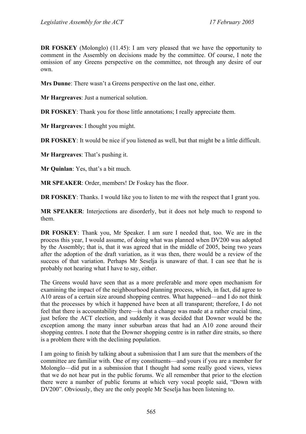**DR FOSKEY** (Molonglo) (11.45): I am very pleased that we have the opportunity to comment in the Assembly on decisions made by the committee. Of course, I note the omission of any Greens perspective on the committee, not through any desire of our own.

**Mrs Dunne**: There wasn't a Greens perspective on the last one, either.

**Mr Hargreaves**: Just a numerical solution.

**DR FOSKEY:** Thank you for those little annotations; I really appreciate them.

**Mr Hargreaves**: I thought you might.

**DR FOSKEY**: It would be nice if you listened as well, but that might be a little difficult.

**Mr Hargreaves**: That's pushing it.

**Mr Quinlan**: Yes, that's a bit much.

**MR SPEAKER**: Order, members! Dr Foskey has the floor.

**DR FOSKEY**: Thanks. I would like you to listen to me with the respect that I grant you.

**MR SPEAKER**: Interjections are disorderly, but it does not help much to respond to them.

**DR FOSKEY**: Thank you, Mr Speaker. I am sure I needed that, too. We are in the process this year, I would assume, of doing what was planned when DV200 was adopted by the Assembly; that is, that it was agreed that in the middle of 2005, being two years after the adoption of the draft variation, as it was then, there would be a review of the success of that variation. Perhaps Mr Seselja is unaware of that. I can see that he is probably not hearing what I have to say, either.

The Greens would have seen that as a more preferable and more open mechanism for examining the impact of the neighbourhood planning process, which, in fact, did agree to A10 areas of a certain size around shopping centres. What happened—and I do not think that the processes by which it happened have been at all transparent; therefore, I do not feel that there is accountability there—is that a change was made at a rather crucial time, just before the ACT election, and suddenly it was decided that Downer would be the exception among the many inner suburban areas that had an A10 zone around their shopping centres. I note that the Downer shopping centre is in rather dire straits, so there is a problem there with the declining population.

I am going to finish by talking about a submission that I am sure that the members of the committee are familiar with. One of my constituents—and yours if you are a member for Molonglo—did put in a submission that I thought had some really good views, views that we do not hear put in the public forums. We all remember that prior to the election there were a number of public forums at which very vocal people said, "Down with DV200". Obviously, they are the only people Mr Seselja has been listening to.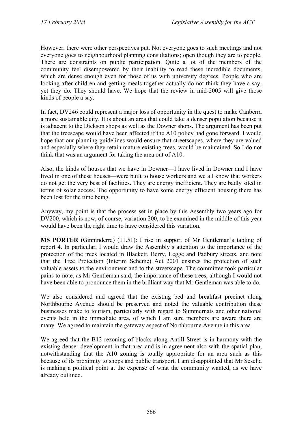However, there were other perspectives put. Not everyone goes to such meetings and not everyone goes to neighbourhood planning consultations; open though they are to people. There are constraints on public participation. Quite a lot of the members of the community feel disempowered by their inability to read these incredible documents, which are dense enough even for those of us with university degrees. People who are looking after children and getting meals together actually do not think they have a say, yet they do. They should have. We hope that the review in mid-2005 will give those kinds of people a say.

In fact, DV246 could represent a major loss of opportunity in the quest to make Canberra a more sustainable city. It is about an area that could take a denser population because it is adjacent to the Dickson shops as well as the Downer shops. The argument has been put that the treescape would have been affected if the A10 policy had gone forward. I would hope that our planning guidelines would ensure that streetscapes, where they are valued and especially where they retain mature existing trees, would be maintained. So I do not think that was an argument for taking the area out of A10.

Also, the kinds of houses that we have in Downer—I have lived in Downer and I have lived in one of these houses—were built to house workers and we all know that workers do not get the very best of facilities. They are energy inefficient. They are badly sited in terms of solar access. The opportunity to have some energy efficient housing there has been lost for the time being.

Anyway, my point is that the process set in place by this Assembly two years ago for DV200, which is now, of course, variation 200, to be examined in the middle of this year would have been the right time to have considered this variation.

**MS PORTER** (Ginninderra) (11.51): I rise in support of Mr Gentleman's tabling of report 4. In particular, I would draw the Assembly's attention to the importance of the protection of the trees located in Blackett, Berry, Legge and Padbury streets, and note that the Tree Protection (Interim Scheme) Act 2001 ensures the protection of such valuable assets to the environment and to the streetscape. The committee took particular pains to note, as Mr Gentleman said, the importance of these trees, although I would not have been able to pronounce them in the brilliant way that Mr Gentleman was able to do.

We also considered and agreed that the existing bed and breakfast precinct along Northbourne Avenue should be preserved and noted the valuable contribution these businesses make to tourism, particularly with regard to Summernats and other national events held in the immediate area, of which I am sure members are aware there are many. We agreed to maintain the gateway aspect of Northbourne Avenue in this area.

We agreed that the B12 rezoning of blocks along Antill Street is in harmony with the existing denser development in that area and is in agreement also with the spatial plan, notwithstanding that the A10 zoning is totally appropriate for an area such as this because of its proximity to shops and public transport. I am disappointed that Mr Seselja is making a political point at the expense of what the community wanted, as we have already outlined.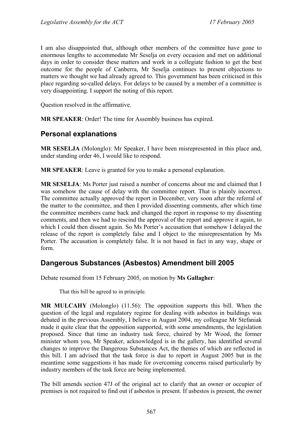I am also disappointed that, although other members of the committee have gone to enormous lengths to accommodate Mr Seselja on every occasion and met on additional days in order to consider these matters and work in a collegiate fashion to get the best outcome for the people of Canberra, Mr Seselja continues to present objections to matters we thought we had already agreed to. This government has been criticised in this place regarding so-called delays. For delays to be caused by a member of a committee is very disappointing. I support the noting of this report.

Question resolved in the affirmative.

**MR SPEAKER**: Order! The time for Assembly business has expired.

### <span id="page-27-0"></span>**Personal explanations**

**MR SESELJA** (Molonglo): Mr Speaker, I have been misrepresented in this place and, under standing order 46, I would like to respond.

**MR SPEAKER**: Leave is granted for you to make a personal explanation.

**MR SESELJA**: Ms Porter just raised a number of concerns about me and claimed that I was somehow the cause of delay with the committee report. That is plainly incorrect. The committee actually approved the report in December, very soon after the referral of the matter to the committee, and then I provided dissenting comments, after which time the committee members came back and changed the report in response to my dissenting comments, and then we had to rescind the approval of the report and approve it again, to which I could then dissent again. So Ms Porter's accusation that somehow I delayed the release of the report is completely false and I object to the misrepresentation by Ms Porter. The accusation is completely false. It is not based in fact in any way, shape or form.

## <span id="page-27-1"></span>**Dangerous Substances (Asbestos) Amendment bill 2005**

Debate resumed from 15 February 2005, on motion by **Ms Gallagher**:

That this bill be agreed to in principle.

**MR MULCAHY** (Molonglo) (11.56): The opposition supports this bill. When the question of the legal and regulatory regime for dealing with asbestos in buildings was debated in the previous Assembly, I believe in August 2004, my colleague Mr Stefaniak made it quite clear that the opposition supported, with some amendments, the legislation proposed. Since that time an industry task force, chaired by Mr Wood, the former minister whom you, Mr Speaker, acknowledged is in the gallery, has identified several changes to improve the Dangerous Substances Act, the themes of which are reflected in this bill. I am advised that the task force is due to report in August 2005 but in the meantime some suggestions it has made for overcoming concerns raised particularly by industry members of the task force are being implemented.

The bill amends section 47J of the original act to clarify that an owner or occupier of premises is not required to find out if asbestos is present. If asbestos is present, the owner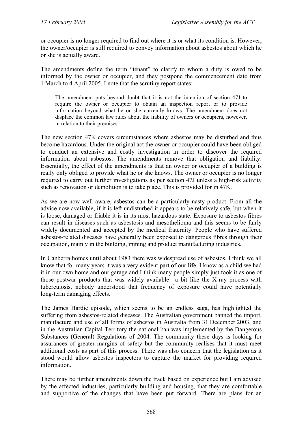or occupier is no longer required to find out where it is or what its condition is. However, the owner/occupier is still required to convey information about asbestos about which he or she is actually aware.

The amendments define the term "tenant" to clarify to whom a duty is owed to be informed by the owner or occupier, and they postpone the commencement date from 1 March to 4 April 2005. I note that the scrutiny report states:

The amendment puts beyond doubt that it is not the intention of section 47J to require the owner or occupier to obtain an inspection report or to provide information beyond what he or she currently knows. The amendment does not displace the common law rules about the liability of owners or occupiers, however, in relation to their premises.

The new section 47K covers circumstances where asbestos may be disturbed and thus become hazardous. Under the original act the owner or occupier could have been obliged to conduct an extensive and costly investigation in order to discover the required information about asbestos. The amendments remove that obligation and liability. Essentially, the effect of the amendments is that an owner or occupier of a building is really only obliged to provide what he or she knows. The owner or occupier is no longer required to carry out further investigations as per section 47J unless a high-risk activity such as renovation or demolition is to take place. This is provided for in 47K.

As we are now well aware, asbestos can be a particularly nasty product. From all the advice now available, if it is left undisturbed it appears to be relatively safe, but when it is loose, damaged or friable it is in its most hazardous state. Exposure to asbestos fibres can result in diseases such as asbestosis and mesothelioma and this seems to be fairly widely documented and accepted by the medical fraternity. People who have suffered asbestos-related diseases have generally been exposed to dangerous fibres through their occupation, mainly in the building, mining and product manufacturing industries.

In Canberra homes until about 1983 there was widespread use of asbestos. I think we all know that for many years it was a very evident part of our life. I know as a child we had it in our own home and our garage and I think many people simply just took it as one of those postwar products that was widely available—a bit like the X-ray process with tuberculosis, nobody understood that frequency of exposure could have potentially long-term damaging effects.

The James Hardie episode, which seems to be an endless saga, has highlighted the suffering from asbestos-related diseases. The Australian government banned the import, manufacture and use of all forms of asbestos in Australia from 31 December 2003, and in the Australian Capital Territory the national ban was implemented by the Dangerous Substances (General) Regulations of 2004. The community these days is looking for assurances of greater margins of safety but the community realises that it must meet additional costs as part of this process. There was also concern that the legislation as it stood would allow asbestos inspectors to capture the market for providing required information.

There may be further amendments down the track based on experience but I am advised by the affected industries, particularly building and housing, that they are comfortable and supportive of the changes that have been put forward. There are plans for an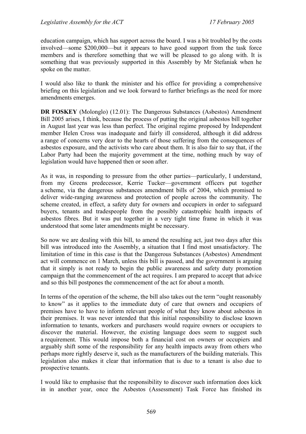education campaign, which has support across the board. I was a bit troubled by the costs involved—some \$200,000—but it appears to have good support from the task force members and is therefore something that we will be pleased to go along with. It is something that was previously supported in this Assembly by Mr Stefaniak when he spoke on the matter.

I would also like to thank the minister and his office for providing a comprehensive briefing on this legislation and we look forward to further briefings as the need for more amendments emerges.

**DR FOSKEY** (Molonglo) (12.01): The Dangerous Substances (Asbestos) Amendment Bill 2005 arises, I think, because the process of putting the original asbestos bill together in August last year was less than perfect. The original regime proposed by Independent member Helen Cross was inadequate and fairly ill considered, although it did address a range of concerns very dear to the hearts of those suffering from the consequences of asbestos exposure, and the activists who care about them. It is also fair to say that, if the Labor Party had been the majority government at the time, nothing much by way of legislation would have happened then or soon after.

As it was, in responding to pressure from the other parties—particularly, I understand, from my Greens predecessor, Kerrie Tucker—government officers put together a scheme, via the dangerous substances amendment bills of 2004, which promised to deliver wide-ranging awareness and protection of people across the community. The scheme created, in effect, a safety duty for owners and occupiers in order to safeguard buyers, tenants and tradespeople from the possibly catastrophic health impacts of asbestos fibres. But it was put together in a very tight time frame in which it was understood that some later amendments might be necessary.

So now we are dealing with this bill, to amend the resulting act, just two days after this bill was introduced into the Assembly, a situation that I find most unsatisfactory. The limitation of time in this case is that the Dangerous Substances (Asbestos) Amendment act will commence on 1 March, unless this bill is passed, and the government is arguing that it simply is not ready to begin the public awareness and safety duty promotion campaign that the commencement of the act requires. I am prepared to accept that advice and so this bill postpones the commencement of the act for about a month.

In terms of the operation of the scheme, the bill also takes out the term "ought reasonably to know" as it applies to the immediate duty of care that owners and occupiers of premises have to have to inform relevant people of what they know about asbestos in their premises. It was never intended that this initial responsibility to disclose known information to tenants, workers and purchasers would require owners or occupiers to discover the material. However, the existing language does seem to suggest such a requirement. This would impose both a financial cost on owners or occupiers and arguably shift some of the responsibility for any health impacts away from others who perhaps more rightly deserve it, such as the manufacturers of the building materials. This legislation also makes it clear that information that is due to a tenant is also due to prospective tenants.

I would like to emphasise that the responsibility to discover such information does kick in in another year, once the Asbestos (Assessment) Task Force has finished its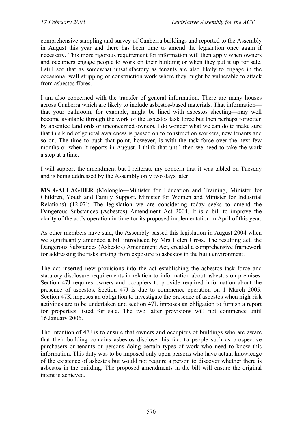comprehensive sampling and survey of Canberra buildings and reported to the Assembly in August this year and there has been time to amend the legislation once again if necessary. This more rigorous requirement for information will then apply when owners and occupiers engage people to work on their building or when they put it up for sale. I still see that as somewhat unsatisfactory as tenants are also likely to engage in the occasional wall stripping or construction work where they might be vulnerable to attack from asbestos fibres.

I am also concerned with the transfer of general information. There are many houses across Canberra which are likely to include asbestos-based materials. That information that your bathroom, for example, might be lined with asbestos sheeting—may well become available through the work of the asbestos task force but then perhaps forgotten by absentee landlords or unconcerned owners. I do wonder what we can do to make sure that this kind of general awareness is passed on to construction workers, new tenants and so on. The time to push that point, however, is with the task force over the next few months or when it reports in August. I think that until then we need to take the work a step at a time.

I will support the amendment but I reiterate my concern that it was tabled on Tuesday and is being addressed by the Assembly only two days later.

**MS GALLAGHER** (Molonglo—Minister for Education and Training, Minister for Children, Youth and Family Support, Minister for Women and Minister for Industrial Relations) (12.07): The legislation we are considering today seeks to amend the Dangerous Substances (Asbestos) Amendment Act 2004. It is a bill to improve the clarity of the act's operation in time for its proposed implementation in April of this year.

As other members have said, the Assembly passed this legislation in August 2004 when we significantly amended a bill introduced by Mrs Helen Cross. The resulting act, the Dangerous Substances (Asbestos) Amendment Act, created a comprehensive framework for addressing the risks arising from exposure to asbestos in the built environment.

The act inserted new provisions into the act establishing the asbestos task force and statutory disclosure requirements in relation to information about asbestos on premises. Section 47J requires owners and occupiers to provide required information about the presence of asbestos. Section 47J is due to commence operation on 1 March 2005. Section 47K imposes an obligation to investigate the presence of asbestos when high-risk activities are to be undertaken and section 47L imposes an obligation to furnish a report for properties listed for sale. The two latter provisions will not commence until 16 January 2006.

The intention of 47J is to ensure that owners and occupiers of buildings who are aware that their building contains asbestos disclose this fact to people such as prospective purchasers or tenants or persons doing certain types of work who need to know this information. This duty was to be imposed only upon persons who have actual knowledge of the existence of asbestos but would not require a person to discover whether there is asbestos in the building. The proposed amendments in the bill will ensure the original intent is achieved.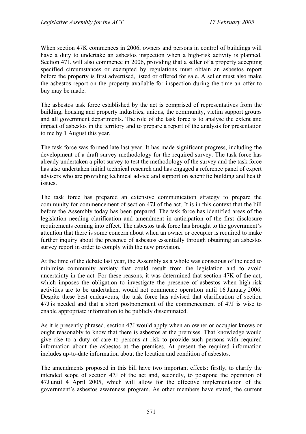When section 47K commences in 2006, owners and persons in control of buildings will have a duty to undertake an asbestos inspection when a high-risk activity is planned. Section 47L will also commence in 2006, providing that a seller of a property accepting specified circumstances or exempted by regulations must obtain an asbestos report before the property is first advertised, listed or offered for sale. A seller must also make the asbestos report on the property available for inspection during the time an offer to buy may be made.

The asbestos task force established by the act is comprised of representatives from the building, housing and property industries, unions, the community, victim support groups and all government departments. The role of the task force is to analyse the extent and impact of asbestos in the territory and to prepare a report of the analysis for presentation to me by 1 August this year.

The task force was formed late last year. It has made significant progress, including the development of a draft survey methodology for the required survey. The task force has already undertaken a pilot survey to test the methodology of the survey and the task force has also undertaken initial technical research and has engaged a reference panel of expert advisers who are providing technical advice and support on scientific building and health issues.

The task force has prepared an extensive communication strategy to prepare the community for commencement of section 47J of the act. It is in this context that the bill before the Assembly today has been prepared. The task force has identified areas of the legislation needing clarification and amendment in anticipation of the first disclosure requirements coming into effect. The asbestos task force has brought to the government's attention that there is some concern about when an owner or occupier is required to make further inquiry about the presence of asbestos essentially through obtaining an asbestos survey report in order to comply with the new provision.

At the time of the debate last year, the Assembly as a whole was conscious of the need to minimise community anxiety that could result from the legislation and to avoid uncertainty in the act. For these reasons, it was determined that section 47K of the act, which imposes the obligation to investigate the presence of asbestos when high-risk activities are to be undertaken, would not commence operation until 16 January 2006. Despite these best endeavours, the task force has advised that clarification of section 47J is needed and that a short postponement of the commencement of 47J is wise to enable appropriate information to be publicly disseminated.

As it is presently phrased, section 47J would apply when an owner or occupier knows or ought reasonably to know that there is asbestos at the premises. That knowledge would give rise to a duty of care to persons at risk to provide such persons with required information about the asbestos at the premises. At present the required information includes up-to-date information about the location and condition of asbestos.

The amendments proposed in this bill have two important effects: firstly, to clarify the intended scope of section 47J of the act and, secondly, to postpone the operation of 47J until 4 April 2005, which will allow for the effective implementation of the government's asbestos awareness program. As other members have stated, the current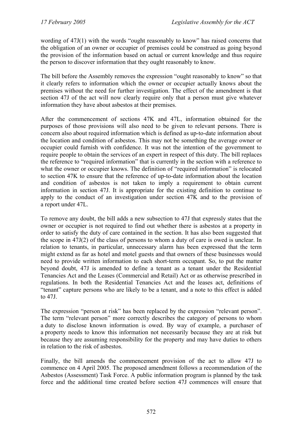wording of 47J(1) with the words "ought reasonably to know" has raised concerns that the obligation of an owner or occupier of premises could be construed as going beyond the provision of the information based on actual or current knowledge and thus require the person to discover information that they ought reasonably to know.

The bill before the Assembly removes the expression "ought reasonably to know" so that it clearly refers to information which the owner or occupier actually knows about the premises without the need for further investigation. The effect of the amendment is that section 47J of the act will now clearly require only that a person must give whatever information they have about asbestos at their premises.

After the commencement of sections 47K and 47L, information obtained for the purposes of those provisions will also need to be given to relevant persons. There is concern also about required information which is defined as up-to-date information about the location and condition of asbestos. This may not be something the average owner or occupier could furnish with confidence. It was not the intention of the government to require people to obtain the services of an expert in respect of this duty. The bill replaces the reference to "required information" that is currently in the section with a reference to what the owner or occupier knows. The definition of "required information" is relocated to section 47K to ensure that the reference of up-to-date information about the location and condition of asbestos is not taken to imply a requirement to obtain current information in section 47J. It is appropriate for the existing definition to continue to apply to the conduct of an investigation under section 47K and to the provision of a report under 47L.

To remove any doubt, the bill adds a new subsection to 47J that expressly states that the owner or occupier is not required to find out whether there is asbestos at a property in order to satisfy the duty of care contained in the section. It has also been suggested that the scope in 47J(2) of the class of persons to whom a duty of care is owed is unclear. In relation to tenants, in particular, unnecessary alarm has been expressed that the term might extend as far as hotel and motel guests and that owners of these businesses would need to provide written information to each short-term occupant. So, to put the matter beyond doubt, 47J is amended to define a tenant as a tenant under the Residential Tenancies Act and the Leases (Commercial and Retail) Act or as otherwise prescribed in regulations. In both the Residential Tenancies Act and the leases act, definitions of "tenant" capture persons who are likely to be a tenant, and a note to this effect is added to 47J.

The expression "person at risk" has been replaced by the expression "relevant person". The term "relevant person" more correctly describes the category of persons to whom a duty to disclose known information is owed. By way of example, a purchaser of a property needs to know this information not necessarily because they are at risk but because they are assuming responsibility for the property and may have duties to others in relation to the risk of asbestos.

Finally, the bill amends the commencement provision of the act to allow 47J to commence on 4 April 2005. The proposed amendment follows a recommendation of the Asbestos (Assessment) Task Force. A public information program is planned by the task force and the additional time created before section 47J commences will ensure that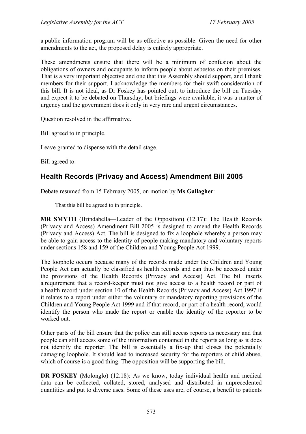a public information program will be as effective as possible. Given the need for other amendments to the act, the proposed delay is entirely appropriate.

These amendments ensure that there will be a minimum of confusion about the obligations of owners and occupants to inform people about asbestos on their premises. That is a very important objective and one that this Assembly should support, and I thank members for their support. I acknowledge the members for their swift consideration of this bill. It is not ideal, as Dr Foskey has pointed out, to introduce the bill on Tuesday and expect it to be debated on Thursday, but briefings were available, it was a matter of urgency and the government does it only in very rare and urgent circumstances.

Question resolved in the affirmative.

Bill agreed to in principle.

Leave granted to dispense with the detail stage.

Bill agreed to.

# <span id="page-33-0"></span>**Health Records (Privacy and Access) Amendment Bill 2005**

Debate resumed from 15 February 2005, on motion by **Ms Gallagher**:

That this bill be agreed to in principle.

**MR SMYTH** (Brindabella—Leader of the Opposition) (12.17): The Health Records (Privacy and Access) Amendment Bill 2005 is designed to amend the Health Records (Privacy and Access) Act. The bill is designed to fix a loophole whereby a person may be able to gain access to the identity of people making mandatory and voluntary reports under sections 158 and 159 of the Children and Young People Act 1999.

The loophole occurs because many of the records made under the Children and Young People Act can actually be classified as health records and can thus be accessed under the provisions of the Health Records (Privacy and Access) Act. The bill inserts a requirement that a record-keeper must not give access to a health record or part of a health record under section 10 of the Health Records (Privacy and Access) Act 1997 if it relates to a report under either the voluntary or mandatory reporting provisions of the Children and Young People Act 1999 and if that record, or part of a health record, would identify the person who made the report or enable the identity of the reporter to be worked out.

Other parts of the bill ensure that the police can still access reports as necessary and that people can still access some of the information contained in the reports as long as it does not identify the reporter. The bill is essentially a fix-up that closes the potentially damaging loophole. It should lead to increased security for the reporters of child abuse, which of course is a good thing. The opposition will be supporting the bill.

**DR FOSKEY** (Molonglo) (12.18): As we know, today individual health and medical data can be collected, collated, stored, analysed and distributed in unprecedented quantities and put to diverse uses. Some of these uses are, of course, a benefit to patients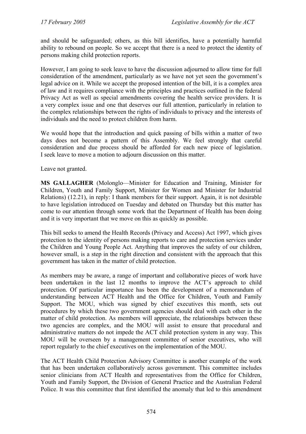and should be safeguarded; others, as this bill identifies, have a potentially harmful ability to rebound on people. So we accept that there is a need to protect the identity of persons making child protection reports.

However, I am going to seek leave to have the discussion adjourned to allow time for full consideration of the amendment, particularly as we have not yet seen the government's legal advice on it. While we accept the proposed intention of the bill, it is a complex area of law and it requires compliance with the principles and practices outlined in the federal Privacy Act as well as special amendments covering the health service providers. It is a very complex issue and one that deserves our full attention, particularly in relation to the complex relationships between the rights of individuals to privacy and the interests of individuals and the need to protect children from harm.

We would hope that the introduction and quick passing of bills within a matter of two days does not become a pattern of this Assembly. We feel strongly that careful consideration and due process should be afforded for each new piece of legislation. I seek leave to move a motion to adjourn discussion on this matter.

Leave not granted.

**MS GALLAGHER** (Molonglo—Minister for Education and Training, Minister for Children, Youth and Family Support, Minister for Women and Minister for Industrial Relations) (12.21), in reply: I thank members for their support. Again, it is not desirable to have legislation introduced on Tuesday and debated on Thursday but this matter has come to our attention through some work that the Department of Health has been doing and it is very important that we move on this as quickly as possible.

This bill seeks to amend the Health Records (Privacy and Access) Act 1997, which gives protection to the identity of persons making reports to care and protection services under the Children and Young People Act. Anything that improves the safety of our children, however small, is a step in the right direction and consistent with the approach that this government has taken in the matter of child protection.

As members may be aware, a range of important and collaborative pieces of work have been undertaken in the last 12 months to improve the ACT's approach to child protection. Of particular importance has been the development of a memorandum of understanding between ACT Health and the Office for Children, Youth and Family Support. The MOU, which was signed by chief executives this month, sets out procedures by which these two government agencies should deal with each other in the matter of child protection. As members will appreciate, the relationships between these two agencies are complex, and the MOU will assist to ensure that procedural and administrative matters do not impede the ACT child protection system in any way. This MOU will be overseen by a management committee of senior executives, who will report regularly to the chief executives on the implementation of the MOU.

The ACT Health Child Protection Advisory Committee is another example of the work that has been undertaken collaboratively across government. This committee includes senior clinicians from ACT Health and representatives from the Office for Children, Youth and Family Support, the Division of General Practice and the Australian Federal Police. It was this committee that first identified the anomaly that led to this amendment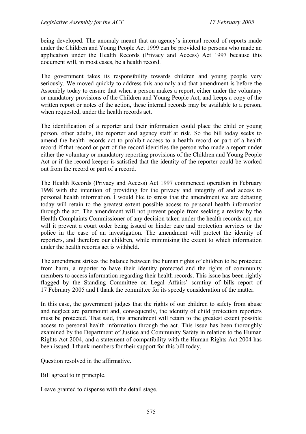being developed. The anomaly meant that an agency's internal record of reports made under the Children and Young People Act 1999 can be provided to persons who made an application under the Health Records (Privacy and Access) Act 1997 because this document will, in most cases, be a health record.

The government takes its responsibility towards children and young people very seriously. We moved quickly to address this anomaly and that amendment is before the Assembly today to ensure that when a person makes a report, either under the voluntary or mandatory provisions of the Children and Young People Act, and keeps a copy of the written report or notes of the action, these internal records may be available to a person, when requested, under the health records act.

The identification of a reporter and their information could place the child or young person, other adults, the reporter and agency staff at risk. So the bill today seeks to amend the health records act to prohibit access to a health record or part of a health record if that record or part of the record identifies the person who made a report under either the voluntary or mandatory reporting provisions of the Children and Young People Act or if the record-keeper is satisfied that the identity of the reporter could be worked out from the record or part of a record.

The Health Records (Privacy and Access) Act 1997 commenced operation in February 1998 with the intention of providing for the privacy and integrity of and access to personal health information. I would like to stress that the amendment we are debating today will retain to the greatest extent possible access to personal health information through the act. The amendment will not prevent people from seeking a review by the Health Complaints Commissioner of any decision taken under the health records act, nor will it prevent a court order being issued or hinder care and protection services or the police in the case of an investigation. The amendment will protect the identity of reporters, and therefore our children, while minimising the extent to which information under the health records act is withheld.

The amendment strikes the balance between the human rights of children to be protected from harm, a reporter to have their identity protected and the rights of community members to access information regarding their health records. This issue has been rightly flagged by the Standing Committee on Legal Affairs' scrutiny of bills report of 17 February 2005 and I thank the committee for its speedy consideration of the matter.

In this case, the government judges that the rights of our children to safety from abuse and neglect are paramount and, consequently, the identity of child protection reporters must be protected. That said, this amendment will retain to the greatest extent possible access to personal health information through the act. This issue has been thoroughly examined by the Department of Justice and Community Safety in relation to the Human Rights Act 2004, and a statement of compatibility with the Human Rights Act 2004 has been issued. I thank members for their support for this bill today.

Question resolved in the affirmative.

Bill agreed to in principle.

Leave granted to dispense with the detail stage.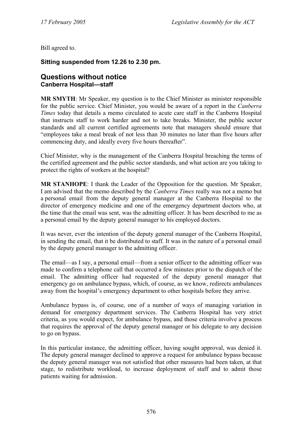Bill agreed to.

### **Sitting suspended from 12.26 to 2.30 pm.**

## **Questions without notice Canberra Hospital—staff**

**MR SMYTH**: Mr Speaker, my question is to the Chief Minister as minister responsible for the public service. Chief Minister, you would be aware of a report in the *Canberra Times* today that details a memo circulated to acute care staff in the Canberra Hospital that instructs staff to work harder and not to take breaks. Minister, the public sector standards and all current certified agreements note that managers should ensure that "employees take a meal break of not less than 30 minutes no later than five hours after commencing duty, and ideally every five hours thereafter".

Chief Minister, why is the management of the Canberra Hospital breaching the terms of the certified agreement and the public sector standards, and what action are you taking to protect the rights of workers at the hospital?

**MR STANHOPE**: I thank the Leader of the Opposition for the question. Mr Speaker, I am advised that the memo described by the *Canberra Times* really was not a memo but a personal email from the deputy general manager at the Canberra Hospital to the director of emergency medicine and one of the emergency department doctors who, at the time that the email was sent, was the admitting officer. It has been described to me as a personal email by the deputy general manager to his employed doctors.

It was never, ever the intention of the deputy general manager of the Canberra Hospital, in sending the email, that it be distributed to staff. It was in the nature of a personal email by the deputy general manager to the admitting officer.

The email—as I say, a personal email—from a senior officer to the admitting officer was made to confirm a telephone call that occurred a few minutes prior to the dispatch of the email. The admitting officer had requested of the deputy general manager that emergency go on ambulance bypass, which, of course, as we know, redirects ambulances away from the hospital's emergency department to other hospitals before they arrive.

Ambulance bypass is, of course, one of a number of ways of managing variation in demand for emergency department services. The Canberra Hospital has very strict criteria, as you would expect, for ambulance bypass, and those criteria involve a process that requires the approval of the deputy general manager or his delegate to any decision to go on bypass.

In this particular instance, the admitting officer, having sought approval, was denied it. The deputy general manager declined to approve a request for ambulance bypass because the deputy general manager was not satisfied that other measures had been taken, at that stage, to redistribute workload, to increase deployment of staff and to admit those patients waiting for admission.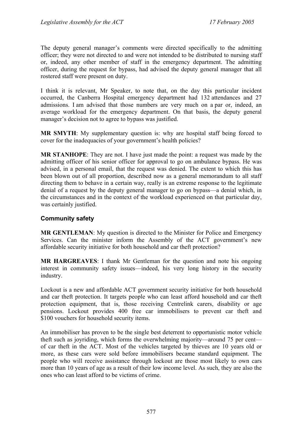The deputy general manager's comments were directed specifically to the admitting officer; they were not directed to and were not intended to be distributed to nursing staff or, indeed, any other member of staff in the emergency department. The admitting officer, during the request for bypass, had advised the deputy general manager that all rostered staff were present on duty.

I think it is relevant, Mr Speaker, to note that, on the day this particular incident occurred, the Canberra Hospital emergency department had 132 attendances and 27 admissions. I am advised that those numbers are very much on a par or, indeed, an average workload for the emergency department. On that basis, the deputy general manager's decision not to agree to bypass was justified.

**MR SMYTH**: My supplementary question is: why are hospital staff being forced to cover for the inadequacies of your government's health policies?

**MR STANHOPE**: They are not. I have just made the point: a request was made by the admitting officer of his senior officer for approval to go on ambulance bypass. He was advised, in a personal email, that the request was denied. The extent to which this has been blown out of all proportion, described now as a general memorandum to all staff directing them to behave in a certain way, really is an extreme response to the legitimate denial of a request by the deputy general manager to go on bypass—a denial which, in the circumstances and in the context of the workload experienced on that particular day, was certainly justified.

# **Community safety**

**MR GENTLEMAN**: My question is directed to the Minister for Police and Emergency Services. Can the minister inform the Assembly of the ACT government's new affordable security initiative for both household and car theft protection?

**MR HARGREAVES**: I thank Mr Gentleman for the question and note his ongoing interest in community safety issues—indeed, his very long history in the security industry.

Lockout is a new and affordable ACT government security initiative for both household and car theft protection. It targets people who can least afford household and car theft protection equipment, that is, those receiving Centrelink carers, disability or age pensions. Lockout provides 400 free car immobilisers to prevent car theft and \$100 vouchers for household security items.

An immobiliser has proven to be the single best deterrent to opportunistic motor vehicle theft such as joyriding, which forms the overwhelming majority—around 75 per cent of car theft in the ACT. Most of the vehicles targeted by thieves are 10 years old or more, as these cars were sold before immobilisers became standard equipment. The people who will receive assistance through lockout are those most likely to own cars more than 10 years of age as a result of their low income level. As such, they are also the ones who can least afford to be victims of crime.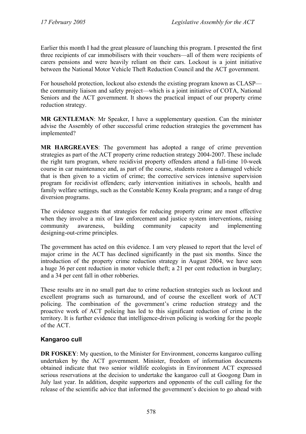Earlier this month I had the great pleasure of launching this program. I presented the first three recipients of car immobilisers with their vouchers—all of them were recipients of carers pensions and were heavily reliant on their cars. Lockout is a joint initiative between the National Motor Vehicle Theft Reduction Council and the ACT government.

For household protection, lockout also extends the existing program known as CLASP the community liaison and safety project—which is a joint initiative of COTA, National Seniors and the ACT government. It shows the practical impact of our property crime reduction strategy.

**MR GENTLEMAN**: Mr Speaker, I have a supplementary question. Can the minister advise the Assembly of other successful crime reduction strategies the government has implemented?

**MR HARGREAVES**: The government has adopted a range of crime prevention strategies as part of the ACT property crime reduction strategy 2004-2007. These include the right turn program, where recidivist property offenders attend a full-time 10-week course in car maintenance and, as part of the course, students restore a damaged vehicle that is then given to a victim of crime; the corrective services intensive supervision program for recidivist offenders; early intervention initiatives in schools, health and family welfare settings, such as the Constable Kenny Koala program; and a range of drug diversion programs.

The evidence suggests that strategies for reducing property crime are most effective when they involve a mix of law enforcement and justice system interventions, raising community awareness, building community capacity and implementing designing-out-crime principles.

The government has acted on this evidence. I am very pleased to report that the level of major crime in the ACT has declined significantly in the past six months. Since the introduction of the property crime reduction strategy in August 2004, we have seen a huge 36 per cent reduction in motor vehicle theft; a 21 per cent reduction in burglary; and a 34 per cent fall in other robberies.

These results are in no small part due to crime reduction strategies such as lockout and excellent programs such as turnaround, and of course the excellent work of ACT policing. The combination of the government's crime reduction strategy and the proactive work of ACT policing has led to this significant reduction of crime in the territory. It is further evidence that intelligence-driven policing is working for the people of the ACT.

# **Kangaroo cull**

**DR FOSKEY**: My question, to the Minister for Environment, concerns kangaroo culling undertaken by the ACT government. Minister, freedom of information documents obtained indicate that two senior wildlife ecologists in Environment ACT expressed serious reservations at the decision to undertake the kangaroo cull at Googong Dam in July last year. In addition, despite supporters and opponents of the cull calling for the release of the scientific advice that informed the government's decision to go ahead with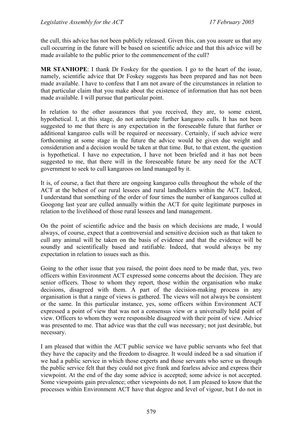the cull, this advice has not been publicly released. Given this, can you assure us that any cull occurring in the future will be based on scientific advice and that this advice will be made available to the public prior to the commencement of the cull?

**MR STANHOPE**: I thank Dr Foskey for the question. I go to the heart of the issue, namely, scientific advice that Dr Foskey suggests has been prepared and has not been made available. I have to confess that I am not aware of the circumstances in relation to that particular claim that you make about the existence of information that has not been made available. I will pursue that particular point.

In relation to the other assurances that you received, they are, to some extent, hypothetical. I, at this stage, do not anticipate further kangaroo culls. It has not been suggested to me that there is any expectation in the foreseeable future that further or additional kangaroo culls will be required or necessary. Certainly, if such advice were forthcoming at some stage in the future the advice would be given due weight and consideration and a decision would be taken at that time. But, to that extent, the question is hypothetical. I have no expectation, I have not been briefed and it has not been suggested to me, that there will in the foreseeable future be any need for the ACT government to seek to cull kangaroos on land managed by it.

It is, of course, a fact that there are ongoing kangaroo culls throughout the whole of the ACT at the behest of our rural lessees and rural landholders within the ACT. Indeed, I understand that something of the order of four times the number of kangaroos culled at Googong last year are culled annually within the ACT for quite legitimate purposes in relation to the livelihood of those rural lessees and land management.

On the point of scientific advice and the basis on which decisions are made, I would always, of course, expect that a controversial and sensitive decision such as that taken to cull any animal will be taken on the basis of evidence and that the evidence will be soundly and scientifically based and ratifiable. Indeed, that would always be my expectation in relation to issues such as this.

Going to the other issue that you raised, the point does need to be made that, yes, two officers within Environment ACT expressed some concerns about the decision. They are senior officers. Those to whom they report, those within the organisation who make decisions, disagreed with them. A part of the decision-making process in any organisation is that a range of views is gathered. The views will not always be consistent or the same. In this particular instance, yes, some officers within Environment ACT expressed a point of view that was not a consensus view or a universally held point of view. Officers to whom they were responsible disagreed with their point of view. Advice was presented to me. That advice was that the cull was necessary; not just desirable, but necessary.

I am pleased that within the ACT public service we have public servants who feel that they have the capacity and the freedom to disagree. It would indeed be a sad situation if we had a public service in which those experts and those servants who serve us through the public service felt that they could not give frank and fearless advice and express their viewpoint. At the end of the day some advice is accepted; some advice is not accepted. Some viewpoints gain prevalence; other viewpoints do not. I am pleased to know that the processes within Environment ACT have that degree and level of vigour, but I do not in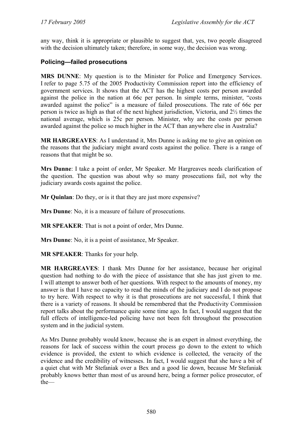any way, think it is appropriate or plausible to suggest that, yes, two people disagreed with the decision ultimately taken; therefore, in some way, the decision was wrong.

# **Policing—failed prosecutions**

**MRS DUNNE**: My question is to the Minister for Police and Emergency Services. I refer to page 5.75 of the 2005 Productivity Commission report into the efficiency of government services. It shows that the ACT has the highest costs per person awarded against the police in the nation at 66c per person. In simple terms, minister, "costs awarded against the police" is a measure of failed prosecutions. The rate of 66c per person is twice as high as that of the next highest jurisdiction, Victoria, and 2½ times the national average, which is 25c per person. Minister, why are the costs per person awarded against the police so much higher in the ACT than anywhere else in Australia?

**MR HARGREAVES**: As I understand it, Mrs Dunne is asking me to give an opinion on the reasons that the judiciary might award costs against the police. There is a range of reasons that that might be so.

**Mrs Dunne**: I take a point of order, Mr Speaker. Mr Hargreaves needs clarification of the question. The question was about why so many prosecutions fail, not why the judiciary awards costs against the police.

**Mr Quinlan**: Do they, or is it that they are just more expensive?

**Mrs Dunne**: No, it is a measure of failure of prosecutions.

**MR SPEAKER**: That is not a point of order, Mrs Dunne.

**Mrs Dunne**: No, it is a point of assistance, Mr Speaker.

**MR SPEAKER**: Thanks for your help.

**MR HARGREAVES**: I thank Mrs Dunne for her assistance, because her original question had nothing to do with the piece of assistance that she has just given to me. I will attempt to answer both of her questions. With respect to the amounts of money, my answer is that I have no capacity to read the minds of the judiciary and I do not propose to try here. With respect to why it is that prosecutions are not successful, I think that there is a variety of reasons. It should be remembered that the Productivity Commission report talks about the performance quite some time ago. In fact, I would suggest that the full effects of intelligence-led policing have not been felt throughout the prosecution system and in the judicial system.

As Mrs Dunne probably would know, because she is an expert in almost everything, the reasons for lack of success within the court process go down to the extent to which evidence is provided, the extent to which evidence is collected, the veracity of the evidence and the credibility of witnesses. In fact, I would suggest that she have a bit of a quiet chat with Mr Stefaniak over a Bex and a good lie down, because Mr Stefaniak probably knows better than most of us around here, being a former police prosecutor, of the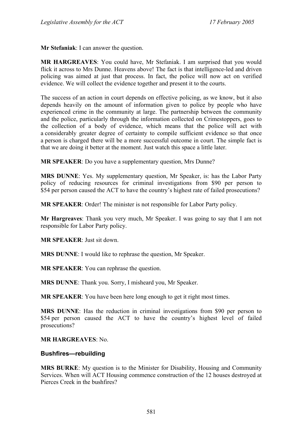**Mr Stefaniak**: I can answer the question.

**MR HARGREAVES**: You could have, Mr Stefaniak. I am surprised that you would flick it across to Mrs Dunne. Heavens above! The fact is that intelligence-led and driven policing was aimed at just that process. In fact, the police will now act on verified evidence. We will collect the evidence together and present it to the courts.

The success of an action in court depends on effective policing, as we know, but it also depends heavily on the amount of information given to police by people who have experienced crime in the community at large. The partnership between the community and the police, particularly through the information collected on Crimestoppers, goes to the collection of a body of evidence, which means that the police will act with a considerably greater degree of certainty to compile sufficient evidence so that once a person is charged there will be a more successful outcome in court. The simple fact is that we are doing it better at the moment. Just watch this space a little later.

**MR SPEAKER**: Do you have a supplementary question, Mrs Dunne?

**MRS DUNNE**: Yes. My supplementary question, Mr Speaker, is: has the Labor Party policy of reducing resources for criminal investigations from \$90 per person to \$54 per person caused the ACT to have the country's highest rate of failed prosecutions?

**MR SPEAKER**: Order! The minister is not responsible for Labor Party policy.

**Mr Hargreaves**: Thank you very much, Mr Speaker. I was going to say that I am not responsible for Labor Party policy.

**MR SPEAKER**: Just sit down.

**MRS DUNNE**: I would like to rephrase the question, Mr Speaker.

**MR SPEAKER**: You can rephrase the question.

**MRS DUNNE**: Thank you. Sorry, I misheard you, Mr Speaker.

**MR SPEAKER**: You have been here long enough to get it right most times.

**MRS DUNNE**: Has the reduction in criminal investigations from \$90 per person to \$54 per person caused the ACT to have the country's highest level of failed prosecutions?

#### **MR HARGREAVES**: No.

#### **Bushfires—rebuilding**

**MRS BURKE**: My question is to the Minister for Disability, Housing and Community Services. When will ACT Housing commence construction of the 12 houses destroyed at Pierces Creek in the bushfires?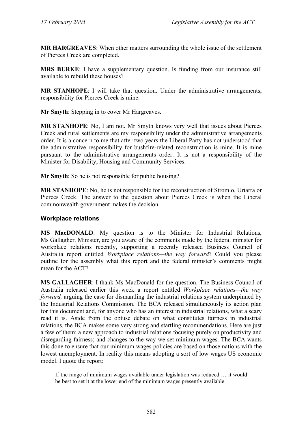**MR HARGREAVES**: When other matters surrounding the whole issue of the settlement of Pierces Creek are completed.

**MRS BURKE**: I have a supplementary question. Is funding from our insurance still available to rebuild these houses?

**MR STANHOPE**: I will take that question. Under the administrative arrangements, responsibility for Pierces Creek is mine.

**Mr Smyth**: Stepping in to cover Mr Hargreaves.

**MR STANHOPE**: No, I am not. Mr Smyth knows very well that issues about Pierces Creek and rural settlements are my responsibility under the administrative arrangements order. It is a concern to me that after two years the Liberal Party has not understood that the administrative responsibility for bushfire-related reconstruction is mine. It is mine pursuant to the administrative arrangements order. It is not a responsibility of the Minister for Disability, Housing and Community Services.

**Mr Smyth**: So he is not responsible for public housing?

**MR STANHOPE**: No, he is not responsible for the reconstruction of Stromlo, Uriarra or Pierces Creek. The answer to the question about Pierces Creek is when the Liberal commonwealth government makes the decision.

#### **Workplace relations**

**MS MacDONALD**: My question is to the Minister for Industrial Relations, Ms Gallagher. Minister, are you aware of the comments made by the federal minister for workplace relations recently, supporting a recently released Business Council of Australia report entitled *Workplace relations—the way forward*? Could you please outline for the assembly what this report and the federal minister's comments might mean for the ACT?

**MS GALLAGHER**: I thank Ms MacDonald for the question. The Business Council of Australia released earlier this week a report entitled *Workplace relations—the way forward*, arguing the case for dismantling the industrial relations system underpinned by the Industrial Relations Commission. The BCA released simultaneously its action plan for this document and, for anyone who has an interest in industrial relations, what a scary read it is. Aside from the obtuse debate on what constitutes fairness in industrial relations, the BCA makes some very strong and startling recommendations. Here are just a few of them: a new approach to industrial relations focusing purely on productivity and disregarding fairness; and changes to the way we set minimum wages. The BCA wants this done to ensure that our minimum wages policies are based on those nations with the lowest unemployment. In reality this means adopting a sort of low wages US economic model. I quote the report:

If the range of minimum wages available under legislation was reduced … it would be best to set it at the lower end of the minimum wages presently available.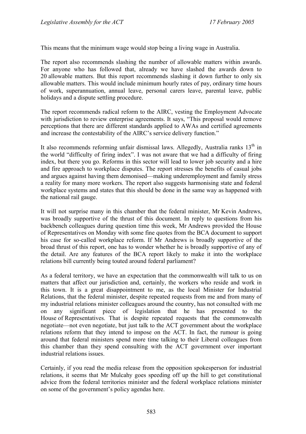This means that the minimum wage would stop being a living wage in Australia.

The report also recommends slashing the number of allowable matters within awards. For anyone who has followed that, already we have slashed the awards down to 20 allowable matters. But this report recommends slashing it down further to only six allowable matters. This would include minimum hourly rates of pay, ordinary time hours of work, superannuation, annual leave, personal carers leave, parental leave, public holidays and a dispute settling procedure.

The report recommends radical reform to the AIRC, vesting the Employment Advocate with jurisdiction to review enterprise agreements. It says, "This proposal would remove perceptions that there are different standards applied to AWAs and certified agreements and increase the contestability of the AIRC's service delivery function."

It also recommends reforming unfair dismissal laws. Allegedly, Australia ranks  $13<sup>th</sup>$  in the world "difficulty of firing index". I was not aware that we had a difficulty of firing index, but there you go. Reforms in this sector will lead to lower job security and a hire and fire approach to workplace disputes. The report stresses the benefits of casual jobs and argues against having them demonised—making underemployment and family stress a reality for many more workers. The report also suggests harmonising state and federal workplace systems and states that this should be done in the same way as happened with the national rail gauge.

It will not surprise many in this chamber that the federal minister, Mr Kevin Andrews, was broadly supportive of the thrust of this document. In reply to questions from his backbench colleagues during question time this week, Mr Andrews provided the House of Representatives on Monday with some fine quotes from the BCA document to support his case for so-called workplace reform. If Mr Andrews is broadly supportive of the broad thrust of this report, one has to wonder whether he is broadly supportive of any of the detail. Are any features of the BCA report likely to make it into the workplace relations bill currently being touted around federal parliament?

As a federal territory, we have an expectation that the commonwealth will talk to us on matters that affect our jurisdiction and, certainly, the workers who reside and work in this town. It is a great disappointment to me, as the local Minister for Industrial Relations, that the federal minister, despite repeated requests from me and from many of my industrial relations minister colleagues around the country, has not consulted with me on any significant piece of legislation that he has presented to the House of Representatives. That is despite repeated requests that the commonwealth negotiate—not even negotiate, but just talk to the ACT government about the workplace relations reform that they intend to impose on the ACT. In fact, the rumour is going around that federal ministers spend more time talking to their Liberal colleagues from this chamber than they spend consulting with the ACT government over important industrial relations issues.

Certainly, if you read the media release from the opposition spokesperson for industrial relations, it seems that Mr Mulcahy goes speeding off up the hill to get constitutional advice from the federal territories minister and the federal workplace relations minister on some of the government's policy agendas here.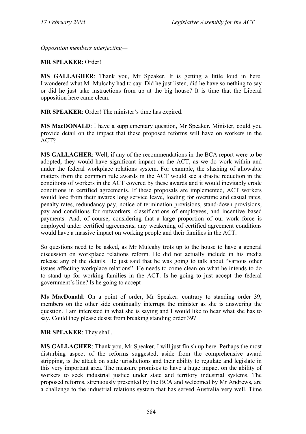*Opposition members interjecting—*

#### **MR SPEAKER**: Order!

**MS GALLAGHER**: Thank you, Mr Speaker. It is getting a little loud in here. I wondered what Mr Mulcahy had to say. Did he just listen, did he have something to say or did he just take instructions from up at the big house? It is time that the Liberal opposition here came clean.

**MR SPEAKER**: Order! The minister's time has expired.

**MS MacDONALD**: I have a supplementary question, Mr Speaker. Minister, could you provide detail on the impact that these proposed reforms will have on workers in the ACT?

**MS GALLAGHER**: Well, if any of the recommendations in the BCA report were to be adopted, they would have significant impact on the ACT, as we do work within and under the federal workplace relations system. For example, the slashing of allowable matters from the common rule awards in the ACT would see a drastic reduction in the conditions of workers in the ACT covered by these awards and it would inevitably erode conditions in certified agreements. If these proposals are implemented, ACT workers would lose from their awards long service leave, loading for overtime and casual rates, penalty rates, redundancy pay, notice of termination provisions, stand-down provisions, pay and conditions for outworkers, classifications of employees, and incentive based payments. And, of course, considering that a large proportion of our work force is employed under certified agreements, any weakening of certified agreement conditions would have a massive impact on working people and their families in the ACT.

So questions need to be asked, as Mr Mulcahy trots up to the house to have a general discussion on workplace relations reform. He did not actually include in his media release any of the details. He just said that he was going to talk about "various other issues affecting workplace relations". He needs to come clean on what he intends to do to stand up for working families in the ACT. Is he going to just accept the federal government's line? Is he going to accept—

**Ms MacDonald**: On a point of order, Mr Speaker: contrary to standing order 39, members on the other side continually interrupt the minister as she is answering the question. I am interested in what she is saying and I would like to hear what she has to say. Could they please desist from breaking standing order 39?

#### **MR SPEAKER**: They shall.

**MS GALLAGHER**: Thank you, Mr Speaker. I will just finish up here. Perhaps the most disturbing aspect of the reforms suggested, aside from the comprehensive award stripping, is the attack on state jurisdictions and their ability to regulate and legislate in this very important area. The measure promises to have a huge impact on the ability of workers to seek industrial justice under state and territory industrial systems. The proposed reforms, strenuously presented by the BCA and welcomed by Mr Andrews, are a challenge to the industrial relations system that has served Australia very well. Time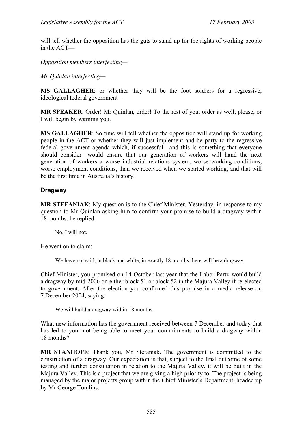will tell whether the opposition has the guts to stand up for the rights of working people in the ACT—

*Opposition members interjecting—* 

*Mr Quinlan interjecting—* 

**MS GALLAGHER**: or whether they will be the foot soldiers for a regressive, ideological federal government—

**MR SPEAKER**: Order! Mr Quinlan, order! To the rest of you, order as well, please, or I will begin by warning you.

**MS GALLAGHER**: So time will tell whether the opposition will stand up for working people in the ACT or whether they will just implement and be party to the regressive federal government agenda which, if successful—and this is something that everyone should consider—would ensure that our generation of workers will hand the next generation of workers a worse industrial relations system, worse working conditions, worse employment conditions, than we received when we started working, and that will be the first time in Australia's history.

#### **Dragway**

**MR STEFANIAK**: My question is to the Chief Minister. Yesterday, in response to my question to Mr Quinlan asking him to confirm your promise to build a dragway within 18 months, he replied:

No, I will not.

He went on to claim:

We have not said, in black and white, in exactly 18 months there will be a dragway.

Chief Minister, you promised on 14 October last year that the Labor Party would build a dragway by mid-2006 on either block 51 or block 52 in the Majura Valley if re-elected to government. After the election you confirmed this promise in a media release on 7 December 2004, saying:

We will build a dragway within 18 months.

What new information has the government received between 7 December and today that has led to your not being able to meet your commitments to build a dragway within 18 months?

**MR STANHOPE**: Thank you, Mr Stefaniak. The government is committed to the construction of a dragway. Our expectation is that, subject to the final outcome of some testing and further consultation in relation to the Majura Valley, it will be built in the Majura Valley. This is a project that we are giving a high priority to. The project is being managed by the major projects group within the Chief Minister's Department, headed up by Mr George Tomlins.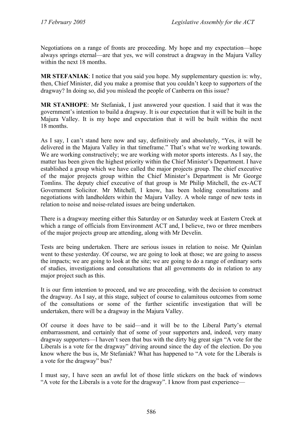Negotiations on a range of fronts are proceeding. My hope and my expectation—hope always springs eternal—are that yes, we will construct a dragway in the Majura Valley within the next 18 months.

**MR STEFANIAK**: I notice that you said you hope. My supplementary question is: why, then, Chief Minister, did you make a promise that you couldn't keep to supporters of the dragway? In doing so, did you mislead the people of Canberra on this issue?

**MR STANHOPE**: Mr Stefaniak, I just answered your question. I said that it was the government's intention to build a dragway. It is our expectation that it will be built in the Majura Valley. It is my hope and expectation that it will be built within the next 18 months.

As I say, I can't stand here now and say, definitively and absolutely, "Yes, it will be delivered in the Majura Valley in that timeframe." That's what we're working towards. We are working constructively; we are working with motor sports interests. As I say, the matter has been given the highest priority within the Chief Minister's Department. I have established a group which we have called the major projects group. The chief executive of the major projects group within the Chief Minister's Department is Mr George Tomlins. The deputy chief executive of that group is Mr Philip Mitchell, the ex-ACT Government Solicitor. Mr Mitchell, I know, has been holding consultations and negotiations with landholders within the Majura Valley. A whole range of new tests in relation to noise and noise-related issues are being undertaken.

There is a dragway meeting either this Saturday or on Saturday week at Eastern Creek at which a range of officials from Environment ACT and, I believe, two or three members of the major projects group are attending, along with Mr Develin.

Tests are being undertaken. There are serious issues in relation to noise. Mr Quinlan went to these yesterday. Of course, we are going to look at those; we are going to assess the impacts; we are going to look at the site; we are going to do a range of ordinary sorts of studies, investigations and consultations that all governments do in relation to any major project such as this.

It is our firm intention to proceed, and we are proceeding, with the decision to construct the dragway. As I say, at this stage, subject of course to calamitous outcomes from some of the consultations or some of the further scientific investigation that will be undertaken, there will be a dragway in the Majura Valley.

Of course it does have to be said—and it will be to the Liberal Party's eternal embarrassment, and certainly that of some of your supporters and, indeed, very many dragway supporters—I haven't seen that bus with the dirty big great sign "A vote for the Liberals is a vote for the dragway" driving around since the day of the election. Do you know where the bus is, Mr Stefaniak? What has happened to "A vote for the Liberals is a vote for the dragway" bus?

I must say, I have seen an awful lot of those little stickers on the back of windows "A vote for the Liberals is a vote for the dragway". I know from past experience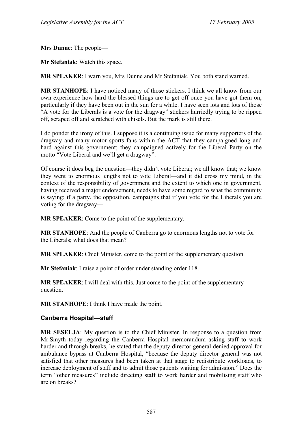**Mrs Dunne**: The people—

**Mr Stefaniak**: Watch this space.

**MR SPEAKER**: I warn you, Mrs Dunne and Mr Stefaniak. You both stand warned.

**MR STANHOPE**: I have noticed many of those stickers. I think we all know from our own experience how hard the blessed things are to get off once you have got them on, particularly if they have been out in the sun for a while. I have seen lots and lots of those "A vote for the Liberals is a vote for the dragway" stickers hurriedly trying to be ripped off, scraped off and scratched with chisels. But the mark is still there.

I do ponder the irony of this. I suppose it is a continuing issue for many supporters of the dragway and many motor sports fans within the ACT that they campaigned long and hard against this government; they campaigned actively for the Liberal Party on the motto "Vote Liberal and we'll get a dragway".

Of course it does beg the question—they didn't vote Liberal; we all know that; we know they went to enormous lengths not to vote Liberal—and it did cross my mind, in the context of the responsibility of government and the extent to which one in government, having received a major endorsement, needs to have some regard to what the community is saying: if a party, the opposition, campaigns that if you vote for the Liberals you are voting for the dragway—

**MR SPEAKER**: Come to the point of the supplementary.

**MR STANHOPE**: And the people of Canberra go to enormous lengths not to vote for the Liberals; what does that mean?

**MR SPEAKER**: Chief Minister, come to the point of the supplementary question.

**Mr Stefaniak**: I raise a point of order under standing order 118.

**MR SPEAKER**: I will deal with this. Just come to the point of the supplementary question.

**MR STANHOPE**: I think I have made the point.

# **Canberra Hospital—staff**

**MR SESELJA**: My question is to the Chief Minister. In response to a question from Mr Smyth today regarding the Canberra Hospital memorandum asking staff to work harder and through breaks, he stated that the deputy director general denied approval for ambulance bypass at Canberra Hospital, "because the deputy director general was not satisfied that other measures had been taken at that stage to redistribute workloads, to increase deployment of staff and to admit those patients waiting for admission." Does the term "other measures" include directing staff to work harder and mobilising staff who are on breaks?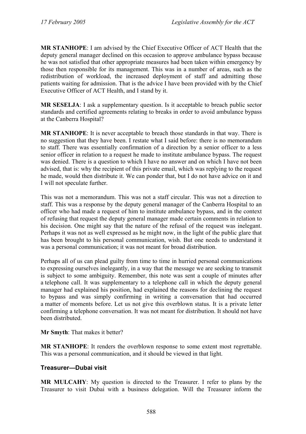**MR STANHOPE**: I am advised by the Chief Executive Officer of ACT Health that the deputy general manager declined on this occasion to approve ambulance bypass because he was not satisfied that other appropriate measures had been taken within emergency by those then responsible for its management. This was in a number of areas, such as the redistribution of workload, the increased deployment of staff and admitting those patients waiting for admission. That is the advice I have been provided with by the Chief Executive Officer of ACT Health, and I stand by it.

**MR SESELJA:** I ask a supplementary question. Is it acceptable to breach public sector standards and certified agreements relating to breaks in order to avoid ambulance bypass at the Canberra Hospital?

**MR STANHOPE**: It is never acceptable to breach those standards in that way. There is no suggestion that they have been. I restate what I said before: there is no memorandum to staff. There was essentially confirmation of a direction by a senior officer to a less senior officer in relation to a request he made to institute ambulance bypass. The request was denied. There is a question to which I have no answer and on which I have not been advised, that is: why the recipient of this private email, which was replying to the request he made, would then distribute it. We can ponder that, but I do not have advice on it and I will not speculate further.

This was not a memorandum. This was not a staff circular. This was not a direction to staff. This was a response by the deputy general manager of the Canberra Hospital to an officer who had made a request of him to institute ambulance bypass, and in the context of refusing that request the deputy general manager made certain comments in relation to his decision. One might say that the nature of the refusal of the request was inelegant. Perhaps it was not as well expressed as he might now, in the light of the public glare that has been brought to his personal communication, wish. But one needs to understand it was a personal communication; it was not meant for broad distribution.

Perhaps all of us can plead guilty from time to time in hurried personal communications to expressing ourselves inelegantly, in a way that the message we are seeking to transmit is subject to some ambiguity. Remember, this note was sent a couple of minutes after a telephone call. It was supplementary to a telephone call in which the deputy general manager had explained his position, had explained the reasons for declining the request to bypass and was simply confirming in writing a conversation that had occurred a matter of moments before. Let us not give this overblown status. It is a private letter confirming a telephone conversation. It was not meant for distribution. It should not have been distributed.

**Mr Smyth**: That makes it better?

**MR STANHOPE**: It renders the overblown response to some extent most regrettable. This was a personal communication, and it should be viewed in that light.

# **Treasurer—Dubai visit**

**MR MULCAHY**: My question is directed to the Treasurer. I refer to plans by the Treasurer to visit Dubai with a business delegation. Will the Treasurer inform the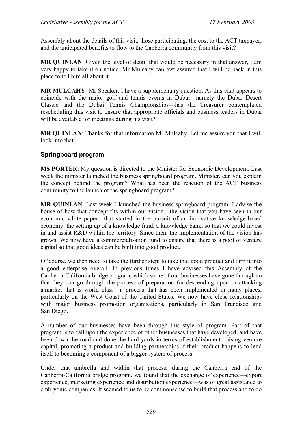Assembly about the details of this visit, those participating, the cost to the ACT taxpayer, and the anticipated benefits to flow to the Canberra community from this visit?

**MR QUINLAN**: Given the level of detail that would be necessary in that answer, I am very happy to take it on notice. Mr Mulcahy can rest assured that I will be back in this place to tell him all about it.

**MR MULCAHY**: Mr Speaker, I have a supplementary question. As this visit appears to coincide with the major golf and tennis events in Dubai—namely the Dubai Desert Classic and the Dubai Tennis Championships—has the Treasurer contemplated rescheduling this visit to ensure that appropriate officials and business leaders in Dubai will be available for meetings during his visit?

**MR QUINLAN**: Thanks for that information Mr Mulcahy. Let me assure you that I will look into that.

# **Springboard program**

**MS PORTER**: My question is directed to the Minister for Economic Development. Last week the minister launched the business springboard program. Minister, can you explain the concept behind the program? What has been the reaction of the ACT business community to the launch of the springboard program?

**MR QUINLAN**: Last week I launched the business springboard program. I advise the house of how that concept fits within our vision—the vision that you have seen in our economic white paper—that started in the pursuit of an innovative knowledge-based economy, the setting up of a knowledge fund, a knowledge bank, so that we could invest in and assist R&D within the territory. Since then, the implementation of the vision has grown. We now have a commercialisation fund to ensure that there is a pool of venture capital so that good ideas can be built into good product.

Of course, we then need to take the further step: to take that good product and turn it into a good enterprise overall. In previous times I have advised this Assembly of the Canberra-California bridge program, which some of our businesses have gone through so that they can go through the process of preparation for descending upon or attacking a market that is world class—a process that has been implemented in many places, particularly on the West Coast of the United States. We now have close relationships with major business promotion organisations, particularly in San Francisco and San Diego.

A number of our businesses have been through this style of program. Part of that program is to call upon the experience of other businesses that have developed, and have been down the road and done the hard yards in terms of establishment: raising venture capital, promoting a product and building partnerships if their product happens to lend itself to becoming a component of a bigger system of process.

Under that umbrella and within that process, during the Canberra end of the Canberra-California bridge program, we found that the exchange of experience—export experience, marketing experience and distribution experience—was of great assistance to embryonic companies. It seemed to us to be commonsense to build that process and to do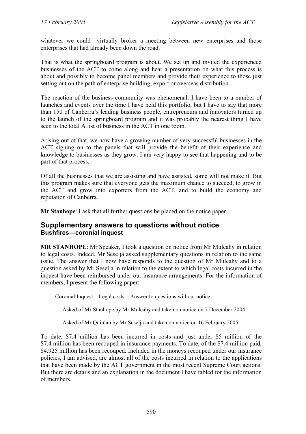whatever we could—virtually broker a meeting between new enterprises and those enterprises that had already been down the road.

That is what the springboard program is about. We set up and invited the experienced businesses of the ACT to come along and hear a presentation on what this process is about and possibly to become panel members and provide their experience to those just setting out on the path of enterprise building, export or overseas distribution.

The reaction of the business community was phenomenal. I have been to a number of launches and events over the time I have held this portfolio, but I have to say that more than 150 of Canberra's leading business people, entrepreneurs and innovators turned up to the launch of the springboard program and it was probably the nearest thing I have seen to the total A list of business in the ACT in one room.

Arising out of that, we now have a growing number of very successful businesses in the ACT signing on to the panels that will provide the benefit of their experience and knowledge to businesses as they grow. I am very happy to see that happening and to be part of that process.

Of all the businesses that we are assisting and have assisted, some will not make it. But this program makes sure that everyone gets the maximum chance to succeed, to grow in the ACT and grow into exporters from the ACT, and to build the economy and reputation of Canberra.

**Mr Stanhope**: I ask that all further questions be placed on the notice paper.

# **Supplementary answers to questions without notice Bushfires—coronial inquest**

**MR STANHOPE**: Mr Speaker, I took a question on notice from Mr Mulcahy in relation to legal costs. Indeed, Mr Seselja asked supplementary questions in relation to the same issue. The answer that I now have responds to the question of Mr Mulcahy and to a question asked by Mr Seselja in relation to the extent to which legal costs incurred in the inquest have been reimbursed under our insurance arrangements. For the information of members, I present the following paper:

Coronial Inquest—Legal costs—Answer to questions without notice —

Asked of Mr Stanhope by Mr Mulcahy and taken on notice on 7 December 2004.

Asked of Mr Quinlan by Mr Seselja and taken on notice on 16 February 2005.

To date, \$7.4 million has been incurred in costs and just under \$5 million of the \$7.4 million has been recouped in insurance payments. To date, of the \$7.4 million paid, \$4.925 million has been recouped. Included in the moneys recouped under our insurance policies, I am advised, are almost all of the costs incurred in relation to the applications that have been made by the ACT government in the most recent Supreme Court actions. But there are details and an explanation in the document I have tabled for the information of members.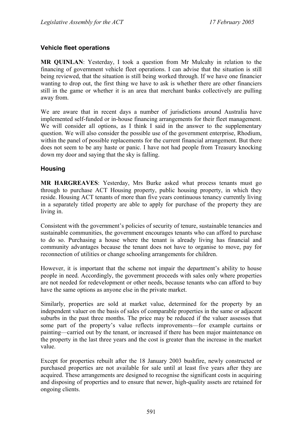# **Vehicle fleet operations**

**MR QUINLAN**: Yesterday, I took a question from Mr Mulcahy in relation to the financing of government vehicle fleet operations. I can advise that the situation is still being reviewed, that the situation is still being worked through. If we have one financier wanting to drop out, the first thing we have to ask is whether there are other financiers still in the game or whether it is an area that merchant banks collectively are pulling away from.

We are aware that in recent days a number of jurisdictions around Australia have implemented self-funded or in-house financing arrangements for their fleet management. We will consider all options, as I think I said in the answer to the supplementary question. We will also consider the possible use of the government enterprise, Rhodium, within the panel of possible replacements for the current financial arrangement. But there does not seem to be any haste or panic. I have not had people from Treasury knocking down my door and saying that the sky is falling.

# **Housing**

**MR HARGREAVES**: Yesterday, Mrs Burke asked what process tenants must go through to purchase ACT Housing property, public housing property, in which they reside. Housing ACT tenants of more than five years continuous tenancy currently living in a separately titled property are able to apply for purchase of the property they are living in.

Consistent with the government's policies of security of tenure, sustainable tenancies and sustainable communities, the government encourages tenants who can afford to purchase to do so. Purchasing a house where the tenant is already living has financial and community advantages because the tenant does not have to organise to move, pay for reconnection of utilities or change schooling arrangements for children.

However, it is important that the scheme not impair the department's ability to house people in need. Accordingly, the government proceeds with sales only where properties are not needed for redevelopment or other needs, because tenants who can afford to buy have the same options as anyone else in the private market.

Similarly, properties are sold at market value, determined for the property by an independent valuer on the basis of sales of comparable properties in the same or adjacent suburbs in the past three months. The price may be reduced if the valuer assesses that some part of the property's value reflects improvements—for example curtains or painting—carried out by the tenant, or increased if there has been major maintenance on the property in the last three years and the cost is greater than the increase in the market value.

Except for properties rebuilt after the 18 January 2003 bushfire, newly constructed or purchased properties are not available for sale until at least five years after they are acquired. These arrangements are designed to recognise the significant costs in acquiring and disposing of properties and to ensure that newer, high-quality assets are retained for ongoing clients.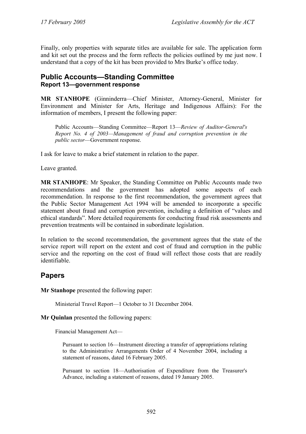Finally, only properties with separate titles are available for sale. The application form and kit set out the process and the form reflects the policies outlined by me just now. I understand that a copy of the kit has been provided to Mrs Burke's office today.

# **Public Accounts—Standing Committee Report 13—government response**

**MR STANHOPE** (Ginninderra—Chief Minister, Attorney-General, Minister for Environment and Minister for Arts, Heritage and Indigenous Affairs): For the information of members, I present the following paper:

Public Accounts—Standing Committee—Report 13—*Review of Auditor-General's Report No. 4 of 2003—Management of fraud and corruption prevention in the public sector*—Government response.

I ask for leave to make a brief statement in relation to the paper.

Leave granted.

**MR STANHOPE**: Mr Speaker, the Standing Committee on Public Accounts made two recommendations and the government has adopted some aspects of each recommendation. In response to the first recommendation, the government agrees that the Public Sector Management Act 1994 will be amended to incorporate a specific statement about fraud and corruption prevention, including a definition of "values and ethical standards". More detailed requirements for conducting fraud risk assessments and prevention treatments will be contained in subordinate legislation.

In relation to the second recommendation, the government agrees that the state of the service report will report on the extent and cost of fraud and corruption in the public service and the reporting on the cost of fraud will reflect those costs that are readily identifiable.

# **Papers**

**Mr Stanhope** presented the following paper:

Ministerial Travel Report—1 October to 31 December 2004.

**Mr Quinlan** presented the following papers:

Financial Management Act—

Pursuant to section 16—Instrument directing a transfer of appropriations relating to the Administrative Arrangements Order of 4 November 2004, including a statement of reasons, dated 16 February 2005.

Pursuant to section 18—Authorisation of Expenditure from the Treasurer's Advance, including a statement of reasons, dated 19 January 2005.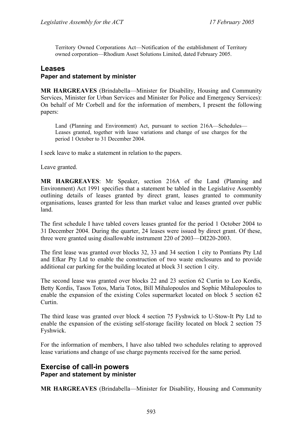Territory Owned Corporations Act—Notification of the establishment of Territory owned corporation—Rhodium Asset Solutions Limited, dated February 2005.

# **Leases Paper and statement by minister**

**MR HARGREAVES** (Brindabella—Minister for Disability, Housing and Community Services, Minister for Urban Services and Minister for Police and Emergency Services): On behalf of Mr Corbell and for the information of members, I present the following papers:

Land (Planning and Environment) Act, pursuant to section 216A—Schedules— Leases granted, together with lease variations and change of use charges for the period 1 October to 31 December 2004.

I seek leave to make a statement in relation to the papers.

Leave granted.

**MR HARGREAVES**: Mr Speaker, section 216A of the Land (Planning and Environment) Act 1991 specifies that a statement be tabled in the Legislative Assembly outlining details of leases granted by direct grant, leases granted to community organisations, leases granted for less than market value and leases granted over public land.

The first schedule I have tabled covers leases granted for the period 1 October 2004 to 31 December 2004. During the quarter, 24 leases were issued by direct grant. Of these, three were granted using disallowable instrument 220 of 2003—DI220-2003.

The first lease was granted over blocks 32, 33 and 34 section 1 city to Pontians Pty Ltd and Efkar Pty Ltd to enable the construction of two waste enclosures and to provide additional car parking for the building located at block 31 section 1 city.

The second lease was granted over blocks 22 and 23 section 62 Curtin to Leo Kordis, Betty Kordis, Tasos Totos, Maria Totos, Bill Mihalopoulos and Sophie Mihalopoulos to enable the expansion of the existing Coles supermarket located on block 5 section 62 Curtin.

The third lease was granted over block 4 section 75 Fyshwick to U-Stow-It Pty Ltd to enable the expansion of the existing self-storage facility located on block 2 section 75 Fyshwick.

For the information of members, I have also tabled two schedules relating to approved lease variations and change of use charge payments received for the same period.

# **Exercise of call-in powers Paper and statement by minister**

**MR HARGREAVES** (Brindabella—Minister for Disability, Housing and Community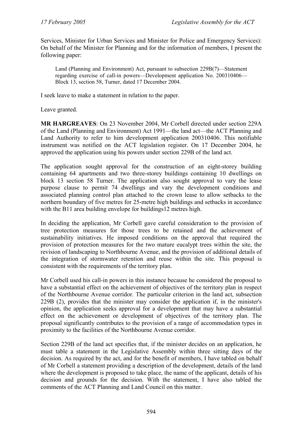Services, Minister for Urban Services and Minister for Police and Emergency Services): On behalf of the Minister for Planning and for the information of members, I present the following paper:

Land (Planning and Environment) Act, pursuant to subsection 229B(7)—Statement regarding exercise of call-in powers—Development application No. 200310406— Block 13, section 58, Turner, dated 17 December 2004.

I seek leave to make a statement in relation to the paper.

Leave granted.

**MR HARGREAVES**: On 23 November 2004, Mr Corbell directed under section 229A of the Land (Planning and Environment) Act 1991—the land act—the ACT Planning and Land Authority to refer to him development application 200310406. This notifiable instrument was notified on the ACT legislation register. On 17 December 2004, he approved the application using his powers under section 229B of the land act.

The application sought approval for the construction of an eight-storey building containing 64 apartments and two three-storey buildings containing 10 dwellings on block 13 section 58 Turner. The application also sought approval to vary the lease purpose clause to permit 74 dwellings and vary the development conditions and associated planning control plan attached to the crown lease to allow setbacks to the northern boundary of five metres for 25-metre high buildings and setbacks in accordance with the B11 area building envelope for buildings12 metres high.

In deciding the application, Mr Corbell gave careful consideration to the provision of tree protection measures for those trees to be retained and the achievement of sustainability initiatives. He imposed conditions on the approval that required the provision of protection measures for the two mature eucalypt trees within the site, the revision of landscaping to Northbourne Avenue, and the provision of additional details of the integration of stormwater retention and reuse within the site. This proposal is consistent with the requirements of the territory plan.

Mr Corbell used his call-in powers in this instance because he considered the proposal to have a substantial effect on the achievement of objectives of the territory plan in respect of the Northbourne Avenue corridor. The particular criterion in the land act, subsection 229B (2), provides that the minister may consider the application if, in the minister's opinion, the application seeks approval for a development that may have a substantial effect on the achievement or development of objectives of the territory plan. The proposal significantly contributes to the provision of a range of accommodation types in proximity to the facilities of the Northbourne Avenue corridor.

Section 229B of the land act specifies that, if the minister decides on an application, he must table a statement in the Legislative Assembly within three sitting days of the decision. As required by the act, and for the benefit of members, I have tabled on behalf of Mr Corbell a statement providing a description of the development, details of the land where the development is proposed to take place, the name of the applicant, details of his decision and grounds for the decision. With the statement, I have also tabled the comments of the ACT Planning and Land Council on this matter.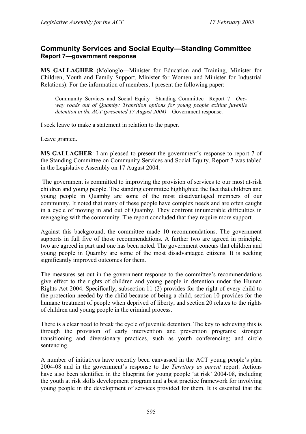# **Community Services and Social Equity—Standing Committee Report 7—government response**

**MS GALLAGHER** (Molonglo—Minister for Education and Training, Minister for Children, Youth and Family Support, Minister for Women and Minister for Industrial Relations): For the information of members, I present the following paper:

Community Services and Social Equity—Standing Committee—Report 7—*Oneway roads out of Quamby: Transition options for young people exiting juvenile detention in the ACT (presented 17 August 2004)*—Government response.

I seek leave to make a statement in relation to the paper.

Leave granted.

**MS GALLAGHER**: I am pleased to present the government's response to report 7 of the Standing Committee on Community Services and Social Equity. Report 7 was tabled in the Legislative Assembly on 17 August 2004.

 The government is committed to improving the provision of services to our most at-risk children and young people. The standing committee highlighted the fact that children and young people in Quamby are some of the most disadvantaged members of our community. It noted that many of these people have complex needs and are often caught in a cycle of moving in and out of Quamby. They confront innumerable difficulties in reengaging with the community. The report concluded that they require more support.

Against this background, the committee made 10 recommendations. The government supports in full five of those recommendations. A further two are agreed in principle, two are agreed in part and one has been noted. The government concurs that children and young people in Quamby are some of the most disadvantaged citizens. It is seeking significantly improved outcomes for them.

The measures set out in the government response to the committee's recommendations give effect to the rights of children and young people in detention under the Human Rights Act 2004. Specifically, subsection 11 (2) provides for the right of every child to the protection needed by the child because of being a child, section 10 provides for the humane treatment of people when deprived of liberty, and section 20 relates to the rights of children and young people in the criminal process.

There is a clear need to break the cycle of juvenile detention. The key to achieving this is through the provision of early intervention and prevention programs; stronger transitioning and diversionary practices, such as youth conferencing; and circle sentencing.

A number of initiatives have recently been canvassed in the ACT young people's plan 2004-08 and in the government's response to the *Territory as parent* report. Actions have also been identified in the blueprint for young people 'at risk' 2004-08, including the youth at risk skills development program and a best practice framework for involving young people in the development of services provided for them. It is essential that the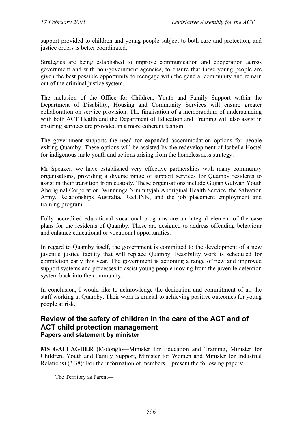support provided to children and young people subject to both care and protection, and justice orders is better coordinated.

Strategies are being established to improve communication and cooperation across government and with non-government agencies, to ensure that these young people are given the best possible opportunity to reengage with the general community and remain out of the criminal justice system.

The inclusion of the Office for Children, Youth and Family Support within the Department of Disability, Housing and Community Services will ensure greater collaboration on service provision. The finalisation of a memorandum of understanding with both ACT Health and the Department of Education and Training will also assist in ensuring services are provided in a more coherent fashion.

The government supports the need for expanded accommodation options for people exiting Quamby. These options will be assisted by the redevelopment of Isabella Hostel for indigenous male youth and actions arising from the homelessness strategy.

Mr Speaker, we have established very effective partnerships with many community organisations, providing a diverse range of support services for Quamby residents to assist in their transition from custody. These organisations include Gugan Gulwan Youth Aboriginal Corporation, Winnunga Nimmityjah Aboriginal Health Service, the Salvation Army, Relationships Australia, RecLINK, and the job placement employment and training program.

Fully accredited educational vocational programs are an integral element of the case plans for the residents of Quamby. These are designed to address offending behaviour and enhance educational or vocational opportunities.

In regard to Quamby itself, the government is committed to the development of a new juvenile justice facility that will replace Quamby. Feasibility work is scheduled for completion early this year. The government is actioning a range of new and improved support systems and processes to assist young people moving from the juvenile detention system back into the community.

In conclusion, I would like to acknowledge the dedication and commitment of all the staff working at Quamby. Their work is crucial to achieving positive outcomes for young people at risk.

# **Review of the safety of children in the care of the ACT and of ACT child protection management Papers and statement by minister**

**MS GALLAGHER** (Molonglo—Minister for Education and Training, Minister for Children, Youth and Family Support, Minister for Women and Minister for Industrial Relations) (3.38): For the information of members, I present the following papers:

The Territory as Parent—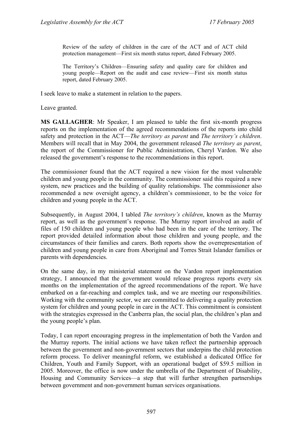Review of the safety of children in the care of the ACT and of ACT child protection management—First six month status report, dated February 2005.

The Territory's Children—Ensuring safety and quality care for children and young people—Report on the audit and case review—First six month status report, dated February 2005.

I seek leave to make a statement in relation to the papers.

Leave granted.

**MS GALLAGHER**: Mr Speaker, I am pleased to table the first six-month progress reports on the implementation of the agreed recommendations of the reports into child safety and protection in the ACT—*The territory as parent* and *The territory's children*. Members will recall that in May 2004, the government released *The territory as parent*, the report of the Commissioner for Public Administration, Cheryl Vardon. We also released the government's response to the recommendations in this report.

The commissioner found that the ACT required a new vision for the most vulnerable children and young people in the community. The commissioner said this required a new system, new practices and the building of quality relationships. The commissioner also recommended a new oversight agency, a children's commissioner, to be the voice for children and young people in the ACT.

Subsequently, in August 2004, I tabled *The territory's children*, known as the Murray report, as well as the government's response. The Murray report involved an audit of files of 150 children and young people who had been in the care of the territory. The report provided detailed information about those children and young people, and the circumstances of their families and carers. Both reports show the overrepresentation of children and young people in care from Aboriginal and Torres Strait Islander families or parents with dependencies.

On the same day, in my ministerial statement on the Vardon report implementation strategy, I announced that the government would release progress reports every six months on the implementation of the agreed recommendations of the report. We have embarked on a far-reaching and complex task, and we are meeting our responsibilities. Working with the community sector, we are committed to delivering a quality protection system for children and young people in care in the ACT. This commitment is consistent with the strategies expressed in the Canberra plan, the social plan, the children's plan and the young people's plan.

Today, I can report encouraging progress in the implementation of both the Vardon and the Murray reports. The initial actions we have taken reflect the partnership approach between the government and non-government sectors that underpins the child protection reform process. To deliver meaningful reform, we established a dedicated Office for Children, Youth and Family Support, with an operational budget of \$59.5 million in 2005. Moreover, the office is now under the umbrella of the Department of Disability, Housing and Community Services—a step that will further strengthen partnerships between government and non-government human services organisations.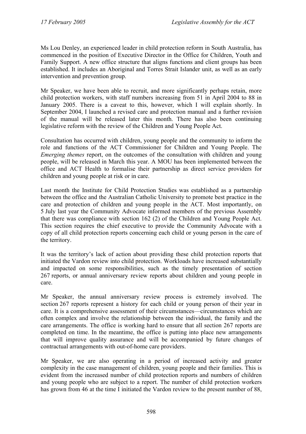Ms Lou Denley, an experienced leader in child protection reform in South Australia, has commenced in the position of Executive Director in the Office for Children, Youth and Family Support. A new office structure that aligns functions and client groups has been established. It includes an Aboriginal and Torres Strait Islander unit, as well as an early intervention and prevention group.

Mr Speaker, we have been able to recruit, and more significantly perhaps retain, more child protection workers, with staff numbers increasing from 51 in April 2004 to 88 in January 2005. There is a caveat to this, however, which I will explain shortly. In September 2004, I launched a revised care and protection manual and a further revision of the manual will be released later this month. There has also been continuing legislative reform with the review of the Children and Young People Act.

Consultation has occurred with children, young people and the community to inform the role and functions of the ACT Commissioner for Children and Young People. The *Emerging themes* report, on the outcomes of the consultation with children and young people, will be released in March this year. A MOU has been implemented between the office and ACT Health to formalise their partnership as direct service providers for children and young people at risk or in care.

Last month the Institute for Child Protection Studies was established as a partnership between the office and the Australian Catholic University to promote best practice in the care and protection of children and young people in the ACT. Most importantly, on 5 July last year the Community Advocate informed members of the previous Assembly that there was compliance with section 162 (2) of the Children and Young People Act. This section requires the chief executive to provide the Community Advocate with a copy of all child protection reports concerning each child or young person in the care of the territory.

It was the territory's lack of action about providing these child protection reports that initiated the Vardon review into child protection. Workloads have increased substantially and impacted on some responsibilities, such as the timely presentation of section 267 reports, or annual anniversary review reports about children and young people in care.

Mr Speaker, the annual anniversary review process is extremely involved. The section 267 reports represent a history for each child or young person of their year in care. It is a comprehensive assessment of their circumstances—circumstances which are often complex and involve the relationship between the individual, the family and the care arrangements. The office is working hard to ensure that all section 267 reports are completed on time. In the meantime, the office is putting into place new arrangements that will improve quality assurance and will be accompanied by future changes of contractual arrangements with out-of-home care providers.

Mr Speaker, we are also operating in a period of increased activity and greater complexity in the case management of children, young people and their families. This is evident from the increased number of child protection reports and numbers of children and young people who are subject to a report. The number of child protection workers has grown from 46 at the time I initiated the Vardon review to the present number of 88,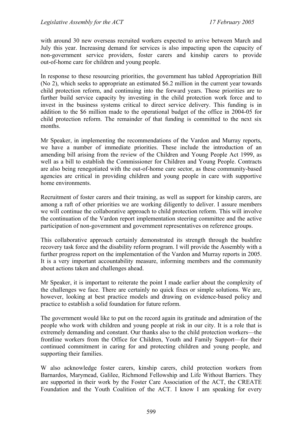with around 30 new overseas recruited workers expected to arrive between March and July this year. Increasing demand for services is also impacting upon the capacity of non-government service providers, foster carers and kinship carers to provide out-of-home care for children and young people.

In response to these resourcing priorities, the government has tabled Appropriation Bill (No 2), which seeks to appropriate an estimated \$6.2 million in the current year towards child protection reform, and continuing into the forward years. Those priorities are to further build service capacity by investing in the child protection work force and to invest in the business systems critical to direct service delivery. This funding is in addition to the \$6 million made to the operational budget of the office in 2004-05 for child protection reform. The remainder of that funding is committed to the next six months.

Mr Speaker, in implementing the recommendations of the Vardon and Murray reports, we have a number of immediate priorities. These include the introduction of an amending bill arising from the review of the Children and Young People Act 1999, as well as a bill to establish the Commissioner for Children and Young People. Contracts are also being renegotiated with the out-of-home care sector, as these community-based agencies are critical in providing children and young people in care with supportive home environments.

Recruitment of foster carers and their training, as well as support for kinship carers, are among a raft of other priorities we are working diligently to deliver. I assure members we will continue the collaborative approach to child protection reform. This will involve the continuation of the Vardon report implementation steering committee and the active participation of non-government and government representatives on reference groups.

This collaborative approach certainly demonstrated its strength through the bushfire recovery task force and the disability reform program. I will provide the Assembly with a further progress report on the implementation of the Vardon and Murray reports in 2005. It is a very important accountability measure, informing members and the community about actions taken and challenges ahead.

Mr Speaker, it is important to reiterate the point I made earlier about the complexity of the challenges we face. There are certainly no quick fixes or simple solutions. We are, however, looking at best practice models and drawing on evidence-based policy and practice to establish a solid foundation for future reform.

The government would like to put on the record again its gratitude and admiration of the people who work with children and young people at risk in our city. It is a role that is extremely demanding and constant. Our thanks also to the child protection workers—the frontline workers from the Office for Children, Youth and Family Support—for their continued commitment in caring for and protecting children and young people, and supporting their families.

W also acknowledge foster carers, kinship carers, child protection workers from Barnardos, Marymead, Galilee, Richmond Fellowship and Life Without Barriers. They are supported in their work by the Foster Care Association of the ACT, the CREATE Foundation and the Youth Coalition of the ACT. I know I am speaking for every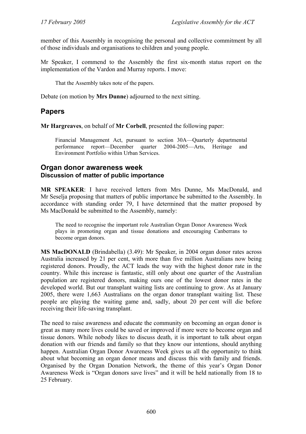member of this Assembly in recognising the personal and collective commitment by all of those individuals and organisations to children and young people.

Mr Speaker, I commend to the Assembly the first six-month status report on the implementation of the Vardon and Murray reports. I move:

That the Assembly takes note of the papers.

Debate (on motion by **Mrs Dunne**) adjourned to the next sitting.

# **Papers**

**Mr Hargreaves**, on behalf of **Mr Corbell**, presented the following paper:

Financial Management Act, pursuant to section 30A—Quarterly departmental performance report—December quarter 2004-2005—Arts, Heritage and Environment Portfolio within Urban Services.

# **Organ donor awareness week Discussion of matter of public importance**

**MR SPEAKER**: I have received letters from Mrs Dunne, Ms MacDonald, and Mr Seselja proposing that matters of public importance be submitted to the Assembly. In accordance with standing order 79, I have determined that the matter proposed by Ms MacDonald be submitted to the Assembly, namely:

The need to recognise the important role Australian Organ Donor Awareness Week plays in promoting organ and tissue donations and encouraging Canberrans to become organ donors.

**MS MacDONALD** (Brindabella) (3.49): Mr Speaker, in 2004 organ donor rates across Australia increased by 21 per cent, with more than five million Australians now being registered donors. Proudly, the ACT leads the way with the highest donor rate in the country. While this increase is fantastic, still only about one quarter of the Australian population are registered donors, making ours one of the lowest donor rates in the developed world. But our transplant waiting lists are continuing to grow. As at January 2005, there were 1,663 Australians on the organ donor transplant waiting list. These people are playing the waiting game and, sadly, about 20 per cent will die before receiving their life-saving transplant.

The need to raise awareness and educate the community on becoming an organ donor is great as many more lives could be saved or improved if more were to become organ and tissue donors. While nobody likes to discuss death, it is important to talk about organ donation with our friends and family so that they know our intentions, should anything happen. Australian Organ Donor Awareness Week gives us all the opportunity to think about what becoming an organ donor means and discuss this with family and friends. Organised by the Organ Donation Network, the theme of this year's Organ Donor Awareness Week is "Organ donors save lives" and it will be held nationally from 18 to 25 February.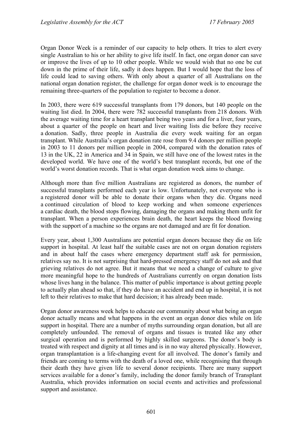Organ Donor Week is a reminder of our capacity to help others. It tries to alert every single Australian to his or her ability to give life itself. In fact, one organ donor can save or improve the lives of up to 10 other people. While we would wish that no one be cut down in the prime of their life, sadly it does happen. But I would hope that the loss of life could lead to saving others. With only about a quarter of all Australians on the national organ donation register, the challenge for organ donor week is to encourage the remaining three-quarters of the population to register to become a donor.

In 2003, there were 619 successful transplants from 179 donors, but 140 people on the waiting list died. In 2004, there were 782 successful transplants from 218 donors. With the average waiting time for a heart transplant being two years and for a liver, four years, about a quarter of the people on heart and liver waiting lists die before they receive a donation. Sadly, three people in Australia die every week waiting for an organ transplant. While Australia's organ donation rate rose from 9.4 donors per million people in 2003 to 11 donors per million people in 2004, compared with the donation rates of 13 in the UK, 22 in America and 34 in Spain, we still have one of the lowest rates in the developed world. We have one of the world's best transplant records, but one of the world's worst donation records. That is what organ donation week aims to change.

Although more than five million Australians are registered as donors, the number of successful transplants performed each year is low. Unfortunately, not everyone who is a registered donor will be able to donate their organs when they die. Organs need a continued circulation of blood to keep working and when someone experiences a cardiac death, the blood stops flowing, damaging the organs and making them unfit for transplant. When a person experiences brain death, the heart keeps the blood flowing with the support of a machine so the organs are not damaged and are fit for donation.

Every year, about 1,300 Australians are potential organ donors because they die on life support in hospital. At least half the suitable cases are not on organ donation registers and in about half the cases where emergency department staff ask for permission, relatives say no. It is not surprising that hard-pressed emergency staff do not ask and that grieving relatives do not agree. But it means that we need a change of culture to give more meaningful hope to the hundreds of Australians currently on organ donation lists whose lives hang in the balance. This matter of public importance is about getting people to actually plan ahead so that, if they do have an accident and end up in hospital, it is not left to their relatives to make that hard decision; it has already been made.

Organ donor awareness week helps to educate our community about what being an organ donor actually means and what happens in the event an organ donor dies while on life support in hospital. There are a number of myths surrounding organ donation, but all are completely unfounded. The removal of organs and tissues is treated like any other surgical operation and is performed by highly skilled surgeons. The donor's body is treated with respect and dignity at all times and is in no way altered physically. However, organ transplantation is a life-changing event for all involved. The donor's family and friends are coming to terms with the death of a loved one, while recognising that through their death they have given life to several donor recipients. There are many support services available for a donor's family, including the donor family branch of Transplant Australia, which provides information on social events and activities and professional support and assistance.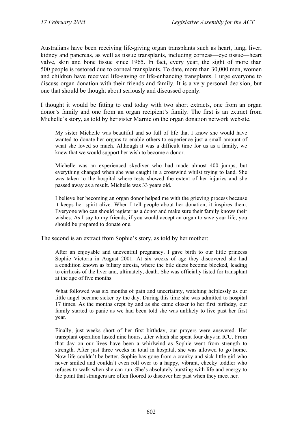Australians have been receiving life-giving organ transplants such as heart, lung, liver, kidney and pancreas, as well as tissue transplants, including corneas—eye tissue—heart valve, skin and bone tissue since 1965. In fact, every year, the sight of more than 500 people is restored due to corneal transplants. To date, more than 30,000 men, women and children have received life-saving or life-enhancing transplants. I urge everyone to discuss organ donation with their friends and family. It is a very personal decision, but one that should be thought about seriously and discussed openly.

I thought it would be fitting to end today with two short extracts, one from an organ donor's family and one from an organ recipient's family. The first is an extract from Michelle's story, as told by her sister Marnie on the organ donation network website.

My sister Michelle was beautiful and so full of life that I know she would have wanted to donate her organs to enable others to experience just a small amount of what she loved so much. Although it was a difficult time for us as a family, we knew that we would support her wish to become a donor.

Michelle was an experienced skydiver who had made almost 400 jumps, but everything changed when she was caught in a crosswind whilst trying to land. She was taken to the hospital where tests showed the extent of her injuries and she passed away as a result. Michelle was 33 years old.

I believe her becoming an organ donor helped me with the grieving process because it keeps her spirit alive. When I tell people about her donation, it inspires them. Everyone who can should register as a donor and make sure their family knows their wishes. As I say to my friends, if you would accept an organ to save your life, you should be prepared to donate one.

The second is an extract from Sophie's story, as told by her mother:

After an enjoyable and uneventful pregnancy, I gave birth to our little princess Sophie Victoria in August 2001. At six weeks of age they discovered she had a condition known as biliary atresia, where the bile ducts become blocked, leading to cirrhosis of the liver and, ultimately, death. She was officially listed for transplant at the age of five months.

What followed was six months of pain and uncertainty, watching helplessly as our little angel became sicker by the day. During this time she was admitted to hospital 17 times. As the months crept by and as she came closer to her first birthday, our family started to panic as we had been told she was unlikely to live past her first year.

Finally, just weeks short of her first birthday, our prayers were answered. Her transplant operation lasted nine hours, after which she spent four days in ICU. From that day on our lives have been a whirlwind as Sophie went from strength to strength. After just three weeks in total in hospital, she was allowed to go home. Now life couldn't be better. Sophie has gone from a cranky and sick little girl who never smiled and couldn't even roll over to a happy, vibrant, cheeky toddler who refuses to walk when she can run. She's absolutely bursting with life and energy to the point that strangers are often floored to discover her past when they meet her.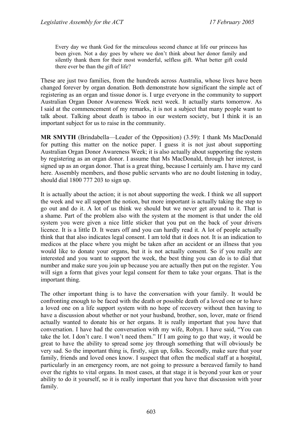Every day we thank God for the miraculous second chance at life our princess has been given. Not a day goes by where we don't think about her donor family and silently thank them for their most wonderful, selfless gift. What better gift could there ever be than the gift of life?

These are just two families, from the hundreds across Australia, whose lives have been changed forever by organ donation. Both demonstrate how significant the simple act of registering as an organ and tissue donor is. I urge everyone in the community to support Australian Organ Donor Awareness Week next week. It actually starts tomorrow. As I said at the commencement of my remarks, it is not a subject that many people want to talk about. Talking about death is taboo in our western society, but I think it is an important subject for us to raise in the community.

**MR SMYTH** (Brindabella—Leader of the Opposition) (3.59): I thank Ms MacDonald for putting this matter on the notice paper. I guess it is not just about supporting Australian Organ Donor Awareness Week; it is also actually about supporting the system by registering as an organ donor. I assume that Ms MacDonald, through her interest, is signed up as an organ donor. That is a great thing, because I certainly am. I have my card here. Assembly members, and those public servants who are no doubt listening in today, should dial 1800 777 203 to sign up.

It is actually about the action; it is not about supporting the week. I think we all support the week and we all support the notion, but more important is actually taking the step to go out and do it. A lot of us think we should but we never get around to it. That is a shame. Part of the problem also with the system at the moment is that under the old system you were given a nice little sticker that you put on the back of your drivers licence. It is a little D. It wears off and you can hardly read it. A lot of people actually think that that also indicates legal consent. I am told that it does not. It is an indication to medicos at the place where you might be taken after an accident or an illness that you would like to donate your organs, but it is not actually consent. So if you really are interested and you want to support the week, the best thing you can do is to dial that number and make sure you join up because you are actually then put on the register. You will sign a form that gives your legal consent for them to take your organs. That is the important thing.

The other important thing is to have the conversation with your family. It would be confronting enough to be faced with the death or possible death of a loved one or to have a loved one on a life support system with no hope of recovery without then having to have a discussion about whether or not your husband, brother, son, lover, mate or friend actually wanted to donate his or her organs. It is really important that you have that conversation. I have had the conversation with my wife, Robyn. I have said, "You can take the lot. I don't care. I won't need them." If I am going to go that way, it would be great to have the ability to spread some joy through something that will obviously be very sad. So the important thing is, firstly, sign up, folks. Secondly, make sure that your family, friends and loved ones know. I suspect that often the medical staff at a hospital, particularly in an emergency room, are not going to pressure a bereaved family to hand over the rights to vital organs. In most cases, at that stage it is beyond your ken or your ability to do it yourself, so it is really important that you have that discussion with your family.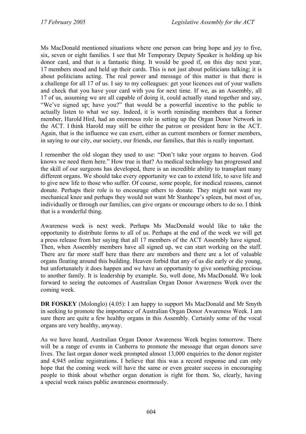Ms MacDonald mentioned situations where one person can bring hope and joy to five, six, seven or eight families. I see that Mr Temporary Deputy Speaker is holding up his donor card, and that is a fantastic thing. It would be good if, on this day next year, 17 members stood and held up their cards. This is not just about politicians talking; it is about politicians acting. The real power and message of this matter is that there is a challenge for all 17 of us. I say to my colleagues: get your licences out of your wallets and check that you have your card with you for next time. If we, as an Assembly, all 17 of us, assuming we are all capable of doing it, could actually stand together and say, "We've signed up; have you?" that would be a powerful incentive to the public to actually listen to what we say. Indeed, it is worth reminding members that a former member, Harold Hird, had an enormous role in setting up the Organ Donor Network in the ACT. I think Harold may still be either the patron or president here in the ACT. Again, that is the influence we can exert, either as current members or former members, in saying to our city, our society, our friends, our families, that this is really important.

I remember the old slogan they used to use: "Don't take your organs to heaven. God knows we need them here." How true is that? As medical technology has progressed and the skill of our surgeons has developed, there is an incredible ability to transplant many different organs. We should take every opportunity we can to extend life, to save life and to give new life to those who suffer. Of course, some people, for medical reasons, cannot donate. Perhaps their role is to encourage others to donate. They might not want my mechanical knee and perhaps they would not want Mr Stanhope's spleen, but most of us, individually or through our families, can give organs or encourage others to do so. I think that is a wonderful thing.

Awareness week is next week. Perhaps Ms MacDonald would like to take the opportunity to distribute forms to all of us. Perhaps at the end of the week we will get a press release from her saying that all 17 members of the ACT Assembly have signed. Then, when Assembly members have all signed up, we can start working on the staff. There are far more staff here than there are members and there are a lot of valuable organs floating around this building. Heaven forbid that any of us die early or die young, but unfortunately it does happen and we have an opportunity to give something precious to another family. It is leadership by example. So, well done, Ms MacDonald. We look forward to seeing the outcomes of Australian Organ Donor Awareness Week over the coming week.

**DR FOSKEY** (Molonglo) (4.05): I am happy to support Ms MacDonald and Mr Smyth in seeking to promote the importance of Australian Organ Donor Awareness Week. I am sure there are quite a few healthy organs in this Assembly. Certainly some of the vocal organs are very healthy, anyway.

As we have heard, Australian Organ Donor Awareness Week begins tomorrow. There will be a range of events in Canberra to promote the message that organ donors save lives. The last organ donor week prompted almost 13,000 enquiries to the donor register and 4,945 online registrations. I believe that this was a record response and can only hope that the coming week will have the same or even greater success in encouraging people to think about whether organ donation is right for them. So, clearly, having a special week raises public awareness enormously.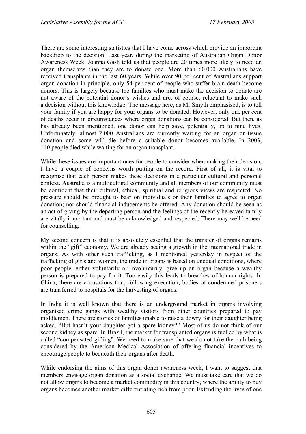There are some interesting statistics that I have come across which provide an important backdrop to the decision. Last year, during the marketing of Australian Organ Donor Awareness Week, Joanna Gash told us that people are 20 times more likely to need an organ themselves than they are to donate one. More than 60,000 Australians have received transplants in the last 60 years. While over 90 per cent of Australians support organ donation in principle, only 54 per cent of people who suffer brain death become donors. This is largely because the families who must make the decision to donate are not aware of the potential donor's wishes and are, of course, reluctant to make such a decision without this knowledge. The message here, as Mr Smyth emphasised, is to tell your family if you are happy for your organs to be donated. However, only one per cent of deaths occur in circumstances where organ donations can be considered. But then, as has already been mentioned, one donor can help save, potentially, up to nine lives. Unfortunately, almost 2,000 Australians are currently waiting for an organ or tissue donation and some will die before a suitable donor becomes available. In 2003, 140 people died while waiting for an organ transplant.

While these issues are important ones for people to consider when making their decision, I have a couple of concerns worth putting on the record. First of all, it is vital to recognise that each person makes these decisions in a particular cultural and personal context. Australia is a multicultural community and all members of our community must be confident that their cultural, ethical, spiritual and religious views are respected. No pressure should be brought to bear on individuals or their families to agree to organ donation; nor should financial inducements be offered. Any donation should be seen as an act of giving by the departing person and the feelings of the recently bereaved family are vitally important and must be acknowledged and respected. There may well be need for counselling.

My second concern is that it is absolutely essential that the transfer of organs remains within the "gift" economy. We are already seeing a growth in the international trade in organs. As with other such trafficking, as I mentioned yesterday in respect of the trafficking of girls and women, the trade in organs is based on unequal conditions, where poor people, either voluntarily or involuntarily, give up an organ because a wealthy person is prepared to pay for it. Too easily this leads to breaches of human rights. In China, there are accusations that, following execution, bodies of condemned prisoners are transferred to hospitals for the harvesting of organs.

In India it is well known that there is an underground market in organs involving organised crime gangs with wealthy visitors from other countries prepared to pay middlemen. There are stories of families unable to raise a dowry for their daughter being asked, "But hasn't your daughter got a spare kidney?" Most of us do not think of our second kidney as spare. In Brazil, the market for transplanted organs is fuelled by what is called "compensated gifting". We need to make sure that we do not take the path being considered by the American Medical Association of offering financial incentives to encourage people to bequeath their organs after death.

While endorsing the aims of this organ donor awareness week, I want to suggest that members envisage organ donation as a social exchange. We must take care that we do not allow organs to become a market commodity in this country, where the ability to buy organs becomes another market differentiating rich from poor. Extending the lives of one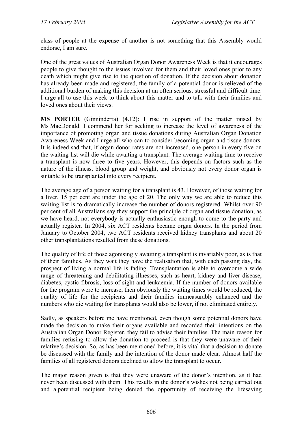class of people at the expense of another is not something that this Assembly would endorse, I am sure.

One of the great values of Australian Organ Donor Awareness Week is that it encourages people to give thought to the issues involved for them and their loved ones prior to any death which might give rise to the question of donation. If the decision about donation has already been made and registered, the family of a potential donor is relieved of the additional burden of making this decision at an often serious, stressful and difficult time. I urge all to use this week to think about this matter and to talk with their families and loved ones about their views.

**MS PORTER** (Ginninderra) (4.12): I rise in support of the matter raised by Ms MacDonald. I commend her for seeking to increase the level of awareness of the importance of promoting organ and tissue donations during Australian Organ Donation Awareness Week and I urge all who can to consider becoming organ and tissue donors. It is indeed sad that, if organ donor rates are not increased, one person in every five on the waiting list will die while awaiting a transplant. The average waiting time to receive a transplant is now three to five years. However, this depends on factors such as the nature of the illness, blood group and weight, and obviously not every donor organ is suitable to be transplanted into every recipient.

The average age of a person waiting for a transplant is 43. However, of those waiting for a liver, 15 per cent are under the age of 20. The only way we are able to reduce this waiting list is to dramatically increase the number of donors registered. Whilst over 90 per cent of all Australians say they support the principle of organ and tissue donation, as we have heard, not everybody is actually enthusiastic enough to come to the party and actually register. In 2004, six ACT residents became organ donors. In the period from January to October 2004, two ACT residents received kidney transplants and about 20 other transplantations resulted from these donations.

The quality of life of those agonisingly awaiting a transplant is invariably poor, as is that of their families. As they wait they have the realisation that, with each passing day, the prospect of living a normal life is fading. Transplantation is able to overcome a wide range of threatening and debilitating illnesses, such as heart, kidney and liver disease, diabetes, cystic fibrosis, loss of sight and leukaemia. If the number of donors available for the program were to increase, then obviously the waiting times would be reduced, the quality of life for the recipients and their families immeasurably enhanced and the numbers who die waiting for transplants would also be lower, if not eliminated entirely.

Sadly, as speakers before me have mentioned, even though some potential donors have made the decision to make their organs available and recorded their intentions on the Australian Organ Donor Register, they fail to advise their families. The main reason for families refusing to allow the donation to proceed is that they were unaware of their relative's decision. So, as has been mentioned before, it is vital that a decision to donate be discussed with the family and the intention of the donor made clear. Almost half the families of all registered donors declined to allow the transplant to occur.

The major reason given is that they were unaware of the donor's intention, as it had never been discussed with them. This results in the donor's wishes not being carried out and a potential recipient being denied the opportunity of receiving the lifesaving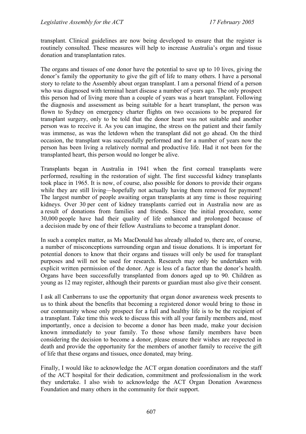transplant. Clinical guidelines are now being developed to ensure that the register is routinely consulted. These measures will help to increase Australia's organ and tissue donation and transplantation rates.

The organs and tissues of one donor have the potential to save up to 10 lives, giving the donor's family the opportunity to give the gift of life to many others. I have a personal story to relate to the Assembly about organ transplant. I am a personal friend of a person who was diagnosed with terminal heart disease a number of years ago. The only prospect this person had of living more than a couple of years was a heart transplant. Following the diagnosis and assessment as being suitable for a heart transplant, the person was flown to Sydney on emergency charter flights on two occasions to be prepared for transplant surgery, only to be told that the donor heart was not suitable and another person was to receive it. As you can imagine, the stress on the patient and their family was immense, as was the letdown when the transplant did not go ahead. On the third occasion, the transplant was successfully performed and for a number of years now the person has been living a relatively normal and productive life. Had it not been for the transplanted heart, this person would no longer be alive.

Transplants began in Australia in 1941 when the first corneal transplants were performed, resulting in the restoration of sight. The first successful kidney transplants took place in 1965. It is now, of course, also possible for donors to provide their organs while they are still living—hopefully not actually having them removed for payment! The largest number of people awaiting organ transplants at any time is those requiring kidneys. Over 30 per cent of kidney transplants carried out in Australia now are as a result of donations from families and friends. Since the initial procedure, some 30,000 people have had their quality of life enhanced and prolonged because of a decision made by one of their fellow Australians to become a transplant donor.

In such a complex matter, as Ms MacDonald has already alluded to, there are, of course, a number of misconceptions surrounding organ and tissue donations. It is important for potential donors to know that their organs and tissues will only be used for transplant purposes and will not be used for research. Research may only be undertaken with explicit written permission of the donor. Age is less of a factor than the donor's health. Organs have been successfully transplanted from donors aged up to 90. Children as young as 12 may register, although their parents or guardian must also give their consent.

I ask all Canberrans to use the opportunity that organ donor awareness week presents to us to think about the benefits that becoming a registered donor would bring to those in our community whose only prospect for a full and healthy life is to be the recipient of a transplant. Take time this week to discuss this with all your family members and, most importantly, once a decision to become a donor has been made, make your decision known immediately to your family. To those whose family members have been considering the decision to become a donor, please ensure their wishes are respected in death and provide the opportunity for the members of another family to receive the gift of life that these organs and tissues, once donated, may bring.

Finally, I would like to acknowledge the ACT organ donation coordinators and the staff of the ACT hospital for their dedication, commitment and professionalism in the work they undertake. I also wish to acknowledge the ACT Organ Donation Awareness Foundation and many others in the community for their support.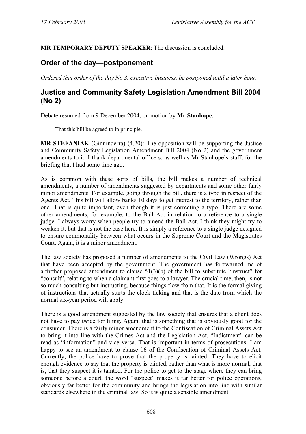**MR TEMPORARY DEPUTY SPEAKER**: The discussion is concluded.

# **Order of the day—postponement**

*Ordered that order of the day No 3, executive business, be postponed until a later hour.* 

# **Justice and Community Safety Legislation Amendment Bill 2004 (No 2)**

Debate resumed from 9 December 2004, on motion by **Mr Stanhope**:

That this bill be agreed to in principle.

**MR STEFANIAK** (Ginninderra) (4.20): The opposition will be supporting the Justice and Community Safety Legislation Amendment Bill 2004 (No 2) and the government amendments to it. I thank departmental officers, as well as Mr Stanhope's staff, for the briefing that I had some time ago.

As is common with these sorts of bills, the bill makes a number of technical amendments, a number of amendments suggested by departments and some other fairly minor amendments. For example, going through the bill, there is a typo in respect of the Agents Act. This bill will allow banks 10 days to get interest to the territory, rather than one. That is quite important, even though it is just correcting a typo. There are some other amendments, for example, to the Bail Act in relation to a reference to a single judge. I always worry when people try to amend the Bail Act. I think they might try to weaken it, but that is not the case here. It is simply a reference to a single judge designed to ensure commonality between what occurs in the Supreme Court and the Magistrates Court. Again, it is a minor amendment.

The law society has proposed a number of amendments to the Civil Law (Wrongs) Act that have been accepted by the government. The government has forewarned me of a further proposed amendment to clause 51(3)(b) of the bill to substitute "instruct" for "consult", relating to when a claimant first goes to a lawyer. The crucial time, then, is not so much consulting but instructing, because things flow from that. It is the formal giving of instructions that actually starts the clock ticking and that is the date from which the normal six-year period will apply.

There is a good amendment suggested by the law society that ensures that a client does not have to pay twice for filing. Again, that is something that is obviously good for the consumer. There is a fairly minor amendment to the Confiscation of Criminal Assets Act to bring it into line with the Crimes Act and the Legislation Act. "Indictment" can be read as "information" and vice versa. That is important in terms of prosecutions. I am happy to see an amendment to clause 16 of the Confiscation of Criminal Assets Act. Currently, the police have to prove that the property is tainted. They have to elicit enough evidence to say that the property is tainted, rather than what is more normal, that is, that they suspect it is tainted. For the police to get to the stage where they can bring someone before a court, the word "suspect" makes it far better for police operations, obviously far better for the community and brings the legislation into line with similar standards elsewhere in the criminal law. So it is quite a sensible amendment.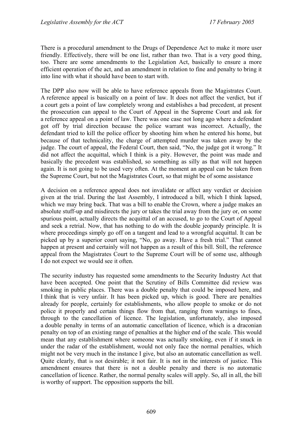There is a procedural amendment to the Drugs of Dependence Act to make it more user friendly. Effectively, there will be one list, rather than two. That is a very good thing, too. There are some amendments to the Legislation Act, basically to ensure a more efficient operation of the act, and an amendment in relation to fine and penalty to bring it into line with what it should have been to start with.

The DPP also now will be able to have reference appeals from the Magistrates Court. A reference appeal is basically on a point of law. It does not affect the verdict, but if a court gets a point of law completely wrong and establishes a bad precedent, at present the prosecution can appeal to the Court of Appeal in the Supreme Court and ask for a reference appeal on a point of law. There was one case not long ago where a defendant got off by trial direction because the police warrant was incorrect. Actually, the defendant tried to kill the police officer by shooting him when he entered his home, but because of that technicality, the charge of attempted murder was taken away by the judge. The court of appeal, the Federal Court, then said, "No, the judge got it wrong." It did not affect the acquittal, which I think is a pity. However, the point was made and basically the precedent was established, so something as silly as that will not happen again. It is not going to be used very often. At the moment an appeal can be taken from the Supreme Court, but not the Magistrates Court, so that might be of some assistance

A decision on a reference appeal does not invalidate or affect any verdict or decision given at the trial. During the last Assembly, I introduced a bill, which I think lapsed, which we may bring back. That was a bill to enable the Crown, where a judge makes an absolute stuff-up and misdirects the jury or takes the trial away from the jury or, on some spurious point, actually directs the acquittal of an accused, to go to the Court of Appeal and seek a retrial. Now, that has nothing to do with the double jeopardy principle. It is where proceedings simply go off on a tangent and lead to a wrongful acquittal. It can be picked up by a superior court saying, "No, go away. Have a fresh trial." That cannot happen at present and certainly will not happen as a result of this bill. Still, the reference appeal from the Magistrates Court to the Supreme Court will be of some use, although I do not expect we would see it often.

The security industry has requested some amendments to the Security Industry Act that have been accepted. One point that the Scrutiny of Bills Committee did review was smoking in public places. There was a double penalty that could be imposed here, and I think that is very unfair. It has been picked up, which is good. There are penalties already for people, certainly for establishments, who allow people to smoke or do not police it properly and certain things flow from that, ranging from warnings to fines, through to the cancellation of licence. The legislation, unfortunately, also imposed a double penalty in terms of an automatic cancellation of licence, which is a draconian penalty on top of an existing range of penalties at the higher end of the scale. This would mean that any establishment where someone was actually smoking, even if it snuck in under the radar of the establishment, would not only face the normal penalties, which might not be very much in the instance I give, but also an automatic cancellation as well. Quite clearly, that is not desirable; it not fair. It is not in the interests of justice. This amendment ensures that there is not a double penalty and there is no automatic cancellation of licence. Rather, the normal penalty scales will apply. So, all in all, the bill is worthy of support. The opposition supports the bill.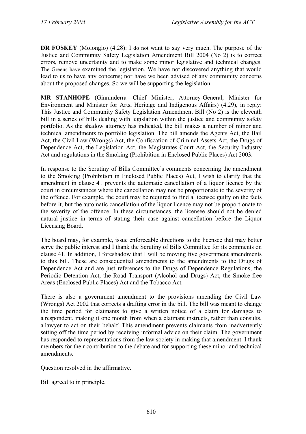**DR FOSKEY** (Molonglo) (4.28): I do not want to say very much. The purpose of the Justice and Community Safety Legislation Amendment Bill 2004 (No 2) is to correct errors, remove uncertainty and to make some minor legislative and technical changes. The Greens have examined the legislation. We have not discovered anything that would lead to us to have any concerns; nor have we been advised of any community concerns about the proposed changes. So we will be supporting the legislation.

**MR STANHOPE** (Ginninderra—Chief Minister, Attorney-General, Minister for Environment and Minister for Arts, Heritage and Indigenous Affairs) (4.29), in reply: This Justice and Community Safety Legislation Amendment Bill (No 2) is the eleventh bill in a series of bills dealing with legislation within the justice and community safety portfolio. As the shadow attorney has indicated, the bill makes a number of minor and technical amendments to portfolio legislation. The bill amends the Agents Act, the Bail Act, the Civil Law (Wrongs) Act, the Confiscation of Criminal Assets Act, the Drugs of Dependence Act, the Legislation Act, the Magistrates Court Act, the Security Industry Act and regulations in the Smoking (Prohibition in Enclosed Public Places) Act 2003.

In response to the Scrutiny of Bills Committee's comments concerning the amendment to the Smoking (Prohibition in Enclosed Public Places) Act, I wish to clarify that the amendment in clause 41 prevents the automatic cancellation of a liquor licence by the court in circumstances where the cancellation may not be proportionate to the severity of the offence. For example, the court may be required to find a licensee guilty on the facts before it, but the automatic cancellation of the liquor licence may not be proportionate to the severity of the offence. In these circumstances, the licensee should not be denied natural justice in terms of stating their case against cancellation before the Liquor Licensing Board.

The board may, for example, issue enforceable directions to the licensee that may better serve the public interest and I thank the Scrutiny of Bills Committee for its comments on clause 41. In addition, I foreshadow that I will be moving five government amendments to this bill. These are consequential amendments to the amendments to the Drugs of Dependence Act and are just references to the Drugs of Dependence Regulations, the Periodic Detention Act, the Road Transport (Alcohol and Drugs) Act, the Smoke-free Areas (Enclosed Public Places) Act and the Tobacco Act.

There is also a government amendment to the provisions amending the Civil Law (Wrongs) Act 2002 that corrects a drafting error in the bill. The bill was meant to change the time period for claimants to give a written notice of a claim for damages to a respondent, making it one month from when a claimant instructs, rather than consults, a lawyer to act on their behalf. This amendment prevents claimants from inadvertently setting off the time period by receiving informal advice on their claim. The government has responded to representations from the law society in making that amendment. I thank members for their contribution to the debate and for supporting these minor and technical amendments.

Question resolved in the affirmative.

Bill agreed to in principle.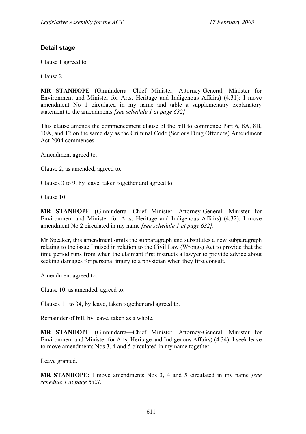# **Detail stage**

Clause 1 agreed to.

Clause 2.

**MR STANHOPE** (Ginninderra—Chief Minister, Attorney-General, Minister for Environment and Minister for Arts, Heritage and Indigenous Affairs) (4.31): I move amendment No 1 circulated in my name and table a supplementary explanatory statement to the amendments *[see schedule 1 at page 632]*.

This clause amends the commencement clause of the bill to commence Part 6, 8A, 8B, 10A, and 12 on the same day as the Criminal Code (Serious Drug Offences) Amendment Act 2004 commences.

Amendment agreed to.

Clause 2, as amended, agreed to.

Clauses 3 to 9, by leave, taken together and agreed to.

Clause 10.

**MR STANHOPE** (Ginninderra—Chief Minister, Attorney-General, Minister for Environment and Minister for Arts, Heritage and Indigenous Affairs) (4.32): I move amendment No 2 circulated in my name *[see schedule 1 at page 632].* 

Mr Speaker, this amendment omits the subparagraph and substitutes a new subparagraph relating to the issue I raised in relation to the Civil Law (Wrongs) Act to provide that the time period runs from when the claimant first instructs a lawyer to provide advice about seeking damages for personal injury to a physician when they first consult.

Amendment agreed to.

Clause 10, as amended, agreed to.

Clauses 11 to 34, by leave, taken together and agreed to.

Remainder of bill, by leave, taken as a whole.

**MR STANHOPE** (Ginninderra—Chief Minister, Attorney-General, Minister for Environment and Minister for Arts, Heritage and Indigenous Affairs) (4.34): I seek leave to move amendments Nos 3, 4 and 5 circulated in my name together.

Leave granted.

**MR STANHOPE**: I move amendments Nos 3, 4 and 5 circulated in my name *[see schedule 1 at page 632]*.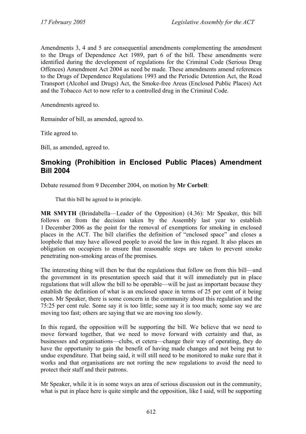Amendments 3, 4 and 5 are consequential amendments complementing the amendment to the Drugs of Dependence Act 1989, part 6 of the bill. These amendments were identified during the development of regulations for the Criminal Code (Serious Drug Offences) Amendment Act 2004 as need be made. These amendments amend references to the Drugs of Dependence Regulations 1993 and the Periodic Detention Act, the Road Transport (Alcohol and Drugs) Act, the Smoke-free Areas (Enclosed Public Places) Act and the Tobacco Act to now refer to a controlled drug in the Criminal Code.

Amendments agreed to.

Remainder of bill, as amended, agreed to.

Title agreed to.

Bill, as amended, agreed to.

# **Smoking (Prohibition in Enclosed Public Places) Amendment Bill 2004**

Debate resumed from 9 December 2004, on motion by **Mr Corbell**:

That this bill be agreed to in principle.

**MR SMYTH** (Brindabella—Leader of the Opposition) (4.36): Mr Speaker, this bill follows on from the decision taken by the Assembly last year to establish 1 December 2006 as the point for the removal of exemptions for smoking in enclosed places in the ACT. The bill clarifies the definition of "enclosed space" and closes a loophole that may have allowed people to avoid the law in this regard. It also places an obligation on occupiers to ensure that reasonable steps are taken to prevent smoke penetrating non-smoking areas of the premises.

The interesting thing will then be that the regulations that follow on from this bill—and the government in its presentation speech said that it will immediately put in place regulations that will allow the bill to be operable—will be just as important because they establish the definition of what is an enclosed space in terms of 25 per cent of it being open. Mr Speaker, there is some concern in the community about this regulation and the 75:25 per cent rule. Some say it is too little; some say it is too much; some say we are moving too fast; others are saying that we are moving too slowly.

In this regard, the opposition will be supporting the bill. We believe that we need to move forward together, that we need to move forward with certainty and that, as businesses and organisations—clubs, et cetera—change their way of operating, they do have the opportunity to gain the benefit of having made changes and not being put to undue expenditure. That being said, it will still need to be monitored to make sure that it works and that organisations are not rorting the new regulations to avoid the need to protect their staff and their patrons.

Mr Speaker, while it is in some ways an area of serious discussion out in the community, what is put in place here is quite simple and the opposition, like I said, will be supporting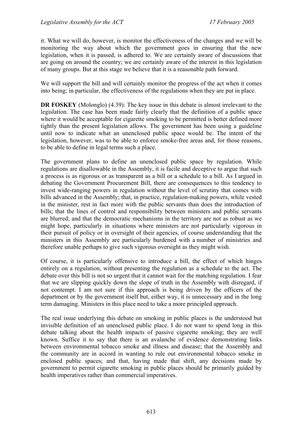it. What we will do, however, is monitor the effectiveness of the changes and we will be monitoring the way about which the government goes in ensuring that the new legislation, when it is passed, is adhered to. We are certainly aware of discussions that are going on around the country; we are certainly aware of the interest in this legislation of many groups. But at this stage we believe that it is a reasonable path forward.

We will support the bill and will certainly monitor the progress of the act when it comes into being; in particular, the effectiveness of the regulations when they are put in place.

**DR FOSKEY** (Molonglo) (4.39): The key issue in this debate is almost irrelevant to the legislation. The case has been made fairly clearly that the definition of a public space where it would be acceptable for cigarette smoking to be permitted is better defined more tightly than the present legislation allows. The government has been using a guideline until now to indicate what an unenclosed public space would be. The intent of the legislation, however, was to be able to enforce smoke-free areas and, for those reasons, to be able to define in legal terms such a place.

The government plans to define an unenclosed public space by regulation. While regulations are disallowable in the Assembly, it is facile and deceptive to argue that such a process is as rigorous or as transparent as a bill or a schedule to a bill. As I argued in debating the Government Procurement Bill, there are consequences to this tendency to invest wide-ranging powers in regulation without the level of scrutiny that comes with bills advanced in the Assembly; that, in practice, regulation-making powers, while vested in the minister, rest in fact more with the public servants than does the introduction of bills; that the lines of control and responsibility between ministers and public servants are blurred; and that the democratic mechanisms in the territory are not as robust as we might hope, particularly in situations where ministers are not particularly vigorous in their pursuit of policy or in oversight of their agencies, of course understanding that the ministers in this Assembly are particularly burdened with a number of ministries and therefore unable perhaps to give such vigorous oversight as they might wish.

Of course, it is particularly offensive to introduce a bill, the effect of which hinges entirely on a regulation, without presenting the regulation as a schedule to the act. The debate over this bill is not so urgent that it cannot wait for the matching regulation. I fear that we are slipping quickly down the slope of truth in the Assembly with disregard, if not contempt. I am not sure if this approach is being driven by the officers of the department or by the government itself but, either way, it is unnecessary and in the long term damaging. Ministers in this place need to take a more principled approach.

The real issue underlying this debate on smoking in public places is the understood but invisible definition of an unenclosed public place. I do not want to spend long in this debate talking about the health impacts of passive cigarette smoking; they are well known. Suffice it to say that there is an avalanche of evidence demonstrating links between environmental tobacco smoke and illness and disease; that the Assembly and the community are in accord in wanting to rule out environmental tobacco smoke in enclosed public spaces; and that, having made that shift, any decisions made by government to permit cigarette smoking in public places should be primarily guided by health imperatives rather than commercial imperatives.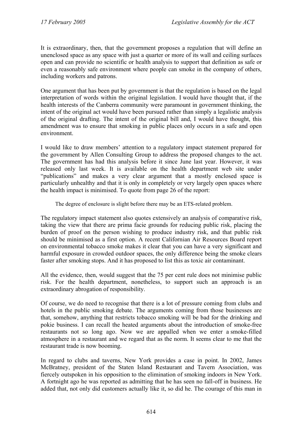It is extraordinary, then, that the government proposes a regulation that will define an unenclosed space as any space with just a quarter or more of its wall and ceiling surfaces open and can provide no scientific or health analysis to support that definition as safe or even a reasonably safe environment where people can smoke in the company of others, including workers and patrons.

One argument that has been put by government is that the regulation is based on the legal interpretation of words within the original legislation. I would have thought that, if the health interests of the Canberra community were paramount in government thinking, the intent of the original act would have been pursued rather than simply a legalistic analysis of the original drafting. The intent of the original bill and, I would have thought, this amendment was to ensure that smoking in public places only occurs in a safe and open environment.

I would like to draw members' attention to a regulatory impact statement prepared for the government by Allen Consulting Group to address the proposed changes to the act. The government has had this analysis before it since June last year. However, it was released only last week. It is available on the health department web site under "publications" and makes a very clear argument that a mostly enclosed space is particularly unhealthy and that it is only in completely or very largely open spaces where the health impact is minimised. To quote from page 26 of the report:

The degree of enclosure is slight before there may be an ETS-related problem.

The regulatory impact statement also quotes extensively an analysis of comparative risk, taking the view that there are prima facie grounds for reducing public risk, placing the burden of proof on the person wishing to produce industry risk, and that public risk should be minimised as a first option. A recent Californian Air Resources Board report on environmental tobacco smoke makes it clear that you can have a very significant and harmful exposure in crowded outdoor spaces, the only difference being the smoke clears faster after smoking stops. And it has proposed to list this as toxic air contaminant.

All the evidence, then, would suggest that the 75 per cent rule does not minimise public risk. For the health department, nonetheless, to support such an approach is an extraordinary abrogation of responsibility.

Of course, we do need to recognise that there is a lot of pressure coming from clubs and hotels in the public smoking debate. The arguments coming from those businesses are that, somehow, anything that restricts tobacco smoking will be bad for the drinking and pokie business. I can recall the heated arguments about the introduction of smoke-free restaurants not so long ago. Now we are appalled when we enter a smoke-filled atmosphere in a restaurant and we regard that as the norm. It seems clear to me that the restaurant trade is now booming.

In regard to clubs and taverns, New York provides a case in point. In 2002, James McBratney, president of the Staten Island Restaurant and Tavern Association, was fiercely outspoken in his opposition to the elimination of smoking indoors in New York. A fortnight ago he was reported as admitting that he has seen no fall-off in business. He added that, not only did customers actually like it, so did he. The courage of this man in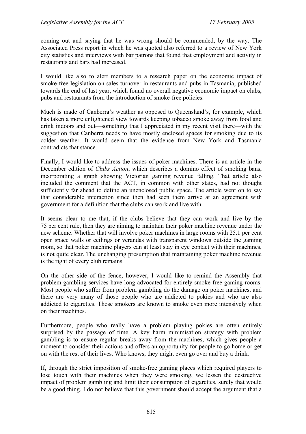coming out and saying that he was wrong should be commended, by the way. The Associated Press report in which he was quoted also referred to a review of New York city statistics and interviews with bar patrons that found that employment and activity in restaurants and bars had increased.

I would like also to alert members to a research paper on the economic impact of smoke-free legislation on sales turnover in restaurants and pubs in Tasmania, published towards the end of last year, which found no overall negative economic impact on clubs, pubs and restaurants from the introduction of smoke-free policies.

Much is made of Canberra's weather as opposed to Queensland's, for example, which has taken a more enlightened view towards keeping tobacco smoke away from food and drink indoors and out—something that I appreciated in my recent visit there—with the suggestion that Canberra needs to have mostly enclosed spaces for smoking due to its colder weather. It would seem that the evidence from New York and Tasmania contradicts that stance.

Finally, I would like to address the issues of poker machines. There is an article in the December edition of *Clubs Action*, which describes a domino effect of smoking bans, incorporating a graph showing Victorian gaming revenue falling. That article also included the comment that the ACT, in common with other states, had not thought sufficiently far ahead to define an unenclosed public space. The article went on to say that considerable interaction since then had seen them arrive at an agreement with government for a definition that the clubs can work and live with.

It seems clear to me that, if the clubs believe that they can work and live by the 75 per cent rule, then they are aiming to maintain their poker machine revenue under the new scheme. Whether that will involve poker machines in large rooms with 25.1 per cent open space walls or ceilings or verandas with transparent windows outside the gaming room, so that poker machine players can at least stay in eye contact with their machines, is not quite clear. The unchanging presumption that maintaining poker machine revenue is the right of every club remains.

On the other side of the fence, however, I would like to remind the Assembly that problem gambling services have long advocated for entirely smoke-free gaming rooms. Most people who suffer from problem gambling do the damage on poker machines, and there are very many of those people who are addicted to pokies and who are also addicted to cigarettes. Those smokers are known to smoke even more intensively when on their machines.

Furthermore, people who really have a problem playing pokies are often entirely surprised by the passage of time. A key harm minimisation strategy with problem gambling is to ensure regular breaks away from the machines, which gives people a moment to consider their actions and offers an opportunity for people to go home or get on with the rest of their lives. Who knows, they might even go over and buy a drink.

If, through the strict imposition of smoke-free gaming places which required players to lose touch with their machines when they were smoking, we lessen the destructive impact of problem gambling and limit their consumption of cigarettes, surely that would be a good thing. I do not believe that this government should accept the argument that a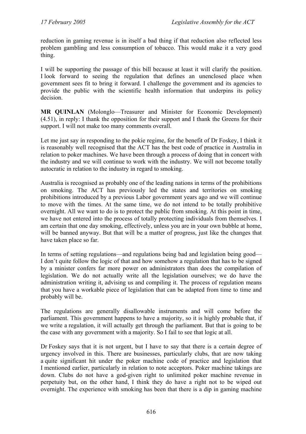reduction in gaming revenue is in itself a bad thing if that reduction also reflected less problem gambling and less consumption of tobacco. This would make it a very good thing.

I will be supporting the passage of this bill because at least it will clarify the position. I look forward to seeing the regulation that defines an unenclosed place when government sees fit to bring it forward. I challenge the government and its agencies to provide the public with the scientific health information that underpins its policy decision.

**MR QUINLAN** (Molonglo—Treasurer and Minister for Economic Development) (4.51), in reply: I thank the opposition for their support and I thank the Greens for their support. I will not make too many comments overall.

Let me just say in responding to the pokie regime, for the benefit of Dr Foskey, I think it is reasonably well recognised that the ACT has the best code of practice in Australia in relation to poker machines. We have been through a process of doing that in concert with the industry and we will continue to work with the industry. We will not become totally autocratic in relation to the industry in regard to smoking.

Australia is recognised as probably one of the leading nations in terms of the prohibitions on smoking. The ACT has previously led the states and territories on smoking prohibitions introduced by a previous Labor government years ago and we will continue to move with the times. At the same time, we do not intend to be totally prohibitive overnight. All we want to do is to protect the public from smoking. At this point in time, we have not entered into the process of totally protecting individuals from themselves. I am certain that one day smoking, effectively, unless you are in your own bubble at home, will be banned anyway. But that will be a matter of progress, just like the changes that have taken place so far.

In terms of setting regulations—and regulations being bad and legislation being good— I don't quite follow the logic of that and how somehow a regulation that has to be signed by a minister confers far more power on administrators than does the compilation of legislation. We do not actually write all the legislation ourselves; we do have the administration writing it, advising us and compiling it. The process of regulation means that you have a workable piece of legislation that can be adapted from time to time and probably will be.

The regulations are generally disallowable instruments and will come before the parliament. This government happens to have a majority, so it is highly probable that, if we write a regulation, it will actually get through the parliament. But that is going to be the case with any government with a majority. So I fail to see that logic at all.

Dr Foskey says that it is not urgent, but I have to say that there is a certain degree of urgency involved in this. There are businesses, particularly clubs, that are now taking a quite significant hit under the poker machine code of practice and legislation that I mentioned earlier, particularly in relation to note acceptors. Poker machine takings are down. Clubs do not have a god-given right to unlimited poker machine revenue in perpetuity but, on the other hand, I think they do have a right not to be wiped out overnight. The experience with smoking has been that there is a dip in gaming machine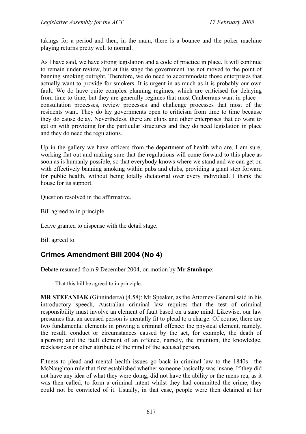takings for a period and then, in the main, there is a bounce and the poker machine playing returns pretty well to normal.

As I have said, we have strong legislation and a code of practice in place. It will continue to remain under review, but at this stage the government has not moved to the point of banning smoking outright. Therefore, we do need to accommodate those enterprises that actually want to provide for smokers. It is urgent in as much as it is probably our own fault. We do have quite complex planning regimes, which are criticised for delaying from time to time, but they are generally regimes that most Canberrans want in place consultation processes, review processes and challenge processes that most of the residents want. They do lay governments open to criticism from time to time because they do cause delay. Nevertheless, there are clubs and other enterprises that do want to get on with providing for the particular structures and they do need legislation in place and they do need the regulations.

Up in the gallery we have officers from the department of health who are, I am sure, working flat out and making sure that the regulations will come forward to this place as soon as is humanly possible, so that everybody knows where we stand and we can get on with effectively banning smoking within pubs and clubs, providing a giant step forward for public health, without being totally dictatorial over every individual. I thank the house for its support.

Question resolved in the affirmative.

Bill agreed to in principle.

Leave granted to dispense with the detail stage.

Bill agreed to.

# **Crimes Amendment Bill 2004 (No 4)**

Debate resumed from 9 December 2004, on motion by **Mr Stanhope**:

That this bill be agreed to in principle.

**MR STEFANIAK** (Ginninderra) (4.58): Mr Speaker, as the Attorney-General said in his introductory speech, Australian criminal law requires that the test of criminal responsibility must involve an element of fault based on a sane mind. Likewise, our law presumes that an accused person is mentally fit to plead to a charge. Of course, there are two fundamental elements in proving a criminal offence: the physical element, namely, the result, conduct or circumstances caused by the act, for example, the death of a person; and the fault element of an offence, namely, the intention, the knowledge, recklessness or other attribute of the mind of the accused person.

Fitness to plead and mental health issues go back in criminal law to the 1840s—the McNaughton rule that first established whether someone basically was insane. If they did not have any idea of what they were doing, did not have the ability or the mens rea, as it was then called, to form a criminal intent whilst they had committed the crime, they could not be convicted of it. Usually, in that case, people were then detained at her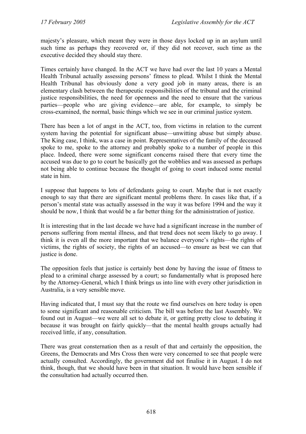majesty's pleasure, which meant they were in those days locked up in an asylum until such time as perhaps they recovered or, if they did not recover, such time as the executive decided they should stay there.

Times certainly have changed. In the ACT we have had over the last 10 years a Mental Health Tribunal actually assessing persons' fitness to plead. Whilst I think the Mental Health Tribunal has obviously done a very good job in many areas, there is an elementary clash between the therapeutic responsibilities of the tribunal and the criminal justice responsibilities, the need for openness and the need to ensure that the various parties—people who are giving evidence—are able, for example, to simply be cross-examined, the normal, basic things which we see in our criminal justice system.

There has been a lot of angst in the ACT, too, from victims in relation to the current system having the potential for significant abuse—unwitting abuse but simply abuse. The King case, I think, was a case in point. Representatives of the family of the deceased spoke to me, spoke to the attorney and probably spoke to a number of people in this place. Indeed, there were some significant concerns raised there that every time the accused was due to go to court he basically got the wobblies and was assessed as perhaps not being able to continue because the thought of going to court induced some mental state in him.

I suppose that happens to lots of defendants going to court. Maybe that is not exactly enough to say that there are significant mental problems there. In cases like that, if a person's mental state was actually assessed in the way it was before 1994 and the way it should be now, I think that would be a far better thing for the administration of justice.

It is interesting that in the last decade we have had a significant increase in the number of persons suffering from mental illness, and that trend does not seem likely to go away. I think it is even all the more important that we balance everyone's rights—the rights of victims, the rights of society, the rights of an accused—to ensure as best we can that justice is done.

The opposition feels that justice is certainly best done by having the issue of fitness to plead to a criminal charge assessed by a court; so fundamentally what is proposed here by the Attorney-General, which I think brings us into line with every other jurisdiction in Australia, is a very sensible move.

Having indicated that, I must say that the route we find ourselves on here today is open to some significant and reasonable criticism. The bill was before the last Assembly. We found out in August—we were all set to debate it, or getting pretty close to debating it because it was brought on fairly quickly—that the mental health groups actually had received little, if any, consultation.

There was great consternation then as a result of that and certainly the opposition, the Greens, the Democrats and Mrs Cross then were very concerned to see that people were actually consulted. Accordingly, the government did not finalise it in August. I do not think, though, that we should have been in that situation. It would have been sensible if the consultation had actually occurred then.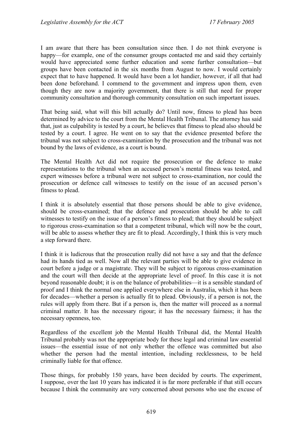I am aware that there has been consultation since then. I do not think everyone is happy—for example, one of the consumer groups contacted me and said they certainly would have appreciated some further education and some further consultation—but groups have been contacted in the six months from August to now. I would certainly expect that to have happened. It would have been a lot handier, however, if all that had been done beforehand. I commend to the government and impress upon them, even though they are now a majority government, that there is still that need for proper community consultation and thorough community consultation on such important issues.

That being said, what will this bill actually do? Until now, fitness to plead has been determined by advice to the court from the Mental Health Tribunal. The attorney has said that, just as culpability is tested by a court, he believes that fitness to plead also should be tested by a court. I agree. He went on to say that the evidence presented before the tribunal was not subject to cross-examination by the prosecution and the tribunal was not bound by the laws of evidence, as a court is bound.

The Mental Health Act did not require the prosecution or the defence to make representations to the tribunal when an accused person's mental fitness was tested, and expert witnesses before a tribunal were not subject to cross-examination, nor could the prosecution or defence call witnesses to testify on the issue of an accused person's fitness to plead.

I think it is absolutely essential that those persons should be able to give evidence, should be cross-examined; that the defence and prosecution should be able to call witnesses to testify on the issue of a person's fitness to plead; that they should be subject to rigorous cross-examination so that a competent tribunal, which will now be the court, will be able to assess whether they are fit to plead. Accordingly, I think this is very much a step forward there.

I think it is ludicrous that the prosecution really did not have a say and that the defence had its hands tied as well. Now all the relevant parties will be able to give evidence in court before a judge or a magistrate. They will be subject to rigorous cross-examination and the court will then decide at the appropriate level of proof. In this case it is not beyond reasonable doubt; it is on the balance of probabilities—it is a sensible standard of proof and I think the normal one applied everywhere else in Australia, which it has been for decades—whether a person is actually fit to plead. Obviously, if a person is not, the rules will apply from there. But if a person is, then the matter will proceed as a normal criminal matter. It has the necessary rigour; it has the necessary fairness; it has the necessary openness, too.

Regardless of the excellent job the Mental Health Tribunal did, the Mental Health Tribunal probably was not the appropriate body for these legal and criminal law essential issues—the essential issue of not only whether the offence was committed but also whether the person had the mental intention, including recklessness, to be held criminally liable for that offence.

Those things, for probably 150 years, have been decided by courts. The experiment, I suppose, over the last 10 years has indicated it is far more preferable if that still occurs because I think the community are very concerned about persons who use the excuse of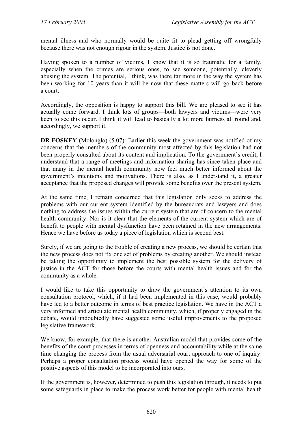mental illness and who normally would be quite fit to plead getting off wrongfully because there was not enough rigour in the system. Justice is not done.

Having spoken to a number of victims, I know that it is so traumatic for a family, especially when the crimes are serious ones, to see someone, potentially, cleverly abusing the system. The potential, I think, was there far more in the way the system has been working for 10 years than it will be now that these matters will go back before a court.

Accordingly, the opposition is happy to support this bill. We are pleased to see it has actually come forward. I think lots of groups—both lawyers and victims—were very keen to see this occur. I think it will lead to basically a lot more fairness all round and, accordingly, we support it.

**DR FOSKEY** (Molonglo) (5.07): Earlier this week the government was notified of my concerns that the members of the community most affected by this legislation had not been properly consulted about its content and implication. To the government's credit, I understand that a range of meetings and information sharing has since taken place and that many in the mental health community now feel much better informed about the government's intentions and motivations. There is also, as I understand it, a greater acceptance that the proposed changes will provide some benefits over the present system.

At the same time, I remain concerned that this legislation only seeks to address the problems with our current system identified by the bureaucrats and lawyers and does nothing to address the issues within the current system that are of concern to the mental health community. Nor is it clear that the elements of the current system which are of benefit to people with mental dysfunction have been retained in the new arrangements. Hence we have before us today a piece of legislation which is second best.

Surely, if we are going to the trouble of creating a new process, we should be certain that the new process does not fix one set of problems by creating another. We should instead be taking the opportunity to implement the best possible system for the delivery of justice in the ACT for those before the courts with mental health issues and for the community as a whole.

I would like to take this opportunity to draw the government's attention to its own consultation protocol, which, if it had been implemented in this case, would probably have led to a better outcome in terms of best practice legislation. We have in the ACT a very informed and articulate mental health community, which, if properly engaged in the debate, would undoubtedly have suggested some useful improvements to the proposed legislative framework.

We know, for example, that there is another Australian model that provides some of the benefits of the court processes in terms of openness and accountability while at the same time changing the process from the usual adversarial court approach to one of inquiry. Perhaps a proper consultation process would have opened the way for some of the positive aspects of this model to be incorporated into ours.

If the government is, however, determined to push this legislation through, it needs to put some safeguards in place to make the process work better for people with mental health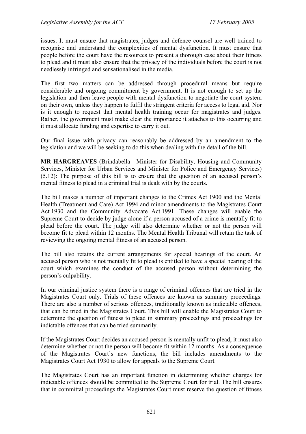issues. It must ensure that magistrates, judges and defence counsel are well trained to recognise and understand the complexities of mental dysfunction. It must ensure that people before the court have the resources to present a thorough case about their fitness to plead and it must also ensure that the privacy of the individuals before the court is not needlessly infringed and sensationalised in the media.

The first two matters can be addressed through procedural means but require considerable and ongoing commitment by government. It is not enough to set up the legislation and then leave people with mental dysfunction to negotiate the court system on their own, unless they happen to fulfil the stringent criteria for access to legal aid. Nor is it enough to request that mental health training occur for magistrates and judges. Rather, the government must make clear the importance it attaches to this occurring and it must allocate funding and expertise to carry it out.

Our final issue with privacy can reasonably be addressed by an amendment to the legislation and we will be seeking to do this when dealing with the detail of the bill.

**MR HARGREAVES** (Brindabella—Minister for Disability, Housing and Community Services, Minister for Urban Services and Minister for Police and Emergency Services) (5.12): The purpose of this bill is to ensure that the question of an accused person's mental fitness to plead in a criminal trial is dealt with by the courts.

The bill makes a number of important changes to the Crimes Act 1900 and the Mental Health (Treatment and Care) Act 1994 and minor amendments to the Magistrates Court Act 1930 and the Community Advocate Act 1991. These changes will enable the Supreme Court to decide by judge alone if a person accused of a crime is mentally fit to plead before the court. The judge will also determine whether or not the person will become fit to plead within 12 months. The Mental Health Tribunal will retain the task of reviewing the ongoing mental fitness of an accused person.

The bill also retains the current arrangements for special hearings of the court. An accused person who is not mentally fit to plead is entitled to have a special hearing of the court which examines the conduct of the accused person without determining the person's culpability.

In our criminal justice system there is a range of criminal offences that are tried in the Magistrates Court only. Trials of these offences are known as summary proceedings. There are also a number of serious offences, traditionally known as indictable offences, that can be tried in the Magistrates Court. This bill will enable the Magistrates Court to determine the question of fitness to plead in summary proceedings and proceedings for indictable offences that can be tried summarily.

If the Magistrates Court decides an accused person is mentally unfit to plead, it must also determine whether or not the person will become fit within 12 months. As a consequence of the Magistrates Court's new functions, the bill includes amendments to the Magistrates Court Act 1930 to allow for appeals to the Supreme Court.

The Magistrates Court has an important function in determining whether charges for indictable offences should be committed to the Supreme Court for trial. The bill ensures that in committal proceedings the Magistrates Court must reserve the question of fitness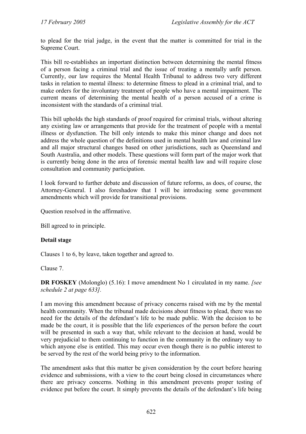to plead for the trial judge, in the event that the matter is committed for trial in the Supreme Court.

This bill re-establishes an important distinction between determining the mental fitness of a person facing a criminal trial and the issue of treating a mentally unfit person. Currently, our law requires the Mental Health Tribunal to address two very different tasks in relation to mental illness: to determine fitness to plead in a criminal trial, and to make orders for the involuntary treatment of people who have a mental impairment. The current means of determining the mental health of a person accused of a crime is inconsistent with the standards of a criminal trial.

This bill upholds the high standards of proof required for criminal trials, without altering any existing law or arrangements that provide for the treatment of people with a mental illness or dysfunction. The bill only intends to make this minor change and does not address the whole question of the definitions used in mental health law and criminal law and all major structural changes based on other jurisdictions, such as Queensland and South Australia, and other models. These questions will form part of the major work that is currently being done in the area of forensic mental health law and will require close consultation and community participation.

I look forward to further debate and discussion of future reforms, as does, of course, the Attorney-General. I also foreshadow that I will be introducing some government amendments which will provide for transitional provisions.

Question resolved in the affirmative.

Bill agreed to in principle.

### **Detail stage**

Clauses 1 to 6, by leave, taken together and agreed to.

Clause 7.

**DR FOSKEY** (Molonglo) (5.16): I move amendment No 1 circulated in my name. *[see schedule 2 at page 633].* 

I am moving this amendment because of privacy concerns raised with me by the mental health community. When the tribunal made decisions about fitness to plead, there was no need for the details of the defendant's life to be made public. With the decision to be made be the court, it is possible that the life experiences of the person before the court will be presented in such a way that, while relevant to the decision at hand, would be very prejudicial to them continuing to function in the community in the ordinary way to which anyone else is entitled. This may occur even though there is no public interest to be served by the rest of the world being privy to the information.

The amendment asks that this matter be given consideration by the court before hearing evidence and submissions, with a view to the court being closed in circumstances where there are privacy concerns. Nothing in this amendment prevents proper testing of evidence put before the court. It simply prevents the details of the defendant's life being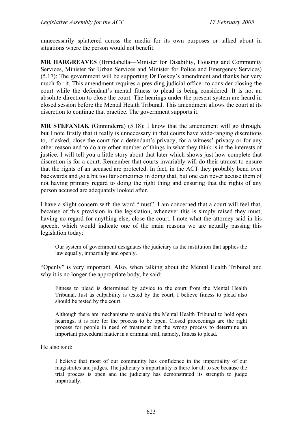unnecessarily splattered across the media for its own purposes or talked about in situations where the person would not benefit.

**MR HARGREAVES** (Brindabella—Minister for Disability, Housing and Community Services, Minister for Urban Services and Minister for Police and Emergency Services) (5.17): The government will be supporting Dr Foskey's amendment and thanks her very much for it. This amendment requires a presiding judicial officer to consider closing the court while the defendant's mental fitness to plead is being considered. It is not an absolute direction to close the court. The hearings under the present system are heard in closed session before the Mental Health Tribunal. This amendment allows the court at its discretion to continue that practice. The government supports it.

**MR STEFANIAK** (Ginninderra) (5.18): I know that the amendment will go through, but I note firstly that it really is unnecessary in that courts have wide-ranging discretions to, if asked, close the court for a defendant's privacy, for a witness' privacy or for any other reason and to do any other number of things in what they think is in the interests of justice. I will tell you a little story about that later which shows just how complete that discretion is for a court. Remember that courts invariably will do their utmost to ensure that the rights of an accused are protected. In fact, in the ACT they probably bend over backwards and go a bit too far sometimes in doing that, but one can never accuse them of not having primary regard to doing the right thing and ensuring that the rights of any person accused are adequately looked after.

I have a slight concern with the word "must". I am concerned that a court will feel that, because of this provision in the legislation, whenever this is simply raised they must, having no regard for anything else, close the court. I note what the attorney said in his speech, which would indicate one of the main reasons we are actually passing this legislation today:

Our system of government designates the judiciary as the institution that applies the law equally, impartially and openly.

"Openly" is very important. Also, when talking about the Mental Health Tribunal and why it is no longer the appropriate body, he said:

Fitness to plead is determined by advice to the court from the Mental Health Tribunal. Just as culpability is tested by the court, I believe fitness to plead also should be tested by the court.

Although there are mechanisms to enable the Mental Health Tribunal to hold open hearings, it is rare for the process to be open. Closed proceedings are the right process for people in need of treatment but the wrong process to determine an important procedural matter in a criminal trial, namely, fitness to plead.

He also said:

I believe that most of our community has confidence in the impartiality of our magistrates and judges. The judiciary's impartiality is there for all to see because the trial process is open and the judiciary has demonstrated its strength to judge impartially.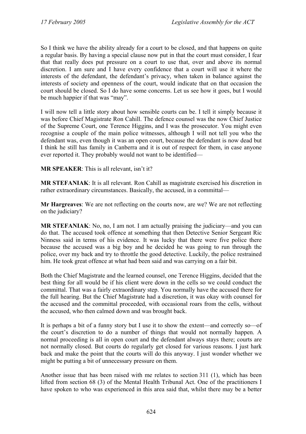So I think we have the ability already for a court to be closed, and that happens on quite a regular basis. By having a special clause now put in that the court must consider, I fear that that really does put pressure on a court to use that, over and above its normal discretion. I am sure and I have every confidence that a court will use it where the interests of the defendant, the defendant's privacy, when taken in balance against the interests of society and openness of the court, would indicate that on that occasion the court should be closed. So I do have some concerns. Let us see how it goes, but I would be much happier if that was "may".

I will now tell a little story about how sensible courts can be. I tell it simply because it was before Chief Magistrate Ron Cahill. The defence counsel was the now Chief Justice of the Supreme Court, one Terence Higgins, and I was the prosecutor. You might even recognise a couple of the main police witnesses, although I will not tell you who the defendant was, even though it was an open court, because the defendant is now dead but I think he still has family in Canberra and it is out of respect for them, in case anyone ever reported it. They probably would not want to be identified—

**MR SPEAKER**: This is all relevant, isn't it?

**MR STEFANIAK**: It is all relevant. Ron Cahill as magistrate exercised his discretion in rather extraordinary circumstances. Basically, the accused, in a committal—

**Mr Hargreaves**: We are not reflecting on the courts now, are we? We are not reflecting on the judiciary?

**MR STEFANIAK:** No, no, I am not. I am actually praising the judiciary—and you can do that. The accused took offence at something that then Detective Senior Sergeant Ric Ninness said in terms of his evidence. It was lucky that there were five police there because the accused was a big boy and he decided he was going to run through the police, over my back and try to throttle the good detective. Luckily, the police restrained him. He took great offence at what had been said and was carrying on a fair bit.

Both the Chief Magistrate and the learned counsel, one Terence Higgins, decided that the best thing for all would be if his client were down in the cells so we could conduct the committal. That was a fairly extraordinary step. You normally have the accused there for the full hearing. But the Chief Magistrate had a discretion, it was okay with counsel for the accused and the committal proceeded, with occasional roars from the cells, without the accused, who then calmed down and was brought back.

It is perhaps a bit of a funny story but I use it to show the extent—and correctly so—of the court's discretion to do a number of things that would not normally happen. A normal proceeding is all in open court and the defendant always stays there; courts are not normally closed. But courts do regularly get closed for various reasons. I just hark back and make the point that the courts will do this anyway. I just wonder whether we might be putting a bit of unnecessary pressure on them.

Another issue that has been raised with me relates to section 311 (1), which has been lifted from section 68 (3) of the Mental Health Tribunal Act. One of the practitioners I have spoken to who was experienced in this area said that, whilst there may be a better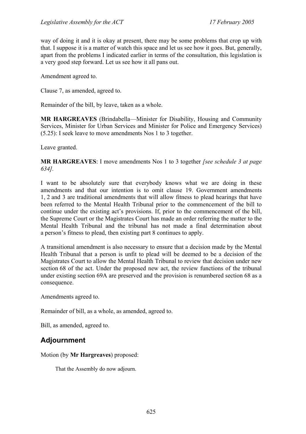way of doing it and it is okay at present, there may be some problems that crop up with that. I suppose it is a matter of watch this space and let us see how it goes. But, generally, apart from the problems I indicated earlier in terms of the consultation, this legislation is a very good step forward. Let us see how it all pans out.

Amendment agreed to.

Clause 7, as amended, agreed to.

Remainder of the bill, by leave, taken as a whole.

**MR HARGREAVES** (Brindabella—Minister for Disability, Housing and Community Services, Minister for Urban Services and Minister for Police and Emergency Services) (5.25): I seek leave to move amendments Nos 1 to 3 together.

Leave granted.

**MR HARGREAVES**: I move amendments Nos 1 to 3 together *[see schedule 3 at page 634].*

I want to be absolutely sure that everybody knows what we are doing in these amendments and that our intention is to omit clause 19. Government amendments 1, 2 and 3 are traditional amendments that will allow fitness to plead hearings that have been referred to the Mental Health Tribunal prior to the commencement of the bill to continue under the existing act's provisions. If, prior to the commencement of the bill, the Supreme Court or the Magistrates Court has made an order referring the matter to the Mental Health Tribunal and the tribunal has not made a final determination about a person's fitness to plead, then existing part 8 continues to apply.

A transitional amendment is also necessary to ensure that a decision made by the Mental Health Tribunal that a person is unfit to plead will be deemed to be a decision of the Magistrates Court to allow the Mental Health Tribunal to review that decision under new section 68 of the act. Under the proposed new act, the review functions of the tribunal under existing section 69A are preserved and the provision is renumbered section 68 as a consequence.

Amendments agreed to.

Remainder of bill, as a whole, as amended, agreed to.

Bill, as amended, agreed to.

# **Adjournment**

Motion (by **Mr Hargreaves**) proposed:

That the Assembly do now adjourn.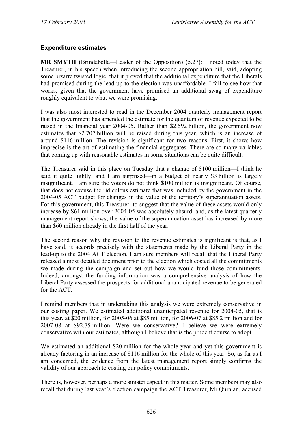### **Expenditure estimates**

**MR SMYTH** (Brindabella—Leader of the Opposition) (5.27): I noted today that the Treasurer, in his speech when introducing the second appropriation bill, said, adopting some bizarre twisted logic, that it proved that the additional expenditure that the Liberals had promised during the lead-up to the election was unaffordable. I fail to see how that works, given that the government have promised an additional swag of expenditure roughly equivalent to what we were promising.

I was also most interested to read in the December 2004 quarterly management report that the government has amended the estimate for the quantum of revenue expected to be raised in the financial year 2004-05. Rather than \$2.592 billion, the government now estimates that \$2.707 billion will be raised during this year, which is an increase of around \$116 million. The revision is significant for two reasons. First, it shows how imprecise is the art of estimating the financial aggregates. There are so many variables that coming up with reasonable estimates in some situations can be quite difficult.

The Treasurer said in this place on Tuesday that a change of \$100 million—I think he said it quite lightly, and I am surprised—in a budget of nearly \$3 billion is largely insignificant. I am sure the voters do not think \$100 million is insignificant. Of course, that does not excuse the ridiculous estimate that was included by the government in the 2004-05 ACT budget for changes in the value of the territory's superannuation assets. For this government, this Treasurer, to suggest that the value of these assets would only increase by \$61 million over 2004-05 was absolutely absurd, and, as the latest quarterly management report shows, the value of the superannuation asset has increased by more than \$60 million already in the first half of the year.

The second reason why the revision to the revenue estimates is significant is that, as I have said, it accords precisely with the statements made by the Liberal Party in the lead-up to the 2004 ACT election. I am sure members will recall that the Liberal Party released a most detailed document prior to the election which costed all the commitments we made during the campaign and set out how we would fund those commitments. Indeed, amongst the funding information was a comprehensive analysis of how the Liberal Party assessed the prospects for additional unanticipated revenue to be generated for the ACT.

I remind members that in undertaking this analysis we were extremely conservative in our costing paper. We estimated additional unanticipated revenue for 2004-05, that is this year, at \$20 million, for 2005-06 at \$85 million, for 2006-07 at \$85.2 million and for 2007-08 at \$92.75 million. Were we conservative? I believe we were extremely conservative with our estimates, although I believe that is the prudent course to adopt.

We estimated an additional \$20 million for the whole year and yet this government is already factoring in an increase of \$116 million for the whole of this year. So, as far as I am concerned, the evidence from the latest management report simply confirms the validity of our approach to costing our policy commitments.

There is, however, perhaps a more sinister aspect in this matter. Some members may also recall that during last year's election campaign the ACT Treasurer, Mr Quinlan, accused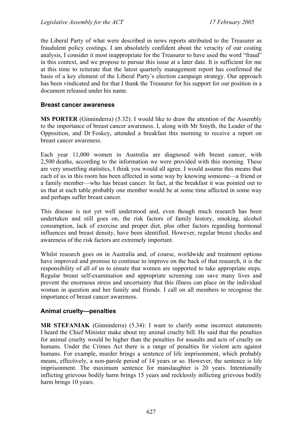the Liberal Party of what were described in news reports attributed to the Treasurer as fraudulent policy costings. I am absolutely confident about the veracity of our costing analysis, I consider it most inappropriate for the Treasurer to have used the word "fraud" in this context, and we propose to pursue this issue at a later date. It is sufficient for me at this time to reiterate that the latest quarterly management report has confirmed the basis of a key element of the Liberal Party's election campaign strategy. Our approach has been vindicated and for that I thank the Treasurer for his support for our position in a document released under his name.

### **Breast cancer awareness**

**MS PORTER** (Ginninderra) (5.32): I would like to draw the attention of the Assembly to the importance of breast cancer awareness. I, along with Mr Smyth, the Leader of the Opposition, and Dr Foskey, attended a breakfast this morning to receive a report on breast cancer awareness.

Each year 11,000 women in Australia are diagnosed with breast cancer, with 2,500 deaths, according to the information we were provided with this morning. These are very unsettling statistics, I think you would all agree. I would assume this means that each of us in this room has been affected in some way by knowing someone—a friend or a family member—who has breast cancer. In fact, at the breakfast it was pointed out to us that at each table probably one member would be at some time affected in some way and perhaps suffer breast cancer.

This disease is not yet well understood and, even though much research has been undertaken and still goes on, the risk factors of family history, smoking, alcohol consumption, lack of exercise and proper diet, plus other factors regarding hormonal influences and breast density, have been identified. However, regular breast checks and awareness of the risk factors are extremely important.

Whilst research goes on in Australia and, of course, worldwide and treatment options have improved and promise to continue to improve on the back of that research, it is the responsibility of all of us to ensure that women are supported to take appropriate steps. Regular breast self-examination and appropriate screening can save many lives and prevent the enormous stress and uncertainty that this illness can place on the individual woman in question and her family and friends. I call on all members to recognise the importance of breast cancer awareness.

### **Animal cruelty—penalties**

**MR STEFANIAK** (Ginninderra) (5.34): I want to clarify some incorrect statements I heard the Chief Minister make about my animal cruelty bill. He said that the penalties for animal cruelty would be higher than the penalties for assaults and acts of cruelty on humans. Under the Crimes Act there is a range of penalties for violent acts against humans. For example, murder brings a sentence of life imprisonment, which probably means, effectively, a non-parole period of 14 years or so. However, the sentence is life imprisonment. The maximum sentence for manslaughter is 20 years. Intentionally inflicting grievous bodily harm brings 15 years and recklessly inflicting grievous bodily harm brings 10 years.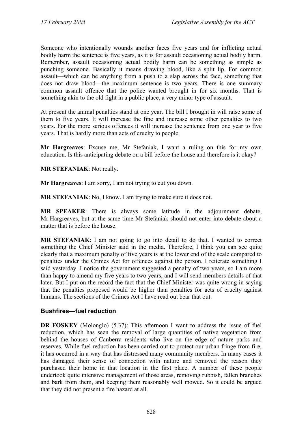Someone who intentionally wounds another faces five years and for inflicting actual bodily harm the sentence is five years, as it is for assault occasioning actual bodily harm. Remember, assault occasioning actual bodily harm can be something as simple as punching someone. Basically it means drawing blood, like a split lip. For common assault—which can be anything from a push to a slap across the face, something that does not draw blood—the maximum sentence is two years. There is one summary common assault offence that the police wanted brought in for six months. That is something akin to the old fight in a public place, a very minor type of assault.

At present the animal penalties stand at one year. The bill I brought in will raise some of them to five years. It will increase the fine and increase some other penalties to two years. For the more serious offences it will increase the sentence from one year to five years. That is hardly more than acts of cruelty to people.

**Mr Hargreaves**: Excuse me, Mr Stefaniak, I want a ruling on this for my own education. Is this anticipating debate on a bill before the house and therefore is it okay?

**MR STEFANIAK**: Not really.

**Mr Hargreaves**: I am sorry, I am not trying to cut you down.

**MR STEFANIAK**: No, I know. I am trying to make sure it does not.

**MR SPEAKER**: There is always some latitude in the adjournment debate, Mr Hargreaves, but at the same time Mr Stefaniak should not enter into debate about a matter that is before the house.

**MR STEFANIAK**: I am not going to go into detail to do that. I wanted to correct something the Chief Minister said in the media. Therefore, I think you can see quite clearly that a maximum penalty of five years is at the lower end of the scale compared to penalties under the Crimes Act for offences against the person. I reiterate something I said yesterday. I notice the government suggested a penalty of two years, so I am more than happy to amend my five years to two years, and I will send members details of that later. But I put on the record the fact that the Chief Minister was quite wrong in saying that the penalties proposed would be higher than penalties for acts of cruelty against humans. The sections of the Crimes Act I have read out bear that out.

### **Bushfires—fuel reduction**

**DR FOSKEY** (Molonglo) (5.37): This afternoon I want to address the issue of fuel reduction, which has seen the removal of large quantities of native vegetation from behind the houses of Canberra residents who live on the edge of nature parks and reserves. While fuel reduction has been carried out to protect our urban fringe from fire, it has occurred in a way that has distressed many community members. In many cases it has damaged their sense of connection with nature and removed the reason they purchased their home in that location in the first place. A number of these people undertook quite intensive management of those areas, removing rubbish, fallen branches and bark from them, and keeping them reasonably well mowed. So it could be argued that they did not present a fire hazard at all.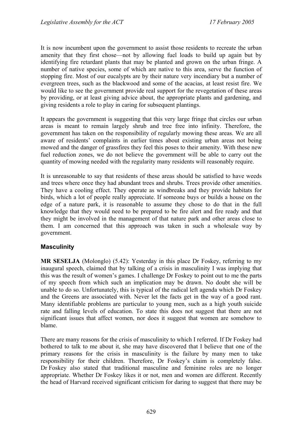It is now incumbent upon the government to assist those residents to recreate the urban amenity that they first chose—not by allowing fuel loads to build up again but by identifying fire retardant plants that may be planted and grown on the urban fringe. A number of native species, some of which are native to this area, serve the function of stopping fire. Most of our eucalypts are by their nature very incendiary but a number of evergreen trees, such as the blackwood and some of the acacias, at least resist fire. We would like to see the government provide real support for the revegetation of these areas by providing, or at least giving advice about, the appropriate plants and gardening, and giving residents a role to play in caring for subsequent plantings.

It appears the government is suggesting that this very large fringe that circles our urban areas is meant to remain largely shrub and tree free into infinity. Therefore, the government has taken on the responsibility of regularly mowing these areas. We are all aware of residents' complaints in earlier times about existing urban areas not being mowed and the danger of grassfires they feel this poses to their amenity. With these new fuel reduction zones, we do not believe the government will be able to carry out the quantity of mowing needed with the regularity many residents will reasonably require.

It is unreasonable to say that residents of these areas should be satisfied to have weeds and trees where once they had abundant trees and shrubs. Trees provide other amenities. They have a cooling effect. They operate as windbreaks and they provide habitats for birds, which a lot of people really appreciate. If someone buys or builds a house on the edge of a nature park, it is reasonable to assume they chose to do that in the full knowledge that they would need to be prepared to be fire alert and fire ready and that they might be involved in the management of that nature park and other areas close to them. I am concerned that this approach was taken in such a wholesale way by government.

### **Masculinity**

**MR SESELJA** (Molonglo) (5.42): Yesterday in this place Dr Foskey, referring to my inaugural speech, claimed that by talking of a crisis in masculinity I was implying that this was the result of women's games. I challenge Dr Foskey to point out to me the parts of my speech from which such an implication may be drawn. No doubt she will be unable to do so. Unfortunately, this is typical of the radical left agenda which Dr Foskey and the Greens are associated with. Never let the facts get in the way of a good rant. Many identifiable problems are particular to young men, such as a high youth suicide rate and falling levels of education. To state this does not suggest that there are not significant issues that affect women, nor does it suggest that women are somehow to blame.

There are many reasons for the crisis of masculinity to which I referred. If Dr Foskey had bothered to talk to me about it, she may have discovered that I believe that one of the primary reasons for the crisis in masculinity is the failure by many men to take responsibility for their children. Therefore, Dr Foskey's claim is completely false. Dr Foskey also stated that traditional masculine and feminine roles are no longer appropriate. Whether Dr Foskey likes it or not, men and women are different. Recently the head of Harvard received significant criticism for daring to suggest that there may be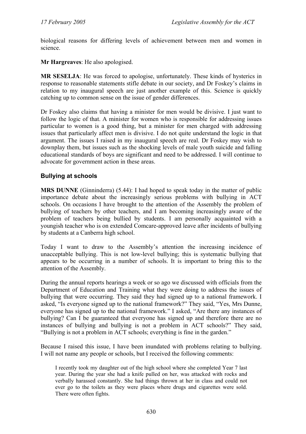biological reasons for differing levels of achievement between men and women in science.

**Mr Hargreaves**: He also apologised.

**MR SESELJA**: He was forced to apologise, unfortunately. These kinds of hysterics in response to reasonable statements stifle debate in our society, and Dr Foskey's claims in relation to my inaugural speech are just another example of this. Science is quickly catching up to common sense on the issue of gender differences.

Dr Foskey also claims that having a minister for men would be divisive. I just want to follow the logic of that. A minister for women who is responsible for addressing issues particular to women is a good thing, but a minister for men charged with addressing issues that particularly affect men is divisive. I do not quite understand the logic in that argument. The issues I raised in my inaugural speech are real. Dr Foskey may wish to downplay them, but issues such as the shocking levels of male youth suicide and falling educational standards of boys are significant and need to be addressed. I will continue to advocate for government action in these areas.

### **Bullying at schools**

**MRS DUNNE** (Ginninderra) (5.44): I had hoped to speak today in the matter of public importance debate about the increasingly serious problems with bullying in ACT schools. On occasions I have brought to the attention of the Assembly the problem of bullying of teachers by other teachers, and I am becoming increasingly aware of the problem of teachers being bullied by students. I am personally acquainted with a youngish teacher who is on extended Comcare-approved leave after incidents of bullying by students at a Canberra high school.

Today I want to draw to the Assembly's attention the increasing incidence of unacceptable bullying. This is not low-level bullying; this is systematic bullying that appears to be occurring in a number of schools. It is important to bring this to the attention of the Assembly.

During the annual reports hearings a week or so ago we discussed with officials from the Department of Education and Training what they were doing to address the issues of bullying that were occurring. They said they had signed up to a national framework. I asked, "Is everyone signed up to the national framework?" They said, "Yes, Mrs Dunne, everyone has signed up to the national framework." I asked, "Are there any instances of bullying? Can I be guaranteed that everyone has signed up and therefore there are no instances of bullying and bullying is not a problem in ACT schools?" They said, "Bullying is not a problem in ACT schools; everything is fine in the garden."

Because I raised this issue, I have been inundated with problems relating to bullying. I will not name any people or schools, but I received the following comments:

I recently took my daughter out of the high school where she completed Year 7 last year. During the year she had a knife pulled on her, was attacked with rocks and verbally harassed constantly. She had things thrown at her in class and could not ever go to the toilets as they were places where drugs and cigarettes were sold. There were often fights.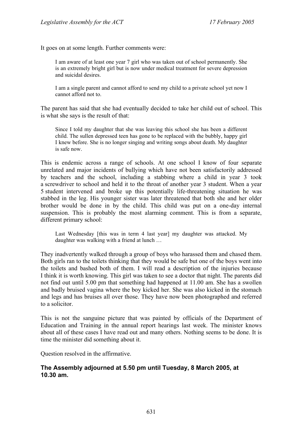It goes on at some length. Further comments were:

I am aware of at least one year 7 girl who was taken out of school permanently. She is an extremely bright girl but is now under medical treatment for severe depression and suicidal desires.

I am a single parent and cannot afford to send my child to a private school yet now I cannot afford not to.

The parent has said that she had eventually decided to take her child out of school. This is what she says is the result of that:

Since I told my daughter that she was leaving this school she has been a different child. The sullen depressed teen has gone to be replaced with the bubbly, happy girl I knew before. She is no longer singing and writing songs about death. My daughter is safe now.

This is endemic across a range of schools. At one school I know of four separate unrelated and major incidents of bullying which have not been satisfactorily addressed by teachers and the school, including a stabbing where a child in year 3 took a screwdriver to school and held it to the throat of another year 3 student. When a year 5 student intervened and broke up this potentially life-threatening situation he was stabbed in the leg. His younger sister was later threatened that both she and her older brother would be done in by the child. This child was put on a one-day internal suspension. This is probably the most alarming comment. This is from a separate, different primary school:

Last Wednesday [this was in term 4 last year] my daughter was attacked. My daughter was walking with a friend at lunch …

They inadvertently walked through a group of boys who harassed them and chased them. Both girls ran to the toilets thinking that they would be safe but one of the boys went into the toilets and bashed both of them. I will read a description of the injuries because I think it is worth knowing. This girl was taken to see a doctor that night. The parents did not find out until 5.00 pm that something had happened at 11.00 am. She has a swollen and badly bruised vagina where the boy kicked her. She was also kicked in the stomach and legs and has bruises all over those. They have now been photographed and referred to a solicitor.

This is not the sanguine picture that was painted by officials of the Department of Education and Training in the annual report hearings last week. The minister knows about all of these cases I have read out and many others. Nothing seems to be done. It is time the minister did something about it.

Question resolved in the affirmative.

### **The Assembly adjourned at 5.50 pm until Tuesday, 8 March 2005, at 10.30 am.**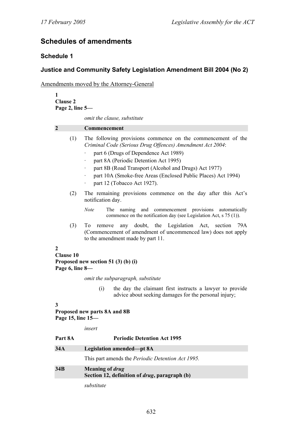# **Schedules of amendments**

### **Schedule 1**

## **Justice and Community Safety Legislation Amendment Bill 2004 (No 2)**

Amendments moved by the Attorney-General

| <b>Clause 2</b>   |
|-------------------|
| Page 2, line $5-$ |

*omit the clause, substitute* 

| $\overline{2}$                      | Commencement                                                                                                                                                                                                                                                                                                                                                         |  |  |  |  |  |  |
|-------------------------------------|----------------------------------------------------------------------------------------------------------------------------------------------------------------------------------------------------------------------------------------------------------------------------------------------------------------------------------------------------------------------|--|--|--|--|--|--|
| (1)                                 | The following provisions commence on the commencement of the<br>Criminal Code (Serious Drug Offences) Amendment Act 2004:<br>part 6 (Drugs of Dependence Act 1989)<br>part 8A (Periodic Detention Act 1995)<br>part 8B (Road Transport (Alcohol and Drugs) Act 1977)<br>part 10A (Smoke-free Areas (Enclosed Public Places) Act 1994)<br>part 12 (Tobacco Act 1927). |  |  |  |  |  |  |
| (2)                                 | The remaining provisions commence on the day after this Act's<br>notification day.<br><b>Note</b><br>The<br>naming<br>and<br>commencement<br>provisions<br>automatically                                                                                                                                                                                             |  |  |  |  |  |  |
|                                     | commence on the notification day (see Legislation Act, s 75 (1)).                                                                                                                                                                                                                                                                                                    |  |  |  |  |  |  |
| (3)                                 | To<br>any doubt, the Legislation Act,<br>section<br>79A<br>remove<br>(Commencement of amendment of uncommenced law) does not apply<br>to the amendment made by part 11.                                                                                                                                                                                              |  |  |  |  |  |  |
| <b>Clause 10</b><br>Page 6, line 8- | Proposed new section 51 (3) (b) (i)                                                                                                                                                                                                                                                                                                                                  |  |  |  |  |  |  |
|                                     | omit the subparagraph, substitute                                                                                                                                                                                                                                                                                                                                    |  |  |  |  |  |  |
|                                     | (i)<br>the day the claimant first instructs a lawyer to provide<br>advice about seeking damages for the personal injury;                                                                                                                                                                                                                                             |  |  |  |  |  |  |
| 3<br>Page 15, line 15-              | Proposed new parts 8A and 8B                                                                                                                                                                                                                                                                                                                                         |  |  |  |  |  |  |
|                                     | insert                                                                                                                                                                                                                                                                                                                                                               |  |  |  |  |  |  |
| Part 8A                             | <b>Periodic Detention Act 1995</b>                                                                                                                                                                                                                                                                                                                                   |  |  |  |  |  |  |
| 34A                                 | Legislation amended-pt 8A                                                                                                                                                                                                                                                                                                                                            |  |  |  |  |  |  |
|                                     | This part amends the <i>Periodic Detention Act 1995</i> .                                                                                                                                                                                                                                                                                                            |  |  |  |  |  |  |
| 34B                                 | <b>Meaning of drug</b><br>Section 12, definition of <i>drug</i> , paragraph (b)                                                                                                                                                                                                                                                                                      |  |  |  |  |  |  |
|                                     | substitute                                                                                                                                                                                                                                                                                                                                                           |  |  |  |  |  |  |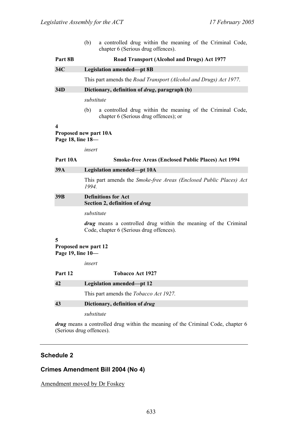(b) a controlled drug within the meaning of the Criminal Code, chapter 6 (Serious drug offences). **Part 8B Road Transport (Alcohol and Drugs) Act 1977 34C Legislation amended—pt 8B**  This part amends the *Road Transport (Alcohol and Drugs) Act 1977*. **34D Dictionary, definition of** *drug***, paragraph (b)**  *substitute*  (b) a controlled drug within the meaning of the Criminal Code, chapter 6 (Serious drug offences); or **4 Proposed new part 10A Page 18, line 18**  *insert*  **Part 10A Smoke-free Areas (Enclosed Public Places) Act 1994 39A Legislation amended—pt 10A**  This part amends the *Smoke-free Areas (Enclosed Public Places) Act 1994.*  **39B Definitions for Act Section 2, definition of** *drug substitute drug* means a controlled drug within the meaning of the Criminal Code, chapter 6 (Serious drug offences). **5 Proposed new part 12 Page 19, line 10**  *insert*  **Part 12 Tobacco Act 1927 42 Legislation amended—pt 12**  This part amends the *Tobacco Act 1927.* **43 Dictionary, definition of** *drug*

*substitute* 

*drug* means a controlled drug within the meaning of the Criminal Code, chapter 6 (Serious drug offences).

### **Schedule 2**

#### **Crimes Amendment Bill 2004 (No 4)**

Amendment moved by Dr Foskey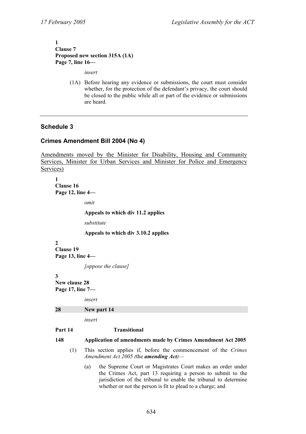#### **1 Clause 7 Proposed new section 315A (1A) Page 7, line 16—**

*insert* 

 (1A) Before hearing any evidence or submissions, the court must consider whether, for the protection of the defendant's privacy, the court should be closed to the public while all or part of the evidence or submissions are heard.

### **Schedule 3**

### **Crimes Amendment Bill 2004 (No 4)**

Amendments moved by the Minister for Disability, Housing and Community Services, Minister for Urban Services and Minister for Police and Emergency Services)

**1 Clause 16 Page 12, line 4—** 

*omit* 

 **Appeals to which div 11.2 applies** 

*substitute* 

 **Appeals to which div 3.10.2 applies** 

### **2**

**Clause 19 Page 13, line 4—** 

*[oppose the clause]* 

**3 New clause 28 Page 17, line 7—** 

*insert* 

| 28      | New part 14                                                                                                                                                                                                                                                         |
|---------|---------------------------------------------------------------------------------------------------------------------------------------------------------------------------------------------------------------------------------------------------------------------|
|         | insert                                                                                                                                                                                                                                                              |
| Part 14 | <b>Transitional</b>                                                                                                                                                                                                                                                 |
| 148     | Application of amendments made by Crimes Amendment Act 2005                                                                                                                                                                                                         |
| (1)     | This section applies if, before the commencement of the Crimes<br>Amendment Act 2005 (the <b>amending Act</b> )—                                                                                                                                                    |
|         | the Supreme Court or Magistrates Court makes an order under<br>(a)<br>the Crimes Act, part 13 requiring a person to submit to the<br>jurisdiction of the tribunal to enable the tribunal to determine<br>whether or not the person is fit to plead to a charge; and |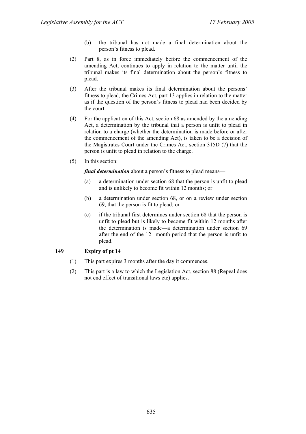- (b) the tribunal has not made a final determination about the person's fitness to plead.
- (2) Part 8, as in force immediately before the commencement of the amending Act, continues to apply in relation to the matter until the tribunal makes its final determination about the person's fitness to plead.
- (3) After the tribunal makes its final determination about the persons' fitness to plead, the Crimes Act, part 13 applies in relation to the matter as if the question of the person's fitness to plead had been decided by the court.
- (4) For the application of this Act, section 68 as amended by the amending Act, a determination by the tribunal that a person is unfit to plead in relation to a charge (whether the determination is made before or after the commencement of the amending Act), is taken to be a decision of the Magistrates Court under the Crimes Act, section 315D (7) that the person is unfit to plead in relation to the charge.
- (5) In this section:

*final determination* about a person's fitness to plead means—

- (a) a determination under section 68 that the person is unfit to plead and is unlikely to become fit within 12 months; or
- (b) a determination under section 68, or on a review under section 69, that the person is fit to plead; or
- (c) if the tribunal first determines under section 68 that the person is unfit to plead but is likely to become fit within 12 months after the determination is made—a determination under section 69 after the end of the 12 month period that the person is unfit to plead.

#### **149 Expiry of pt 14**

- (1) This part expires 3 months after the day it commences.
- (2) This part is a law to which the Legislation Act, section 88 (Repeal does not end effect of transitional laws etc) applies.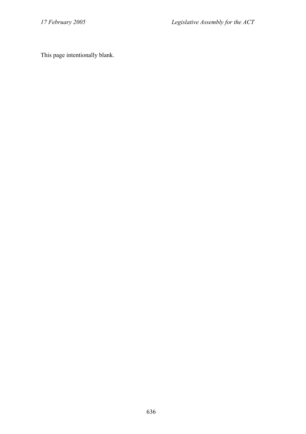This page intentionally blank.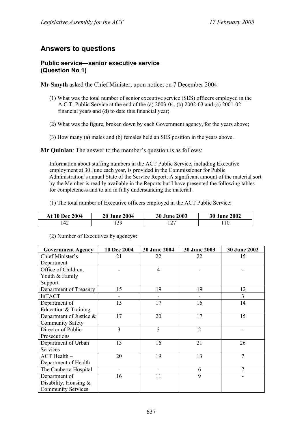# **Answers to questions**

### **Public service—senior executive service (Question No 1)**

**Mr Smyth** asked the Chief Minister, upon notice, on 7 December 2004:

- (1) What was the total number of senior executive service (SES) officers employed in the A.C.T. Public Service at the end of the (a) 2003-04, (b) 2002-03 and (c) 2001-02 financial years and (d) to date this financial year;
- (2) What was the figure, broken down by each Government agency, for the years above;
- (3) How many (a) males and (b) females held an SES position in the years above.

**Mr Quinlan**: The answer to the member's question is as follows:

Information about staffing numbers in the ACT Public Service, including Executive employment at 30 June each year, is provided in the Commissioner for Public Administration's annual State of the Service Report. A significant amount of the material sort by the Member is readily available in the Reports but I have presented the following tables for completeness and to aid in fully understanding the material.

(1) The total number of Executive officers employed in the ACT Public Service:

| At 10 Dec 2004 | <b>20 June 2004</b> | <b>30 June 2003</b> | 30 June 2002 |
|----------------|---------------------|---------------------|--------------|
| 42             |                     |                     | 110          |

| <b>Government Agency</b>   | 10 Dec 2004 | <b>30 June 2004</b> | 30 June 2003   | 30 June 2002 |
|----------------------------|-------------|---------------------|----------------|--------------|
| Chief Minister's           | 21          | 22                  | 22             | 15           |
| Department                 |             |                     |                |              |
| Office of Children,        |             | 4                   |                |              |
| Youth & Family             |             |                     |                |              |
| Support                    |             |                     |                |              |
| Department of Treasury     | 15          | 19                  | 19             | 12           |
| <b>InTACT</b>              |             |                     |                | 3            |
| Department of              | 15          | 17                  | 16             | 14           |
| Education & Training       |             |                     |                |              |
| Department of Justice $\&$ | 17          | 20                  | 17             | 15           |
| <b>Community Safety</b>    |             |                     |                |              |
| Director of Public         | 3           | 3                   | $\overline{2}$ |              |
| Prosecutions               |             |                     |                |              |
| Department of Urban        | 13          | 16                  | 21             | 26           |
| <b>Services</b>            |             |                     |                |              |
| $ACT Health -$             | 20          | 19                  | 13             | 7            |
| Department of Health       |             |                     |                |              |
| The Canberra Hospital      | ۰           | -                   | 6              | 7            |
| Department of              | 16          | 11                  | 9              |              |
| Disability, Housing $&$    |             |                     |                |              |
| <b>Community Services</b>  |             |                     |                |              |

(2) Number of Executives by agency#: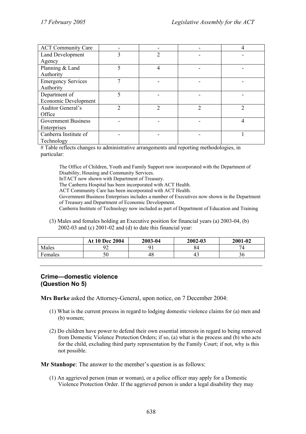| <b>ACT Community Care</b>  |                |                |   |                |
|----------------------------|----------------|----------------|---|----------------|
| Land Development           | 3              |                |   |                |
| Agency                     |                |                |   |                |
| Planning & Land            | 5              | 4              |   |                |
| Authority                  |                |                |   |                |
| <b>Emergency Services</b>  |                |                |   |                |
| Authority                  |                |                |   |                |
| Department of              | 5              |                |   |                |
| Economic Development       |                |                |   |                |
| Auditor General's          | $\overline{2}$ | $\mathfrak{D}$ | 2 | $\mathfrak{D}$ |
| Office                     |                |                |   |                |
| <b>Government Business</b> |                |                |   | 4              |
| Enterprises                |                |                |   |                |
| Canberra Institute of      |                |                |   |                |
| Technology                 |                |                |   |                |

# Table reflects changes to administrative arrangements and reporting methodologies, in particular:

The Office of Children, Youth and Family Support now incorporated with the Department of Disability, Housing and Community Services.

InTACT now shown with Department of Treasury.

The Canberra Hospital has been incorporated with ACT Health.

ACT Community Care has been incorporated with ACT Health.

Government Business Enterprises includes a number of Executives now shown in the Department of Treasury and Department of Economic Development.

Canberra Institute of Technology now included as part of Department of Education and Training

(3) Males and females holding an Executive position for financial years (a) 2003-04, (b) 2002-03 and (c) 2001-02 and (d) to date this financial year:

|         | At 10 Dec 2004 | 2003-04 | 2002-03 | 2001-02 |
|---------|----------------|---------|---------|---------|
| Males   | ∩≏<br>ے ،      |         | 84      |         |
| Females | 50             |         |         |         |

### **Crime—domestic violence (Question No 5)**

**Mrs Burke** asked the Attorney-General, upon notice, on 7 December 2004:

- (1) What is the current process in regard to lodging domestic violence claims for (a) men and (b) women;
- (2) Do children have power to defend their own essential interests in regard to being removed from Domestic Violence Protection Orders; if so, (a) what is the process and (b) who acts for the child, excluding third party representation by the Family Court; if not, why is this not possible.

**Mr Stanhope**: The answer to the member's question is as follows:

(1) An aggrieved person (man or woman), or a police officer may apply for a Domestic Violence Protection Order. If the aggrieved person is under a legal disability they may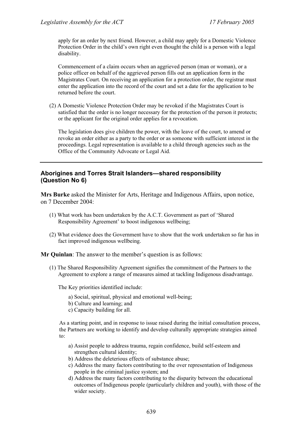apply for an order by next friend. However, a child may apply for a Domestic Violence Protection Order in the child's own right even thought the child is a person with a legal disability.

Commencement of a claim occurs when an aggrieved person (man or woman), or a police officer on behalf of the aggrieved person fills out an application form in the Magistrates Court. On receiving an application for a protection order, the registrar must enter the application into the record of the court and set a date for the application to be returned before the court.

(2) A Domestic Violence Protection Order may be revoked if the Magistrates Court is satisfied that the order is no longer necessary for the protection of the person it protects; or the applicant for the original order applies for a revocation.

The legislation does give children the power, with the leave of the court, to amend or revoke an order either as a party to the order or as someone with sufficient interest in the proceedings. Legal representation is available to a child through agencies such as the Office of the Community Advocate or Legal Aid.

### **Aborigines and Torres Strait Islanders—shared responsibility (Question No 6)**

**Mrs Burke** asked the Minister for Arts, Heritage and Indigenous Affairs, upon notice, on 7 December 2004:

- (1) What work has been undertaken by the A.C.T. Government as part of 'Shared Responsibility Agreement' to boost indigenous wellbeing;
- (2) What evidence does the Government have to show that the work undertaken so far has in fact improved indigenous wellbeing.

**Mr Quinlan**: The answer to the member's question is as follows:

(1) The Shared Responsibility Agreement signifies the commitment of the Partners to the Agreement to explore a range of measures aimed at tackling Indigenous disadvantage.

The Key priorities identified include:

- a) Social, spiritual, physical and emotional well-being;
- b) Culture and learning; and
- c) Capacity building for all.

As a starting point, and in response to issue raised during the initial consultation process, the Partners are working to identify and develop culturally appropriate strategies aimed to:

- a) Assist people to address trauma, regain confidence, build self-esteem and strengthen cultural identity;
- b) Address the deleterious effects of substance abuse;
- c) Address the many factors contributing to the over representation of Indigenous people in the criminal justice system; and
- d) Address the many factors contributing to the disparity between the educational outcomes of Indigenous people (particularly children and youth), with those of the wider society.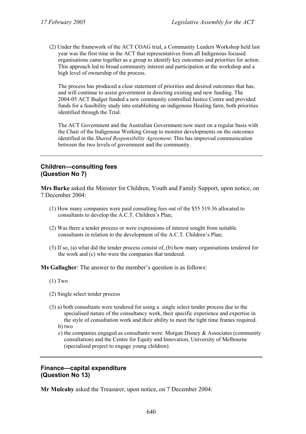(2) Under the framework of the ACT COAG trial, a Community Leaders Workshop held last year was the first time in the ACT that representatives from all Indigenous focused organisations came together as a group to identify key outcomes and priorities for action. This approach led to broad community interest and participation at the workshop and a high level of ownership of the process.

The process has produced a clear statement of priorities and desired outcomes that has, and will continue to assist government in directing existing and new funding. The 2004-05 ACT Budget funded a new community controlled Justice Centre and provided funds for a feasibility study into establishing an indigenous Healing farm, both priorities identified through the Trial.

The ACT Government and the Australian Government now meet on a regular basis with the Chair of the Indigenous Working Group to monitor developments on the outcomes identified in the *Shared Responsibility Agreement*. This has improved communication between the two levels of government and the community.

### **Children—consulting fees (Question No 7)**

**Mrs Burke** asked the Minister for Children, Youth and Family Support, upon notice, on 7 December 2004:

- (1) How many companies were paid consulting fees out of the \$55 519.36 allocated to consultants to develop the A.C.T. Children's Plan;
- (2) Was there a tender process or were expressions of interest sought from suitable consultants in relation to the development of the A.C.T. Children's Plan;
- (3) If so, (a) what did the tender process consist of, (b) how many organisations tendered for the work and (c) who were the companies that tendered.

**Ms Gallagher**: The answer to the member's question is as follows:

- $(1)$  Two
- (2) Single select tender process
- (3) a) both consultants were tendered for using a single select tender process due to the specialised nature of the consultancy work, their specific experience and expertise in the style of consultation work and their ability to meet the tight time frames required. b) two
	- c) the companies engaged as consultants were: Morgan Disney  $\&$  Associates (community consultation) and the Centre for Equity and Innovation, University of Melbourne (specialised project to engage young children).

### **Finance—capital expenditure (Question No 13)**

**Mr Mulcahy** asked the Treasurer, upon notice, on 7 December 2004: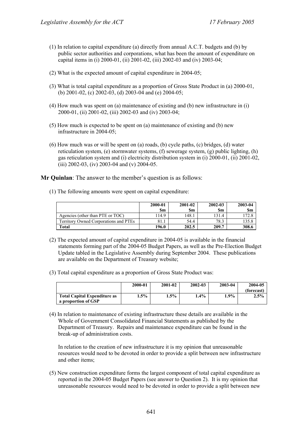- (1) In relation to capital expenditure (a) directly from annual A.C.T. budgets and (b) by public sector authorities and corporations, what has been the amount of expenditure on capital items in (i) 2000-01, (ii) 2001-02, (iii) 2002-03 and (iv) 2003-04;
- (2) What is the expected amount of capital expenditure in 2004-05;
- (3) What is total capital expenditure as a proportion of Gross State Product in (a) 2000-01, (b) 2001-02, (c) 2002-03, (d) 2003-04 and (e) 2004-05;
- (4) How much was spent on (a) maintenance of existing and (b) new infrastructure in (i) 2000-01, (ii) 2001-02, (iii) 2002-03 and (iv) 2003-04;
- (5) How much is expected to be spent on (a) maintenance of existing and (b) new infrastructure in 2004-05;
- (6) How much was or will be spent on (a) roads, (b) cycle paths, (c) bridges, (d) water reticulation system, (e) stormwater systems, (f) sewerage system, (g) public lighting, (h) gas reticulation system and (i) electricity distribution system in (i) 2000-01, (ii) 2001-02, (iii) 2002-03, (iv) 2003-04 and (v) 2004-05.

**Mr Quinlan**: The answer to the member's question is as follows:

(1) The following amounts were spent on capital expenditure:

|                                       | 2000-01 | 2001-02 | 2002-03 | 2003-04 |
|---------------------------------------|---------|---------|---------|---------|
|                                       | Sm      | Sm      | Sm      | \$m     |
| Agencies (other than PTE or TOC)      | 14.9    | !48.1   | 131.4   | 172.8   |
| Territory Owned Corporations and PTEs | 81.1    | 54.4    | 78.3    | 135.8   |
| Total                                 | 196.0   | 202.5   | 209.7   | 308.6   |

- (2) The expected amount of capital expenditure in 2004-05 is available in the financial statements forming part of the 2004-05 Budget Papers, as well as the Pre-Election Budget Update tabled in the Legislative Assembly during September 2004. These publications are available on the Department of Treasury website;
- (3) Total capital expenditure as a proportion of Gross State Product was:

|                                                            | 2000-01 | 2001-02 | 2002-03 | 2003-04 | 2004-05    |
|------------------------------------------------------------|---------|---------|---------|---------|------------|
|                                                            |         |         |         |         | (forecast) |
| <b>Total Capital Expenditure as</b><br>a proportion of GSP | 5%      | $1.5\%$ | $1.4\%$ | $1.9\%$ | 2.5%       |

(4) In relation to maintenance of existing infrastructure these details are available in the Whole of Government Consolidated Financial Statements as published by the Department of Treasury. Repairs and maintenance expenditure can be found in the break-up of administration costs.

In relation to the creation of new infrastructure it is my opinion that unreasonable resources would need to be devoted in order to provide a split between new infrastructure and other items;

(5) New construction expenditure forms the largest component of total capital expenditure as reported in the 2004-05 Budget Papers (see answer to Question 2). It is my opinion that unreasonable resources would need to be devoted in order to provide a split between new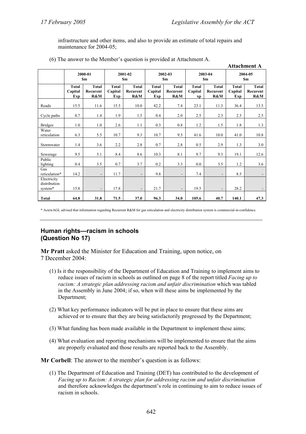infrastructure and other items, and also to provide an estimate of total repairs and maintenance for 2004-05;

|                                        | <b>Attachment A</b>     |                                 |                                |                                 |                         |                                 |                               |                                 |                                |                                 |
|----------------------------------------|-------------------------|---------------------------------|--------------------------------|---------------------------------|-------------------------|---------------------------------|-------------------------------|---------------------------------|--------------------------------|---------------------------------|
|                                        | 2000-01<br><b>Sm</b>    |                                 | 2001-02<br><b>Sm</b>           |                                 | 2002-03<br><b>Sm</b>    |                                 | 2003-04<br><b>Sm</b>          |                                 | 2004-05<br><b>Sm</b>           |                                 |
|                                        | Total<br>Capital<br>Exp | <b>Total</b><br>Recurent<br>R&M | <b>Total</b><br>Capital<br>Exp | <b>Total</b><br>Recurent<br>R&M | Total<br>Capital<br>Exp | <b>Total</b><br>Recurent<br>R&M | <b>Total</b><br>Capital<br>xp | <b>Total</b><br>Recurent<br>R&M | <b>Total</b><br>Capital<br>Exp | <b>Total</b><br>Recurent<br>R&M |
| Roads                                  | 15.5                    | 11.6                            | 15.5                           | 10.0                            | 42.2                    | 7.4                             | 23.1                          | 11.3                            | 36.4                           | 13.5                            |
| Cycle paths                            | 0.7                     | 1.4                             | 1.9                            | 1.5                             | 0.4                     | 2.0                             | 2.5                           | 2.3                             | 2.5                            | 2.5                             |
| <b>Bridges</b>                         | 1.0                     | 1.0                             | 2.6                            | 1.1                             | 0.3                     | 0.8                             | 1.2                           | 1.5                             | 1.8                            | 1.3                             |
| Water<br>reticulation                  | 6.3                     | 5.5                             | 10.7                           | 9.3                             | 10.7                    | 9.5                             | 41.6                          | 10.0                            | 41.0                           | 10.8                            |
| Stormwater                             | 1.4                     | 3.6                             | 2.2                            | 2.8                             | 0.7                     | 2.8                             | 0.5                           | 2.9                             | 1.3                            | 3.0                             |
| Sewerage                               | 9.5                     | 5.1                             | 8.4                            | 8.6                             | 10.3                    | 8.1                             | 9.7                           | 9.3                             | 19.1                           | 12.6                            |
| Public<br>lighting                     | 0.4                     | 3.5                             | 0.7                            | 3.7                             | 0.2                     | 3.3                             | 0.0                           | 3.5                             | 1.2                            | 3.6                             |
| Gas<br>reticulation*                   | 14.2                    |                                 | 11.7                           | $\overline{\phantom{a}}$        | 9.8                     | $\overline{\phantom{a}}$        | 7.4                           | $\overline{\phantom{a}}$        | 8.5                            |                                 |
| Electricity<br>distribution<br>system* | 15.8                    |                                 | 17.8                           | $\overline{\phantom{a}}$        | 21.7                    | $\overline{\phantom{a}}$        | 19.5                          | $\overline{\phantom{a}}$        | 28.2                           |                                 |
| <b>Total</b>                           | 64.8                    | 31.8                            | 71.5                           | 37.0                            | 96.3                    | 34.0                            | 105.6                         | 40.7                            | 140.1                          | 47.3                            |

(6) The answer to the Member's question is provided at Attachment A.

\* ActewAGL advised that information regarding Recurrent R&M for gas reticulation and electricity distribution system is commercial-in-confidence.

### **Human rights—racism in schools (Question No 17)**

**Mr Pratt** asked the Minister for Education and Training, upon notice, on 7 December 2004:

- (1) Is it the responsibility of the Department of Education and Training to implement aims to reduce issues of racism in schools as outlined on page 8 of the report titled *Facing up to racism: A strategic plan addressing racism and unfair discrimination* which was tabled in the Assembly in June 2004; if so, when will these aims be implemented by the Department;
- (2) What key performance indicators will be put in place to ensure that these aims are achieved or to ensure that they are being satisfactorily progressed by the Department;
- (3) What funding has been made available in the Department to implement these aims;
- (4) What evaluation and reporting mechanisms will be implemented to ensure that the aims are properly evaluated and those results are reported back to the Assembly.

**Mr Corbell:** The answer to the member's question is as follows:

(1) The Department of Education and Training (DET) has contributed to the development of *Facing up to Racism: A strategic plan for addressing racism and unfair discrimination* and therefore acknowledges the department's role in continuing to aim to reduce issues of racism in schools.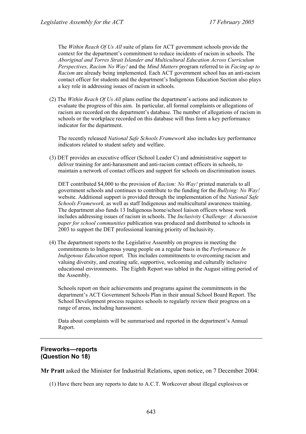The *Within Reach Of Us All* suite of plans for ACT government schools provide the context for the department's commitment to reduce incidents of racism in schools. The *Aboriginal and Torres Strait Islander and Multicultural Education Across Curriculum Perspectives, Racism No Way!* and the *Mind Matters* program referred to in *Facing up to Racism* are already being implemented. Each ACT government school has an anti-racism contact officer for students and the department's Indigenous Education Section also plays a key role in addressing issues of racism in schools.

(2) The *Within Reach Of Us All* plans outline the department's actions and indicators to evaluate the progress of this aim. In particular, all formal complaints or allegations of racism are recorded on the department's database. The number of allegations of racism in schools or the workplace recorded on this database will thus form a key performance indicator for the department.

The recently released *National Safe Schools Framework* also includes key performance indicators related to student safety and welfare.

(3) DET provides an executive officer (School Leader C) and administrative support to deliver training for anti-harassment and anti-racism contact officers in schools, to maintain a network of contact officers and support for schools on discrimination issues.

DET contributed \$4,000 to the provision of *Racism: No Way!* printed materials to all government schools and continues to contribute to the funding for the *Bullying: No Way!* website. Additional support is provided through the implementation of the *National Safe Schools Framework,* as well as staff Indigenous and multicultural awareness training. The department also funds 13 Indigenous home/school liaison officers whose work includes addressing issues of racism in schools. The *Inclusivity Challenge: A discussion paper for school communities* publication was produced and distributed to schools in 2003 to support the DET professional learning priority of Inclusivity.

(4) The department reports to the Legislative Assembly on progress in meeting the commitments to Indigenous young people on a regular basis in the *Performance In Indigenous Education* report. This includes commitments to overcoming racism and valuing diversity, and creating safe, supportive, welcoming and culturally inclusive educational environments. The Eighth Report was tabled in the August sitting period of the Assembly.

Schools report on their achievements and programs against the commitments in the department's ACT Government Schools Plan in their annual School Board Report. The School Development process requires schools to regularly review their progress on a range of areas, including harassment.

Data about complaints will be summarised and reported in the department's Annual Report.

### **Fireworks—reports (Question No 18)**

**Mr Pratt** asked the Minister for Industrial Relations, upon notice, on 7 December 2004:

(1) Have there been any reports to date to A.C.T. Workcover about illegal explosives or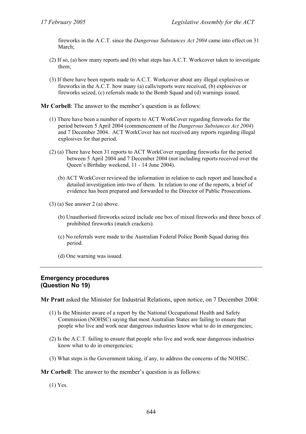fireworks in the A.C.T. since the *Dangerous Substances Act 2004* came into effect on 31 March<sup>-</sup>

- (2) If so, (a) how many reports and (b) what steps has A.C.T. Workcover taken to investigate them;
- (3) If there have been reports made to A.C.T. Workcover about any illegal explosives or fireworks in the A.C.T. how many (a) calls/reports were received, (b) explosives or fireworks seized, (c) referrals made to the Bomb Squad and (d) warnings issued.

**Mr Corbell:** The answer to the member's question is as follows:

- (1) There have been a number of reports to ACT WorkCover regarding fireworks for the period between 5 April 2004 (commencement of the *Dangerous Substances Act 2004*) and 7 December 2004. ACT WorkCover has not received any reports regarding illegal explosives for that period.
- (2) (a) There have been 31 reports to ACT WorkCover regarding fireworks for the period between 5 April 2004 and 7 December 2004 (not including reports received over the Queen's Birthday weekend, 11 - 14 June 2004).
	- (b) ACT WorkCover reviewed the information in relation to each report and launched a detailed investigation into two of them. In relation to one of the reports, a brief of evidence has been prepared and forwarded to the Director of Public Prosecutions.
- (3) (a) See answer 2 (a) above.
	- (b) Unauthorised fireworks seized include one box of mixed fireworks and three boxes of prohibited fireworks (match crackers).
	- (c) No referrals were made to the Australian Federal Police Bomb Squad during this period.
	- (d) One warning was issued.

### **Emergency procedures (Question No 19)**

**Mr Pratt** asked the Minister for Industrial Relations, upon notice, on 7 December 2004:

- (1) Is the Minister aware of a report by the National Occupational Health and Safety Commission (NOHSC) saying that most Australian States are failing to ensure that people who live and work near dangerous industries know what to do in emergencies;
- (2) Is the A.C.T. failing to ensure that people who live and work near dangerous industries know what to do in emergencies;
- (3) What steps is the Government taking, if any, to address the concerns of the NOHSC.

**Mr Corbell**: The answer to the member's question is as follows:

(1) Yes.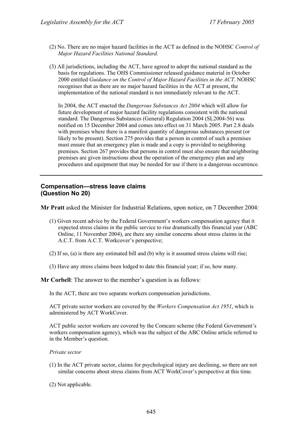- (2) No. There are no major hazard facilities in the ACT as defined in the NOHSC *Control of Major Hazard Facilities National Standard.*
- (3) All jurisdictions, including the ACT, have agreed to adopt the national standard as the basis for regulations. The OHS Commissioner released guidance material in October 2000 entitled *Guidance on the Control of Major Hazard Facilities in the ACT*. NOHSC recognises that as there are no major hazard facilities in the ACT at present, the implementation of the national standard is not immediately relevant to the ACT.

In 2004, the ACT enacted the *Dangerous Substances Act 2004* which will allow for future development of major hazard facility regulations consistent with the national standard. The Dangerous Substances (General) Regulation 2004 (SL2004-56) was notified on 15 December 2004 and comes into effect on 31 March 2005. Part 2.8 deals with premises where there is a manifest quantity of dangerous substances present (or likely to be present). Section 275 provides that a person in control of such a premises must ensure that an emergency plan is made and a copy is provided to neighboring premises. Section 267 provides that persons in control must also ensure that neighboring premises are given instructions about the operation of the emergency plan and any procedures and equipment that may be needed for use if there is a dangerous occurrence.

### **Compensation—stress leave claims (Question No 20)**

**Mr Pratt** asked the Minister for Industrial Relations, upon notice, on 7 December 2004:

- (1) Given recent advice by the Federal Government's workers compensation agency that it expected stress claims in the public service to rise dramatically this financial year (ABC Online, 11 November 2004), are there any similar concerns about stress claims in the A.C.T. from A.C.T. Workcover's perspective;
- (2) If so, (a) is there any estimated bill and (b) why is it assumed stress claims will rise;
- (3) Have any stress claims been lodged to date this financial year; if so, how many.

**Mr Corbell**: The answer to the member's question is as follows:

In the ACT, there are two separate workers compensation jurisdictions.

ACT private sector workers are covered by the *Workers Compensation Act 1951*, which is administered by ACT WorkCover.

ACT public sector workers are covered by the Comcare scheme (the Federal Government's workers compensation agency), which was the subject of the ABC Online article referred to in the Member's question.

#### *Private sector*

- (1) In the ACT private sector, claims for psychological injury are declining, so there are not similar concerns about stress claims from ACT WorkCover's perspective at this time.
- (2) Not applicable.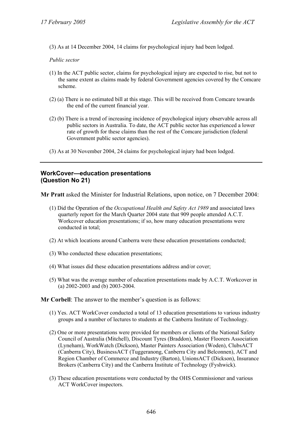(3) As at 14 December 2004, 14 claims for psychological injury had been lodged.

#### *Public sector*

- (1) In the ACT public sector, claims for psychological injury are expected to rise, but not to the same extent as claims made by federal Government agencies covered by the Comcare scheme.
- (2) (a) There is no estimated bill at this stage. This will be received from Comcare towards the end of the current financial year.
- (2) (b) There is a trend of increasing incidence of psychological injury observable across all public sectors in Australia. To date, the ACT public sector has experienced a lower rate of growth for these claims than the rest of the Comcare jurisdiction (federal Government public sector agencies).
- (3) As at 30 November 2004, 24 claims for psychological injury had been lodged.

### **WorkCover—education presentations (Question No 21)**

**Mr Pratt** asked the Minister for Industrial Relations, upon notice, on 7 December 2004:

- (1) Did the Operation of the *Occupational Health and Safety Act 1989* and associated laws quarterly report for the March Quarter 2004 state that 909 people attended A.C.T. Workcover education presentations; if so, how many education presentations were conducted in total;
- (2) At which locations around Canberra were these education presentations conducted;
- (3) Who conducted these education presentations;
- (4) What issues did these education presentations address and/or cover;
- (5) What was the average number of education presentations made by A.C.T. Workcover in (a) 2002-2003 and (b) 2003-2004.

**Mr Corbell**: The answer to the member's question is as follows:

- (1) Yes. ACT WorkCover conducted a total of 13 education presentations to various industry groups and a number of lectures to students at the Canberra Institute of Technology.
- (2) One or more presentations were provided for members or clients of the National Safety Council of Australia (Mitchell), Discount Tyres (Braddon), Master Floorers Association (Lyneham), WorkWatch (Dickson), Master Painters Association (Woden), ClubsACT (Canberra City), BusinessACT (Tuggeranong, Canberra City and Belconnen), ACT and Region Chamber of Commerce and Industry (Barton), UnionsACT (Dickson), Insurance Brokers (Canberra City) and the Canberra Institute of Technology (Fyshwick).
- (3) These education presentations were conducted by the OHS Commissioner and various ACT WorkCover inspectors.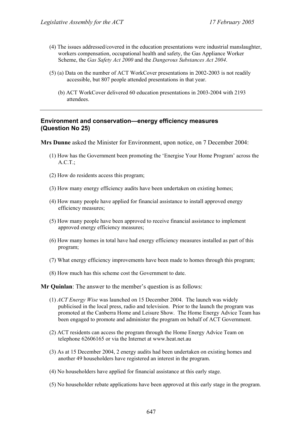- (4) The issues addressed/covered in the education presentations were industrial manslaughter, workers compensation, occupational health and safety, the Gas Appliance Worker Scheme, the *Gas Safety Act 2000* and the *Dangerous Substances Act 2004*.
- (5) (a) Data on the number of ACT WorkCover presentations in 2002-2003 is not readily accessible, but 807 people attended presentations in that year.
	- (b) ACT WorkCover delivered 60 education presentations in 2003-2004 with 2193 attendees.

#### **Environment and conservation—energy efficiency measures (Question No 25)**

**Mrs Dunne** asked the Minister for Environment, upon notice, on 7 December 2004:

- (1) How has the Government been promoting the 'Energise Your Home Program' across the  $A.C.T.:$
- (2) How do residents access this program;
- (3) How many energy efficiency audits have been undertaken on existing homes;
- (4) How many people have applied for financial assistance to install approved energy efficiency measures;
- (5) How many people have been approved to receive financial assistance to implement approved energy efficiency measures;
- (6) How many homes in total have had energy efficiency measures installed as part of this program;
- (7) What energy efficiency improvements have been made to homes through this program;
- (8) How much has this scheme cost the Government to date.

**Mr Quinlan**: The answer to the member's question is as follows:

- (1) *ACT Energy Wise* was launched on 15 December 2004. The launch was widely publicised in the local press, radio and television. Prior to the launch the program was promoted at the Canberra Home and Leisure Show. The Home Energy Advice Team has been engaged to promote and administer the program on behalf of ACT Government.
- (2) ACT residents can access the program through the Home Energy Advice Team on telephone 62606165 or via the Internet at [www.heat.net.au](http://www.heat.net.au/)
- (3) As at 15 December 2004, 2 energy audits had been undertaken on existing homes and another 49 householders have registered an interest in the program.
- (4) No householders have applied for financial assistance at this early stage.
- (5) No householder rebate applications have been approved at this early stage in the program.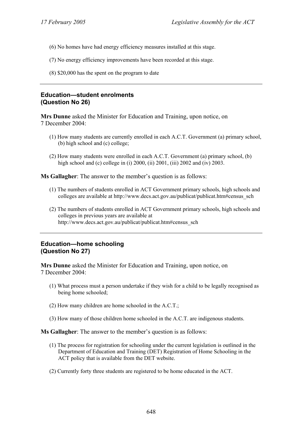- (6) No homes have had energy efficiency measures installed at this stage.
- (7) No energy efficiency improvements have been recorded at this stage.
- (8) \$20,000 has the spent on the program to date

## **Education—student enrolments (Question No 26)**

**Mrs Dunne** asked the Minister for Education and Training, upon notice, on 7 December 2004:

- (1) How many students are currently enrolled in each A.C.T. Government (a) primary school, (b) high school and (c) college;
- (2) How many students were enrolled in each A.C.T. Government (a) primary school, (b) high school and (c) college in (i) 2000, (ii) 2001, (iii) 2002 and (iv) 2003.

**Ms Gallagher**: The answer to the member's question is as follows:

- (1) The numbers of students enrolled in ACT Government primary schools, high schools and colleges are available at http://www.decs.act.gov.au/publicat/publicat.htm#census\_sch
- (2) The numbers of students enrolled in ACT Government primary schools, high schools and colleges in previous years are available at http://www.decs.act.gov.au/publicat/publicat.htm#census\_sch

### **Education—home schooling (Question No 27)**

**Mrs Dunne** asked the Minister for Education and Training, upon notice, on 7 December 2004:

- (1) What process must a person undertake if they wish for a child to be legally recognised as being home schooled;
- (2) How many children are home schooled in the A.C.T.;
- (3) How many of those children home schooled in the A.C.T. are indigenous students.

**Ms Gallagher**: The answer to the member's question is as follows:

- (1) The process for registration for schooling under the current legislation is outlined in the Department of Education and Training (DET) Registration of Home Schooling in the ACT policy that is available from the DET website.
- (2) Currently forty three students are registered to be home educated in the ACT.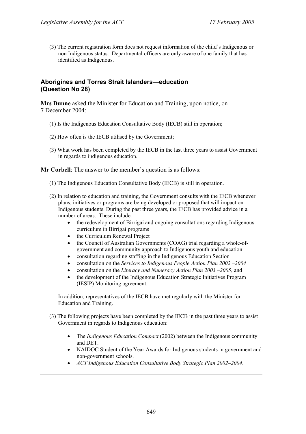(3) The current registration form does not request information of the child's Indigenous or non Indigenous status. Departmental officers are only aware of one family that has identified as Indigenous.

#### **Aborigines and Torres Strait Islanders—education (Question No 28)**

**Mrs Dunne** asked the Minister for Education and Training, upon notice, on 7 December 2004:

- (1) Is the Indigenous Education Consultative Body (IECB) still in operation;
- (2) How often is the IECB utilised by the Government;
- (3) What work has been completed by the IECB in the last three years to assist Government in regards to indigenous education.

**Mr Corbell**: The answer to the member's question is as follows:

- (1) The Indigenous Education Consultative Body (IECB) is still in operation.
- (2) In relation to education and training, the Government consults with the IECB whenever plans, initiatives or programs are being developed or proposed that will impact on Indigenous students. During the past three years, the IECB has provided advice in a number of areas. These include:
	- the redevelopment of Birrigai and ongoing consultations regarding Indigenous curriculum in Birrigai programs
	- the Curriculum Renewal Project
	- the Council of Australian Governments (COAG) trial regarding a whole-ofgovernment and community approach to Indigenous youth and education
	- consultation regarding staffing in the Indigenous Education Section
	- consultation on the *Services to Indigenous People Action Plan 2002 –2004*
	- consultation on the *Literacy and Numeracy Action Plan 2003 –2005*, and
	- the development of the Indigenous Education Strategic Initiatives Program (IESIP) Monitoring agreement.

In addition, representatives of the IECB have met regularly with the Minister for Education and Training.

- (3) The following projects have been completed by the IECB in the past three years to assist Government in regards to Indigenous education:
	- The *Indigenous Education Compact* (2002) between the Indigenous community and DET.
	- NAIDOC Student of the Year Awards for Indigenous students in government and non-government schools.
	- *ACT Indigenous Education Consultative Body Strategic Plan 2002–2004*.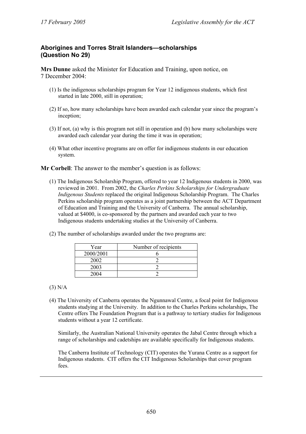## **Aborigines and Torres Strait Islanders—scholarships (Question No 29)**

**Mrs Dunne** asked the Minister for Education and Training, upon notice, on 7 December 2004:

- (1) Is the indigenous scholarships program for Year 12 indigenous students, which first started in late 2000, still in operation;
- (2) If so, how many scholarships have been awarded each calendar year since the program's inception;
- (3) If not, (a) why is this program not still in operation and (b) how many scholarships were awarded each calendar year during the time it was in operation;
- (4) What other incentive programs are on offer for indigenous students in our education system.

**Mr Corbell**: The answer to the member's question is as follows:

- (1) The Indigenous Scholarship Program, offered to year 12 Indigenous students in 2000, was reviewed in 2001. From 2002, the *Charles Perkins Scholarships for Undergraduate Indigenous Students* replaced the original Indigenous Scholarship Program. The Charles Perkins scholarship program operates as a joint partnership between the ACT Department of Education and Training and the University of Canberra. The annual scholarship, valued at \$4000, is co-sponsored by the partners and awarded each year to two Indigenous students undertaking studies at the University of Canberra.
- (2) The number of scholarships awarded under the two programs are:

| Year      | Number of recipients |
|-----------|----------------------|
| 2000/2001 |                      |
| 2002      |                      |
| 2003      |                      |
| 2004      |                      |

(3) N/A

(4) The University of Canberra operates the Ngunnawal Centre, a focal point for Indigenous students studying at the University. In addition to the Charles Perkins scholarships, The Centre offers The Foundation Program that is a pathway to tertiary studies for Indigenous students without a year 12 certificate.

Similarly, the Australian National University operates the Jabal Centre through which a range of scholarships and cadetships are available specifically for Indigenous students.

The Canberra Institute of Technology (CIT) operates the Yurana Centre as a support for Indigenous students. CIT offers the CIT Indigenous Scholarships that cover program fees.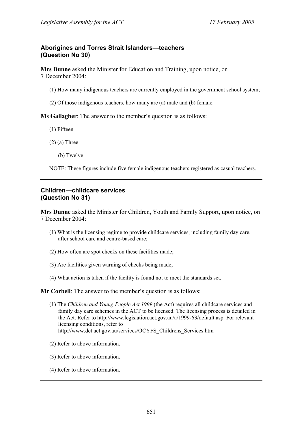### **Aborigines and Torres Strait Islanders—teachers (Question No 30)**

**Mrs Dunne** asked the Minister for Education and Training, upon notice, on 7 December 2004:

- (1) How many indigenous teachers are currently employed in the government school system;
- (2) Of those indigenous teachers, how many are (a) male and (b) female.

**Ms Gallagher**: The answer to the member's question is as follows:

- (1) Fifteen
- (2) (a) Three
	- (b) Twelve

NOTE: These figures include five female indigenous teachers registered as casual teachers.

### **Children—childcare services (Question No 31)**

**Mrs Dunne** asked the Minister for Children, Youth and Family Support, upon notice, on 7 December 2004:

- (1) What is the licensing regime to provide childcare services, including family day care, after school care and centre-based care;
- (2) How often are spot checks on these facilities made;
- (3) Are facilities given warning of checks being made;
- (4) What action is taken if the facility is found not to meet the standards set.

**Mr Corbell**: The answer to the member's question is as follows:

- (1) The *Children and Young People Act 1999* (the Act) requires all childcare services and family day care schemes in the ACT to be licensed. The licensing process is detailed in the Act. Refer to http://www.legislation.act.gov.au/a/1999-63/default.asp. For relevant licensing conditions, refer to http://www.det.act.gov.au/services/OCYFS\_Childrens\_Services.htm
- (2) Refer to above information.
- (3) Refer to above information.
- (4) Refer to above information.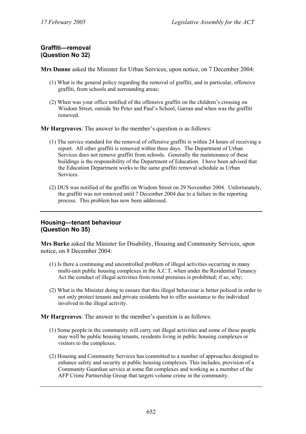# **Graffiti—removal (Question No 32)**

**Mrs Dunne** asked the Minister for Urban Services, upon notice, on 7 December 2004:

- (1) What is the general policy regarding the removal of graffiti, and in particular, offensive graffiti, from schools and surrounding areas;
- (2) When was your office notified of the offensive graffiti on the children's crossing on Wisdom Street, outside Sts Peter and Paul's School, Garran and when was the graffiti removed.

**Mr Hargreaves**: The answer to the member's question is as follows:

- (1) The service standard for the removal of offensive graffiti is within 24 hours of receiving a report. All other graffiti is removed within three days. The Department of Urban Services does not remove graffiti from schools. Generally the maintenance of these buildings is the responsibility of the Department of Education. I have been advised that the Education Department works to the same graffiti removal schedule as Urban Services.
- (2) DUS was notified of the graffiti on Wisdom Street on 29 November 2004. Unfortunately, the graffiti was not removed until 7 December 2004 due to a failure in the reporting process. This problem has now been addressed.

## **Housing—tenant behaviour (Question No 35)**

**Mrs Burke** asked the Minister for Disability, Housing and Community Services, upon notice, on 8 December 2004:

- (1) Is there a continuing and uncontrolled problem of illegal activities occurring in many multi-unit public housing complexes in the A.C.T. when under the Residential Tenancy Act the conduct of illegal activities from rental premises is prohibited; if so, why;
- (2) What is the Minister doing to ensure that this illegal behaviour is better policed in order to not only protect tenants and private residents but to offer assistance to the individual involved in the illegal activity.

**Mr Hargreaves**: The answer to the member's question is as follows:

- (1) Some people in the community will carry out illegal activities and some of these people may well be public housing tenants, residents living in public housing complexes or visitors to the complexes.
- (2) Housing and Community Services has committed to a number of approaches designed to enhance safety and security at public housing complexes. This includes, provision of a Community Guardian service at some flat complexes and working as a member of the AFP Crime Partnership Group that targets volume crime in the community.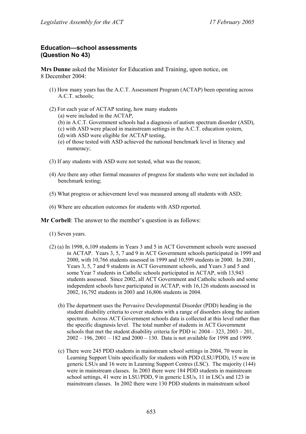### **Education—school assessments (Question No 43)**

**Mrs Dunne** asked the Minister for Education and Training, upon notice, on 8 December 2004:

- (1) How many years has the A.C.T. Assessment Program (ACTAP) been operating across A.C.T. schools;
- (2) For each year of ACTAP testing, how many students (a) were included in the ACTAP, (b) in A.C.T. Government schools had a diagnosis of autism spectrum disorder (ASD), (c) with ASD were placed in mainstream settings in the A.C.T. education system, (d) with ASD were eligible for ACTAP testing, (e) of those tested with ASD achieved the national benchmark level in literacy and numeracy;
- (3) If any students with ASD were not tested, what was the reason;
- (4) Are there any other formal measures of progress for students who were not included in benchmark testing;
- (5) What progress or achievement level was measured among all students with ASD;
- (6) Where are education outcomes for students with ASD reported.

**Mr Corbell**: The answer to the member's question is as follows:

- (1) Seven years.
- (2) (a) In 1998, 6,109 students in Years 3 and 5 in ACT Government schools were assessed in ACTAP. Years 3, 5, 7 and 9 in ACT Government schools participated in 1999 and 2000, with 10,766 students assessed in 1999 and 10,599 students in 2000. In 2001, Years 3, 5, 7 and 9 students in ACT Government schools, and Years 3 and 5 and some Year 7 students in Catholic schools participated in ACTAP, with 13,943 students assessed. Since 2002, all ACT Government and Catholic schools and some independent schools have participated in ACTAP, with 16,126 students assessed in 2002, 16,792 students in 2003 and 16,806 students in 2004.
	- (b) The department uses the Pervasive Developmental Disorder (PDD) heading in the student disability criteria to cover students with a range of disorders along the autism spectrum. Across ACT Government schools data is collected at this level rather than the specific diagnosis level. The total number of students in ACT Government schools that met the student disability criteria for PDD is:  $2004 - 323$ ,  $2003 - 201$ . 2002 – 196, 2001 – 182 and 2000 – 130. Data is not available for 1998 and 1999.
	- (c) There were 245 PDD students in mainstream school settings in 2004, 70 were in Learning Support Units specifically for students with PDD (LSU/PDD), 15 were in generic LSUs and 16 were in Learning Support Centres (LSC). The majority (144) were in mainstream classes. In 2003 there were 184 PDD students in mainstream school settings, 41 were in LSU/PDD, 9 in generic LSUs, 11 in LSCs and 123 in mainstream classes. In 2002 there were 130 PDD students in mainstream school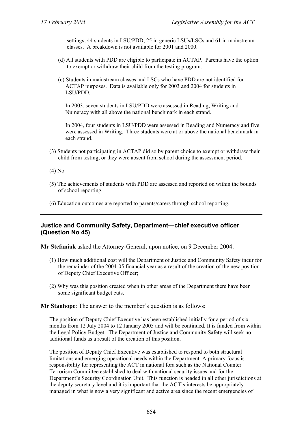settings, 44 students in LSU/PDD, 25 in generic LSUs/LSCs and 61 in mainstream classes. A breakdown is not available for 2001 and 2000.

- (d) All students with PDD are eligible to participate in ACTAP. Parents have the option to exempt or withdraw their child from the testing program.
- (e) Students in mainstream classes and LSCs who have PDD are not identified for ACTAP purposes. Data is available only for 2003 and 2004 for students in LSU/PDD.

In 2003, seven students in LSU/PDD were assessed in Reading, Writing and Numeracy with all above the national benchmark in each strand.

In 2004, four students in LSU/PDD were assessed in Reading and Numeracy and five were assessed in Writing. Three students were at or above the national benchmark in each strand.

(3) Students not participating in ACTAP did so by parent choice to exempt or withdraw their child from testing, or they were absent from school during the assessment period.

(4) No.

- (5) The achievements of students with PDD are assessed and reported on within the bounds of school reporting.
- (6) Education outcomes are reported to parents/carers through school reporting.

#### **Justice and Community Safety, Department—chief executive officer (Question No 45)**

**Mr Stefaniak** asked the Attorney-General, upon notice, on 9 December 2004:

- (1) How much additional cost will the Department of Justice and Community Safety incur for the remainder of the 2004-05 financial year as a result of the creation of the new position of Deputy Chief Executive Officer;
- (2) Why was this position created when in other areas of the Department there have been some significant budget cuts.

**Mr Stanhope**: The answer to the member's question is as follows:

The position of Deputy Chief Executive has been established initially for a period of six months from 12 July 2004 to 12 January 2005 and will be continued. It is funded from within the Legal Policy Budget. The Department of Justice and Community Safety will seek no additional funds as a result of the creation of this position.

The position of Deputy Chief Executive was established to respond to both structural limitations and emerging operational needs within the Department. A primary focus is responsibility for representing the ACT in national fora such as the National Counter Terrorism Committee established to deal with national security issues and for the Department's Security Coordination Unit. This function is headed in all other jurisdictions at the deputy secretary level and it is important that the ACT's interests be appropriately managed in what is now a very significant and active area since the recent emergencies of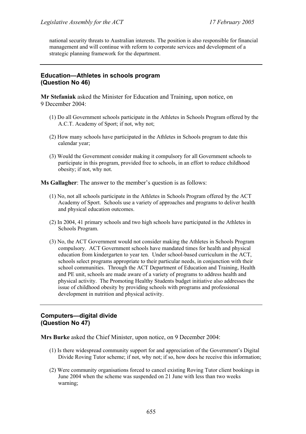national security threats to Australian interests. The position is also responsible for financial management and will continue with reform to corporate services and development of a strategic planning framework for the department.

#### **Education—Athletes in schools program (Question No 46)**

**Mr Stefaniak** asked the Minister for Education and Training, upon notice, on 9 December 2004:

- (1) Do all Government schools participate in the Athletes in Schools Program offered by the A.C.T. Academy of Sport; if not, why not;
- (2) How many schools have participated in the Athletes in Schools program to date this calendar year;
- (3) Would the Government consider making it compulsory for all Government schools to participate in this program, provided free to schools, in an effort to reduce childhood obesity; if not, why not.

**Ms Gallagher**: The answer to the member's question is as follows:

- (1) No, not all schools participate in the Athletes in Schools Program offered by the ACT Academy of Sport. Schools use a variety of approaches and programs to deliver health and physical education outcomes.
- (2) In 2004, 41 primary schools and two high schools have participated in the Athletes in Schools Program.
- (3) No, the ACT Government would not consider making the Athletes in Schools Program compulsory. ACT Government schools have mandated times for health and physical education from kindergarten to year ten. Under school-based curriculum in the ACT, schools select programs appropriate to their particular needs, in conjunction with their school communities. Through the ACT Department of Education and Training, Health and PE unit, schools are made aware of a variety of programs to address health and physical activity. The Promoting Healthy Students budget initiative also addresses the issue of childhood obesity by providing schools with programs and professional development in nutrition and physical activity.

#### **Computers—digital divide (Question No 47)**

**Mrs Burke** asked the Chief Minister, upon notice, on 9 December 2004:

- (1) Is there widespread community support for and appreciation of the Government's Digital Divide Roving Tutor scheme; if not, why not; if so, how does he receive this information;
- (2) Were community organisations forced to cancel existing Roving Tutor client bookings in June 2004 when the scheme was suspended on 21 June with less than two weeks warning;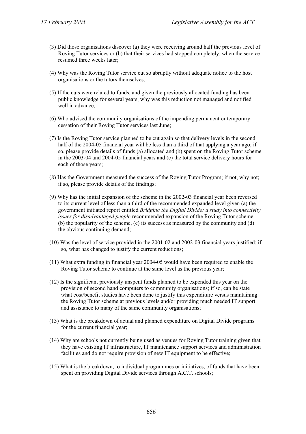- (3) Did those organisations discover (a) they were receiving around half the previous level of Roving Tutor services or (b) that their services had stopped completely, when the service resumed three weeks later;
- (4) Why was the Roving Tutor service cut so abruptly without adequate notice to the host organisations or the tutors themselves;
- (5) If the cuts were related to funds, and given the previously allocated funding has been public knowledge for several years, why was this reduction not managed and notified well in advance;
- (6) Who advised the community organisations of the impending permanent or temporary cessation of their Roving Tutor services last June;
- (7) Is the Roving Tutor service planned to be cut again so that delivery levels in the second half of the 2004-05 financial year will be less than a third of that applying a year ago; if so, please provide details of funds (a) allocated and (b) spent on the Roving Tutor scheme in the 2003-04 and 2004-05 financial years and (c) the total service delivery hours for each of those years;
- (8) Has the Government measured the success of the Roving Tutor Program; if not, why not; if so, please provide details of the findings;
- (9) Why has the initial expansion of the scheme in the 2002-03 financial year been reversed to its current level of less than a third of the recommended expanded level given (a) the government initiated report entitled *Bridging the Digital Divide: a study into connectivity issues for disadvantaged people* recommended expansion of the Roving Tutor scheme, (b) the popularity of the scheme, (c) its success as measured by the community and (d) the obvious continuing demand;
- (10) Was the level of service provided in the 2001-02 and 2002-03 financial years justified; if so, what has changed to justify the current reductions;
- (11) What extra funding in financial year 2004-05 would have been required to enable the Roving Tutor scheme to continue at the same level as the previous year;
- (12) Is the significant previously unspent funds planned to be expended this year on the provision of second hand computers to community organisations; if so, can he state what cost/benefit studies have been done to justify this expenditure versus maintaining the Roving Tutor scheme at previous levels and/or providing much needed IT support and assistance to many of the same community organisations;
- (13) What is the breakdown of actual and planned expenditure on Digital Divide programs for the current financial year;
- (14) Why are schools not currently being used as venues for Roving Tutor training given that they have existing IT infrastructure, IT maintenance support services and administration facilities and do not require provision of new IT equipment to be effective:
- (15) What is the breakdown, to individual programmes or initiatives, of funds that have been spent on providing Digital Divide services through A.C.T. schools;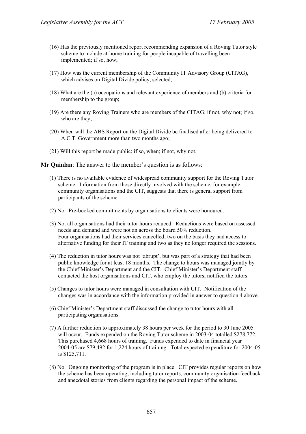- (16) Has the previously mentioned report recommending expansion of a Roving Tutor style scheme to include at-home training for people incapable of travelling been implemented; if so, how;
- (17) How was the current membership of the Community IT Advisory Group (CITAG), which advises on Digital Divide policy, selected;
- (18) What are the (a) occupations and relevant experience of members and (b) criteria for membership to the group;
- (19) Are there any Roving Trainers who are members of the CITAG; if not, why not; if so, who are they;
- (20) When will the ABS Report on the Digital Divide be finalised after being delivered to A.C.T. Government more than two months ago;
- (21) Will this report be made public; if so, when; if not, why not.

**Mr Quinlan**: The answer to the member's question is as follows:

- (1) There is no available evidence of widespread community support for the Roving Tutor scheme. Information from those directly involved with the scheme, for example community organisations and the CIT, suggests that there is general support from participants of the scheme.
- (2) No. Pre-booked commitments by organisations to clients were honoured.
- (3) Not all organisations had their tutor hours reduced. Reductions were based on assessed needs and demand and were not an across the board 50% reduction. Four organisations had their services cancelled; two on the basis they had access to alternative funding for their IT training and two as they no longer required the sessions.
- (4) The reduction in tutor hours was not 'abrupt', but was part of a strategy that had been public knowledge for at least 18 months. The change to hours was managed jointly by the Chief Minister's Department and the CIT. Chief Minister's Department staff contacted the host organisations and CIT, who employ the tutors, notified the tutors.
- (5) Changes to tutor hours were managed in consultation with CIT. Notification of the changes was in accordance with the information provided in answer to question 4 above.
- (6) Chief Minister's Department staff discussed the change to tutor hours with all participating organisations.
- (7) A further reduction to approximately 38 hours per week for the period to 30 June 2005 will occur. Funds expended on the Roving Tutor scheme in 2003-04 totalled \$278,772. This purchased 4,668 hours of training. Funds expended to date in financial year 2004-05 are \$79,492 for 1,224 hours of training. Total expected expenditure for 2004-05 is \$125,711.
- (8) No. Ongoing monitoring of the program is in place. CIT provides regular reports on how the scheme has been operating, including tutor reports, community organisation feedback and anecdotal stories from clients regarding the personal impact of the scheme.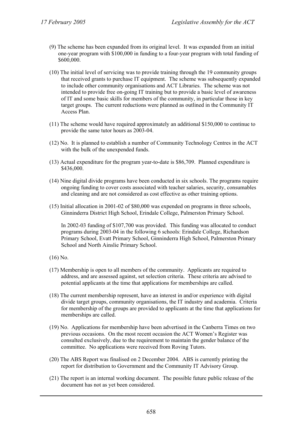- (9) The scheme has been expanded from its original level. It was expanded from an initial one-year program with \$100,000 in funding to a four-year program with total funding of \$600,000.
- (10) The initial level of servicing was to provide training through the 19 community groups that received grants to purchase IT equipment. The scheme was subsequently expanded to include other community organisations and ACT Libraries. The scheme was not intended to provide free on-going IT training but to provide a basic level of awareness of IT and some basic skills for members of the community, in particular those in key target groups. The current reductions were planned as outlined in the Community IT Access Plan.
- (11) The scheme would have required approximately an additional \$150,000 to continue to provide the same tutor hours as 2003-04.
- (12) No. It is planned to establish a number of Community Technology Centres in the ACT with the bulk of the unexpended funds.
- (13) Actual expenditure for the program year-to-date is \$86,709. Planned expenditure is \$436,000.
- (14) Nine digital divide programs have been conducted in six schools. The programs require ongoing funding to cover costs associated with teacher salaries, security, consumables and cleaning and are not considered as cost effective as other training options.
- (15) Initial allocation in 2001-02 of \$80,000 was expended on programs in three schools, Ginninderra District High School, Erindale College, Palmerston Primary School.

In 2002-03 funding of \$107,700 was provided. This funding was allocated to conduct programs during 2003-04 in the following 6 schools: Erindale College, Richardson Primary School, Evatt Primary School, Ginninderra High School, Palmerston Primary School and North Ainslie Primary School.

- (16) No.
- (17) Membership is open to all members of the community. Applicants are required to address, and are assessed against, set selection criteria. These criteria are advised to potential applicants at the time that applications for memberships are called.
- (18) The current membership represent, have an interest in and/or experience with digital divide target groups, community organisations, the IT industry and academia. Criteria for membership of the groups are provided to applicants at the time that applications for memberships are called.
- (19) No. Applications for membership have been advertised in the Canberra Times on two previous occasions. On the most recent occasion the ACT Women's Register was consulted exclusively, due to the requirement to maintain the gender balance of the committee. No applications were received from Roving Tutors.
- (20) The ABS Report was finalised on 2 December 2004. ABS is currently printing the report for distribution to Government and the Community IT Advisory Group.
- (21) The report is an internal working document. The possible future public release of the document has not as yet been considered.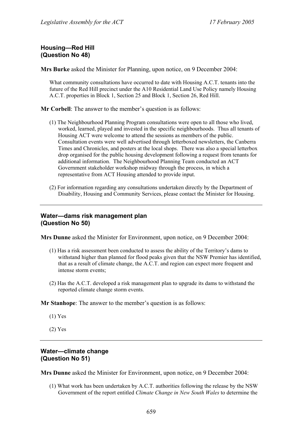## **Housing—Red Hill (Question No 48)**

**Mrs Burke** asked the Minister for Planning, upon notice, on 9 December 2004:

What community consultations have occurred to date with Housing A.C.T. tenants into the future of the Red Hill precinct under the A10 Residential Land Use Policy namely Housing A.C.T. properties in Block 1, Section 25 and Block 1, Section 26, Red Hill.

**Mr Corbell**: The answer to the member's question is as follows:

- (1) The Neighbourhood Planning Program consultations were open to all those who lived, worked, learned, played and invested in the specific neighbourhoods. Thus all tenants of Housing ACT were welcome to attend the sessions as members of the public. Consultation events were well advertised through letterboxed newsletters, the Canberra Times and Chronicles, and posters at the local shops. There was also a special letterbox drop organised for the public housing development following a request from tenants for additional information. The Neighbourhood Planning Team conducted an ACT Government stakeholder workshop midway through the process, in which a representative from ACT Housing attended to provide input.
- (2) For information regarding any consultations undertaken directly by the Department of Disability, Housing and Community Services, please contact the Minister for Housing.

#### **Water—dams risk management plan (Question No 50)**

**Mrs Dunne** asked the Minister for Environment, upon notice, on 9 December 2004:

- (1) Has a risk assessment been conducted to assess the ability of the Territory's dams to withstand higher than planned for flood peaks given that the NSW Premier has identified, that as a result of climate change, the A.C.T. and region can expect more frequent and intense storm events;
- (2) Has the A.C.T. developed a risk management plan to upgrade its dams to withstand the reported climate change storm events.

**Mr Stanhope**: The answer to the member's question is as follows:

(1) Yes

(2) Yes

#### **Water—climate change (Question No 51)**

**Mrs Dunne** asked the Minister for Environment, upon notice, on 9 December 2004:

(1) What work has been undertaken by A.C.T. authorities following the release by the NSW Government of the report entitled *Climate Change in New South Wales* to determine the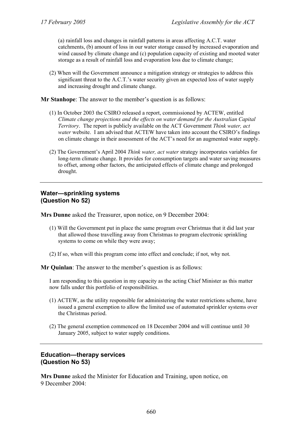(a) rainfall loss and changes in rainfall patterns in areas affecting A.C.T. water catchments, (b) amount of loss in our water storage caused by increased evaporation and wind caused by climate change and (c) population capacity of existing and mooted water storage as a result of rainfall loss and evaporation loss due to climate change;

(2) When will the Government announce a mitigation strategy or strategies to address this significant threat to the A.C.T.'s water security given an expected loss of water supply and increasing drought and climate change.

**Mr Stanhope**: The answer to the member's question is as follows:

- (1) In October 2003 the CSIRO released a report, commissioned by ACTEW, entitled *Climate change projections and the effects on water demand for the Australian Capital Territory*. The report is publicly available on the ACT Government *Think water, act water* website. I am advised that ACTEW have taken into account the CSIRO's findings on climate change in their assessment of the ACT's need for an augmented water supply.
- (2) The Government's April 2004 *Think water, act water* strategy incorporates variables for long-term climate change. It provides for consumption targets and water saving measures to offset, among other factors, the anticipated effects of climate change and prolonged drought.

#### **Water—sprinkling systems (Question No 52)**

**Mrs Dunne** asked the Treasurer, upon notice, on 9 December 2004:

- (1) Will the Government put in place the same program over Christmas that it did last year that allowed those travelling away from Christmas to program electronic sprinkling systems to come on while they were away;
- (2) If so, when will this program come into effect and conclude; if not, why not.

**Mr Quinlan**: The answer to the member's question is as follows:

I am responding to this question in my capacity as the acting Chief Minister as this matter now falls under this portfolio of responsibilities.

- (1) ACTEW, as the utility responsible for administering the water restrictions scheme, have issued a general exemption to allow the limited use of automated sprinkler systems over the Christmas period.
- (2) The general exemption commenced on 18 December 2004 and will continue until 30 January 2005, subject to water supply conditions.

#### **Education—therapy services (Question No 53)**

**Mrs Dunne** asked the Minister for Education and Training, upon notice, on 9 December 2004: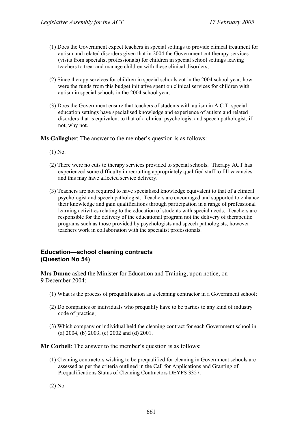- (1) Does the Government expect teachers in special settings to provide clinical treatment for autism and related disorders given that in 2004 the Government cut therapy services (visits from specialist professionals) for children in special school settings leaving teachers to treat and manage children with these clinical disorders;
- (2) Since therapy services for children in special schools cut in the 2004 school year, how were the funds from this budget initiative spent on clinical services for children with autism in special schools in the 2004 school year;
- (3) Does the Government ensure that teachers of students with autism in A.C.T. special education settings have specialised knowledge and experience of autism and related disorders that is equivalent to that of a clinical psychologist and speech pathologist; if not, why not.

**Ms Gallagher**: The answer to the member's question is as follows:

- (1) No.
- (2) There were no cuts to therapy services provided to special schools. Therapy ACT has experienced some difficulty in recruiting appropriately qualified staff to fill vacancies and this may have affected service delivery.
- (3) Teachers are not required to have specialised knowledge equivalent to that of a clinical psychologist and speech pathologist. Teachers are encouraged and supported to enhance their knowledge and gain qualifications through participation in a range of professional learning activities relating to the education of students with special needs. Teachers are responsible for the delivery of the educational program not the delivery of therapeutic programs such as those provided by psychologists and speech pathologists, however teachers work in collaboration with the specialist professionals.

#### **Education—school cleaning contracts (Question No 54)**

**Mrs Dunne** asked the Minister for Education and Training, upon notice, on 9 December 2004:

- (1) What is the process of prequalification as a cleaning contractor in a Government school;
- (2) Do companies or individuals who prequalify have to be parties to any kind of industry code of practice;
- (3) Which company or individual held the cleaning contract for each Government school in (a) 2004, (b) 2003, (c) 2002 and (d) 2001.

**Mr Corbell**: The answer to the member's question is as follows:

(1) Cleaning contractors wishing to be prequalified for cleaning in Government schools are assessed as per the criteria outlined in the Call for Applications and Granting of Prequalifications Status of Cleaning Contractors DEYFS 3327.

(2) No.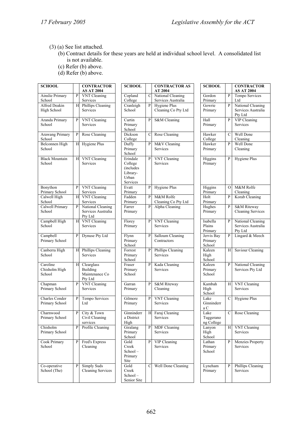- (3) (a) See list attached.
	- (b) Contract details for these years are held at individual school level. A consolidated list is not available.
	- (c) Refer (b) above.
	- (d) Refer (b) above.

| <b>SCHOOL</b>                       |                | <b>CONTRACTOR</b><br><b>AS AT 2004</b>              | <b>SCHOOL</b>                                                             |                | <b>CONTRACTOR AS</b><br>AT 2004            | <b>SCHOOL</b>                   |                | <b>CONTRACTOR</b><br><b>AS AT 2004</b>             |
|-------------------------------------|----------------|-----------------------------------------------------|---------------------------------------------------------------------------|----------------|--------------------------------------------|---------------------------------|----------------|----------------------------------------------------|
|                                     | $\overline{P}$ |                                                     |                                                                           |                |                                            |                                 | P              |                                                    |
| Ainslie Primary                     |                | VNT Cleaning                                        | Copland                                                                   | $\mathbf C$    | National Cleaning                          | Gordon                          |                | Tempo Services                                     |
| School                              |                | Services                                            | College                                                                   |                | Services Australia                         | Primary                         |                | Ltd                                                |
| Alfred Deakin<br>High School        | H              | Phillips Cleaning<br>Services                       | Cranleigh<br>School                                                       | $\mathbf{P}$   | <b>Hygiene Plus</b><br>Cleaning Co Pty Ltd | Gowrie<br>Primary               | P              | National Cleaning<br>Services Australia<br>Pty Ltd |
| Aranda Primary                      | $\overline{P}$ | VNT Cleaning                                        | Curtin                                                                    | $\, {\bf P}$   | S&M Cleaning                               | Hall                            | P              | <b>VIP Cleaning</b>                                |
| School                              |                | Services                                            | Primary<br>School                                                         |                |                                            | Primary                         |                | Services                                           |
| Arawang Primary<br>School           | ${\bf P}$      | Rose Cleaning                                       | Dickson<br>College                                                        | $\mathbf C$    | Rose Cleaning                              | Hawker<br>College               | $\mathcal{C}$  | Well Done<br>Cleaning                              |
| Belconnen High<br>School            | $\rm H$        | <b>Hygiene Plus</b>                                 | Duffy<br>Primary<br>School                                                | $\, {\bf p}$   | M&V Cleaning<br>Services                   | Hawker<br>Primary               | P              | Well Done<br>Cleaning                              |
| <b>Black Mountain</b><br>School     | H              | VNT Cleaning<br>Services                            | Erindale<br>College<br><i>(includes)</i><br>Library-<br>Urban<br>Services | $\mathbf{P}$   | VNT Cleaning<br>Services                   | Higgins<br>Primary              | P              | <b>Hygiene Plus</b>                                |
| Bonython<br>Primary School          | P              | <b>VNT Cleaning</b><br>Services                     | Evatt<br>Primary                                                          | $\, {\bf P}$   | <b>Hygiene Plus</b>                        | Higgins<br>Primary              | $\Omega$       | M&M Rolfe<br>Cleaning                              |
| Calwell High<br>School              | H              | <b>VNT Cleaning</b><br>Services                     | Fadden<br>Primary                                                         | $\overline{P}$ | M&M Rolfe<br>Cleaning Co Pty Ltd           | Holt<br>Primary                 | P              | Korab Cleaning                                     |
| Calwell Primary                     | P              | National Cleaning                                   | Farrer                                                                    | $\overline{P}$ | Alpha Cleaning                             | Hughes                          | $\overline{P}$ | <b>S&amp;M</b> Riteway                             |
| School                              |                | Services Australia<br>Pty Ltd                       | Primary                                                                   |                |                                            | Primary                         |                | <b>Cleaning Services</b>                           |
| Campbell High                       | $\overline{H}$ | <b>VNT Cleaning</b>                                 | Florey                                                                    | $\, {\bf p}$   | <b>VNT Cleaning</b>                        | Isabella                        | $\mathbf{P}$   | National Cleaning                                  |
| School                              |                | Services                                            | Primary                                                                   |                | Services                                   | Plains<br>Primary               |                | Services Australia<br>Pty Ltd                      |
| Campbell<br>Primary School          | P              | Dynuse Pty Ltd                                      | Flynn<br>Primary<br>School                                                | P              | Salloum Cleaning<br>Contractors            | Jervis Bay<br>Primary<br>School | P              | Lingard & Meech                                    |
| Canberra High<br>School             | H              | Phillips Cleaning<br>Services                       | Forrest<br>Primary<br>School                                              | P              | Phillips Cleaning<br>Services              | Kaleen<br>High<br>School        | Н              | <b>Saviour Cleaning</b>                            |
| Caroline<br>Chisholm High<br>School | H              | Clearglass<br>Building<br>Maintenance Co<br>Pty Ltd | Fraser<br>Primary<br>School                                               | P              | Kada Cleaning<br>Services                  | Kaleen<br>Primary<br>School     | $\mathbf{P}$   | National Cleaning<br>Services Pty Ltd              |
| Chapman<br>Primary School           | $\overline{P}$ | <b>VNT</b> Cleaning<br>Services                     | Garran<br>Primary                                                         | $\, {\bf p}$   | <b>S&amp;M</b> Riteway<br>Cleaning         | Kambah<br>High<br>School        | H              | <b>VNT Cleaning</b><br>Services                    |
| Charles Conder<br>Primary School    | $\mathbf{P}$   | Tempo Services<br>Ltd                               | Gilmore<br>Primary                                                        | ${\bf P}$      | <b>VNT Cleaning</b><br>Services            | Lake<br>Ginninderr<br>a C       | $\mathcal{C}$  | <b>Hygiene Plus</b>                                |
| Charnwood<br>Primary School         | P              | City & Town<br>Civil Cleaning<br>services           | Ginninderr<br>a District<br>High                                          |                | H Faraj Cleaning<br>Services               | Lake<br>Tuggerano<br>ng College | $\mathbf C$    | Rose Cleaning                                      |
| Chisholm<br>Primary School          | $\mathbf{P}$   | Profile Cleaning                                    | Giralang<br>Primary<br>School                                             | $\, {\bf p}$   | MDF Cleaning<br>Services                   | Lanyon<br>High<br>School        | H              | <b>VNT Cleaning</b><br>Services                    |
| Cook Primary<br>School              | $\, {\bf P}$   | Fred's Express<br>Cleaning                          | Gold<br>Creek<br>School-<br>Primary<br>Site                               | P              | <b>VIP Cleaning</b><br>Services            | Lathan<br>Primary<br>School     | P              | Menzies Property<br>Services                       |
| Co-operative<br>School (The)        | P              | <b>Simply Suds</b><br><b>Cleaning Services</b>      | Gold<br>Creek<br>School-<br>Senior Site                                   | $\mathbf C$    | Well Done Cleaning                         | Lyneham<br>Primary              | $\mathbf{P}$   | Phillips Cleaning<br>Services                      |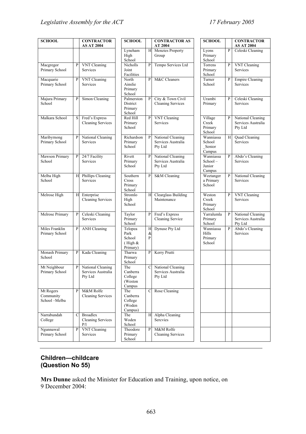| SCHOOL                                 |               | <b>CONTRACTOR</b><br><b>AS AT 2004</b>               | <b>SCHOOL</b>                                    |                          | <b>CONTRACTOR AS</b><br>AT 2004                    | <b>SCHOOL</b>                                         |              | <b>CONTRACTOR</b><br><b>AS AT 2004</b>             |
|----------------------------------------|---------------|------------------------------------------------------|--------------------------------------------------|--------------------------|----------------------------------------------------|-------------------------------------------------------|--------------|----------------------------------------------------|
|                                        |               |                                                      | Lyneham<br>High<br>School                        | H                        | <b>Menzies Property</b><br>Group                   | Lyons<br>Primary<br>School                            | P            | Celeski Cleaning                                   |
| Macgregor<br>Primary School            | $\mathbf{P}$  | VNT Cleaning<br><b>Services</b>                      | Nicholls<br>Joint<br>Facilities                  | P                        | Tempo Services Ltd                                 | Torrens<br>Primary<br>School                          | P            | <b>VNT Cleaning</b><br>Services                    |
| Macquarie<br>Primary School            | $\mathbf{P}$  | <b>VNT</b> Cleaning<br>Services                      | North<br>Ainslie<br>Primary<br>School            | P                        | M&C Cleaners                                       | Turner<br>School                                      | P            | <b>Empire Cleaning</b><br>Services                 |
| Majura Primary<br>School               | P             | Simon Cleaning                                       | Palmerston<br>District<br>Primary<br>School      | P                        | City & Town Civil<br><b>Cleaning Services</b>      | Urambi<br>Primary                                     | $\mathbf{P}$ | Celeski Cleaning<br>Services                       |
| Malkara School                         | S             | Fred's Express<br><b>Cleaning Services</b>           | Red Hill<br>Primary<br>School                    | P                        | <b>VNT Cleaning</b><br>Services                    | Village<br>Creek<br>Primary<br>School                 | P            | National Cleaning<br>Services Australia<br>Pty Ltd |
| Maribyrnong<br>Primary School          | $\mathbf{P}$  | National Cleaning<br><b>Services</b>                 | Richardson<br>Primary<br>School                  | P                        | National Cleaning<br>Services Australia<br>Pty Ltd | Wanniassa<br>School<br>Senior<br>$\overline{C}$ ampus | H            | Quad Cleaning<br>Services                          |
| Mawson Primary<br>School               | $\mathbf{P}$  | 24/7 Facility<br>Services                            | Rivett<br>Primary<br>School                      | P                        | National Cleaning<br>Services Australia<br>Pty Ltd | Wanniassa<br>$School -$<br>Junior<br>Campus           | P            | Abdo's Cleaning<br>Services                        |
| Melba High<br>School                   |               | H Phillips Cleaning<br>Services                      | Southern<br>Cross<br>Primary<br>School           | $\, {\bf p}$             | S&M Cleaning                                       | Weetanger<br>a Primary<br>School                      | P            | National Cleaning<br>Services                      |
| Melrose High                           | H             | Enterprise<br><b>Cleaning Services</b>               | Stromlo<br>High<br>School                        | H                        | <b>Clearglass Building</b><br>Maintenance          | Weston<br>Creek<br>Primary<br>School                  | $\mathbf{P}$ | VNT Cleaning<br>Services                           |
| <b>Melrose Primary</b>                 | $\mathbf{P}$  | Celeski Cleaning<br>Services                         | Taylor<br>Primary<br>School                      | P                        | Fred's Express<br>Cleaning Service                 | Yarralumla<br>Primary<br>School                       | $\mathbf{P}$ | National Cleaning<br>Services Australia<br>Pty Ltd |
| Miles Franklin<br>Primary School       | $\mathbf{P}$  | <b>ANH Cleaning</b>                                  | Telopea<br>Park<br>School<br>(High &<br>Primary) | H<br>&<br>$\overline{P}$ | Dynuse Pty Ltd                                     | Wanniassa<br>Hills<br>Primary<br>School               | P            | Abdo's Cleaning<br>Services                        |
| Monash Primary<br>School               | $\mathbf{P}$  | Kada Cleaning                                        | Tharwa<br>Primary<br>School                      | P                        | Kerry Prutti                                       |                                                       |              |                                                    |
| Mt Neighbour<br>Primary School         |               | P National Cleaning<br>Services Australia<br>Pty Ltd | The<br>Canberra<br>College<br>(Weston<br>Campus  | $\mathbf{C}$             | National Cleaning<br>Services Australia<br>Pty Ltd |                                                       |              |                                                    |
| Mt Rogers<br>Community<br>School-Melba | P             | M&M Rolfe<br><b>Cleaning Services</b>                | The<br>Canberra<br>College<br>(Woden<br>Campus)  | C                        | Rose Cleaning                                      |                                                       |              |                                                    |
| Narrabundah<br>College                 | $\mathcal{C}$ | <b>Broadlex</b><br><b>Cleaning Services</b><br>P/1   | The<br>Woden<br>School                           | H                        | Alpha Cleaning<br>Sercvies                         |                                                       |              |                                                    |
| Ngunnawal<br>Primary School            | $\mathbf{P}$  | <b>VNT Cleaning</b><br>Services                      | Theodore<br>Primary<br>School                    | P                        | M&M Rolfe<br>Cleaning Services                     |                                                       |              |                                                    |

# **Children—childcare (Question No 55)**

**Mrs Dunne** asked the Minister for Education and Training, upon notice, on 9 December 2004: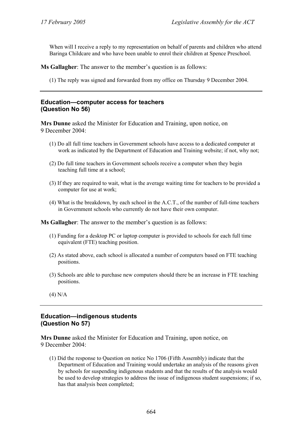When will I receive a reply to my representation on behalf of parents and children who attend Baringa Childcare and who have been unable to enrol their children at Spence Preschool.

**Ms Gallagher**: The answer to the member's question is as follows:

(1) The reply was signed and forwarded from my office on Thursday 9 December 2004.

#### **Education—computer access for teachers (Question No 56)**

**Mrs Dunne** asked the Minister for Education and Training, upon notice, on 9 December 2004:

- (1) Do all full time teachers in Government schools have access to a dedicated computer at work as indicated by the Department of Education and Training website; if not, why not;
- (2) Do full time teachers in Government schools receive a computer when they begin teaching full time at a school;
- (3) If they are required to wait, what is the average waiting time for teachers to be provided a computer for use at work;
- (4) What is the breakdown, by each school in the A.C.T., of the number of full-time teachers in Government schools who currently do not have their own computer.

**Ms Gallagher**: The answer to the member's question is as follows:

- (1) Funding for a desktop PC or laptop computer is provided to schools for each full time equivalent (FTE) teaching position.
- (2) As stated above, each school is allocated a number of computers based on FTE teaching positions.
- (3) Schools are able to purchase new computers should there be an increase in FTE teaching positions.
- (4) N/A

### **Education—indigenous students (Question No 57)**

**Mrs Dunne** asked the Minister for Education and Training, upon notice, on 9 December 2004:

(1) Did the response to Question on notice No 1706 (Fifth Assembly) indicate that the Department of Education and Training would undertake an analysis of the reasons given by schools for suspending indigenous students and that the results of the analysis would be used to develop strategies to address the issue of indigenous student suspensions; if so, has that analysis been completed;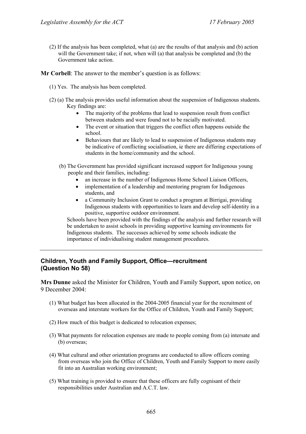(2) If the analysis has been completed, what (a) are the results of that analysis and (b) action will the Government take; if not, when will (a) that analysis be completed and (b) the Government take action.

**Mr Corbell**: The answer to the member's question is as follows:

- (1) Yes. The analysis has been completed.
- (2) (a) The analysis provides useful information about the suspension of Indigenous students. Key findings are:
	- The majority of the problems that lead to suspension result from conflict between students and were found not to be racially motivated.
	- The event or situation that triggers the conflict often happens outside the school.
	- Behaviours that are likely to lead to suspension of Indigenous students may be indicative of conflicting socialisation, ie there are differing expectations of students in the home/community and the school.
	- (b) The Government has provided significant increased support for Indigenous young people and their families, including:
		- an increase in the number of Indigenous Home School Liaison Officers,
		- implementation of a leadership and mentoring program for Indigenous students, and
		- a Community Inclusion Grant to conduct a program at Birrigai, providing Indigenous students with opportunities to learn and develop self-identity in a positive, supportive outdoor environment.

Schools have been provided with the findings of the analysis and further research will be undertaken to assist schools in providing supportive learning environments for Indigenous students. The successes achieved by some schools indicate the importance of individualising student management procedures.

## **Children, Youth and Family Support, Office—recruitment (Question No 58)**

**Mrs Dunne** asked the Minister for Children, Youth and Family Support, upon notice, on 9 December 2004:

- (1) What budget has been allocated in the 2004-2005 financial year for the recruitment of overseas and interstate workers for the Office of Children, Youth and Family Support;
- (2) How much of this budget is dedicated to relocation expenses;
- (3) What payments for relocation expenses are made to people coming from (a) intersate and (b) overseas;
- (4) What cultural and other orientation programs are conducted to allow officers coming from overseas who join the Office of Children, Youth and Family Support to more easily fit into an Australian working environment;
- (5) What training is provided to ensure that these officers are fully cognisant of their responsibilities under Australian and A.C.T. law.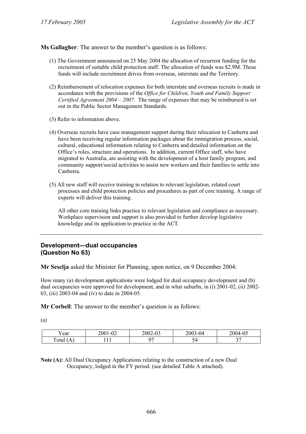**Ms Gallagher**: The answer to the member's question is as follows:

- (1) The Government announced on 25 May 2004 the allocation of recurrent funding for the recruitment of suitable child protection staff. The allocation of funds was \$2.9M. These funds will include recruitment drives from overseas, interstate and the Territory.
- (2) Reimbursement of relocation expenses for both interstate and overseas recruits is made in accordance with the provisions of the *Office for Children, Youth and Family Support Certified Agreement 2004 – 2007*. The range of expenses that may be reimbursed is set out in the Public Sector Management Standards.
- (3) Refer to information above.
- (4) Overseas recruits have case management support during their relocation to Canberra and have been receiving regular information packages about the immigration process, social, cultural, educational information relating to Canberra and detailed information on the Office's roles, structure and operations. In addition, current Office staff, who have migrated to Australia, are assisting with the development of a host family program, and community support/social activities to assist new workers and their families to settle into Canberra.
- (5) All new staff will receive training in relation to relevant legislation, related court processes and child protection policies and procedures as part of core training. A range of experts will deliver this training.

All other core training links practice to relevant legislation and compliance as necessary. Workplace supervision and support is also provided to further develop legislative knowledge and its application to practice in the ACT.

#### **Development—dual occupancies (Question No 63)**

**Mr Seselja** asked the Minister for Planning, upon notice, on 9 December 2004:

How many (a) development applications were lodged for dual occupancy development and (b) dual occupancies were approved for development, and in what suburbs, in (i) 2001-02, (ii) 2002- 03, (iii) 2003-04 and (iv) to date in 2004-05.

**Mr Corbell**: The answer to the member's question is as follows:

(a)

| ear                                    | 2001<br>$1 - 02$ | 2002-<br>$\Omega$<br>≃∪⊃ | 2003-<br>$3 - 04$ | 2004-05 |
|----------------------------------------|------------------|--------------------------|-------------------|---------|
| m<br>'otal<br>$\Delta$<br>$\mathbf{L}$ | . .              | $\sim$                   | Э4                | ັ       |

**Note (A):** All Dual Occupancy Applications relating to the construction of a new Dual Occupancy, lodged in the FY period. (see detailed Table A attached).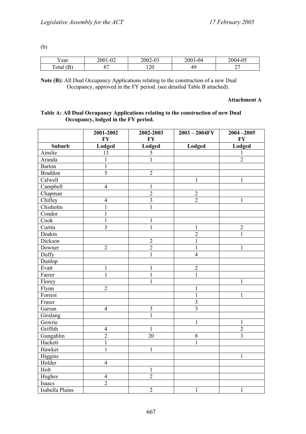(b)

| Y ear                        | $-02$<br>2001 | $\Omega$<br>2002<br>. п<br>-ט | $\sim$ $\sim$ $\sim$<br>$3 - 04$<br>$20^{\circ}$ | $\sim$ $\sim$<br>'ا02<br>$14 - 0.$ |
|------------------------------|---------------|-------------------------------|--------------------------------------------------|------------------------------------|
| $\mathbf \tau$<br>m<br>Total | $\Omega$      | 120                           | 40<br>. .                                        | ∽                                  |

**Note (B):** All Dual Occupancy Applications relating to the construction of a new Dual Occupancy, approved in the FY period. (see detailed Table B attached).

#### **Attachment A**

#### **Table A: All Dual Occupancy Applications relating to the construction of new Dual Occupancy, lodged in the FY period.**

|                        | 2001-2002      | 2002-2003               | $2003 - 2004$ FY        | $2004 - 2005$  |
|------------------------|----------------|-------------------------|-------------------------|----------------|
|                        | <b>FY</b>      | <b>FY</b>               |                         | <b>FY</b>      |
| <b>Suburb</b>          | Lodged         | Lodged                  | Lodged                  | Lodged         |
| Ainslie                | 13             | $\mathfrak s$           |                         | 1              |
| Aranda                 | $\mathbf{1}$   | $\mathbf{1}$            |                         | $\overline{2}$ |
| <b>Barton</b>          | $\mathbf{1}$   |                         |                         |                |
| <b>Braddon</b>         | 5              | $\overline{2}$          |                         |                |
| Calwell                |                |                         | $\mathbf 1$             | $\mathbf{1}$   |
| Campbell               | $\overline{4}$ | $\mathbf{1}$            |                         |                |
| Chapman                |                | $\overline{2}$          | $\sqrt{2}$              |                |
| Chifley                | $\overline{4}$ | $\overline{3}$          | $\overline{2}$          | 1              |
| Chisholm               | $\mathbf 1$    | $\mathbf{1}$            |                         |                |
| Condor                 | $\mathbf{1}$   |                         |                         |                |
| Cook                   | $\mathbbm{1}$  | $\mathbf{1}$            |                         |                |
| Curtin                 | $\overline{3}$ | $\mathbf{1}$            | $\mathbf 1$             | $\overline{2}$ |
| Deakin                 |                |                         | $\overline{2}$          | $\mathbf{1}$   |
| Dickson                |                | $\sqrt{2}$              | $\mathbf{1}$            |                |
| Downer                 | $\overline{2}$ | $\overline{2}$          | $\mathbf{1}$            | $\mathbf{1}$   |
| Duffy                  |                | 1                       | $\overline{4}$          |                |
| Dunlop                 |                |                         |                         |                |
| Evatt                  | $\mathbf{1}$   | $\mathbf{1}$            | $\overline{2}$          |                |
| Farrer                 | $\mathbf{1}$   | $\mathbf{1}$            | $\mathbf{1}$            |                |
| Florey                 |                | $\mathbf{1}$            |                         | 1              |
| Flynn                  | $\overline{2}$ |                         | $\,1$                   |                |
| Forrest                |                |                         | $\overline{1}$          | $\mathbf{1}$   |
| Fraser                 |                |                         | $\overline{3}$          |                |
| Garran                 | $\overline{4}$ | $\overline{\mathbf{3}}$ | $\overline{\mathbf{3}}$ |                |
| Giralang               |                | $\mathbf{1}$            |                         |                |
| Gowrie                 |                |                         | $\mathbf{1}$            | $\mathbf{1}$   |
| Griffith               | $\overline{4}$ | $\mathbf{1}$            |                         | $\sqrt{2}$     |
| Gungahlin              | $\overline{2}$ | 20                      | $\,8\,$                 | $\overline{3}$ |
| Hackett                | $\,1$          |                         | $\mathbf{1}$            |                |
| Hawker                 | $\mathbf{1}$   | $\mathbf{1}$            |                         |                |
| Higgins                |                |                         |                         | $\mathbf{1}$   |
| Holder                 | $\overline{4}$ |                         |                         |                |
| Holt                   |                | $\mathbf{1}$            |                         |                |
| Hughes                 | $\overline{4}$ | $\overline{2}$          |                         |                |
| Isaacs                 | $\overline{2}$ |                         |                         |                |
| <b>Isabella Plains</b> |                | $\overline{2}$          | $\,1$                   | 1              |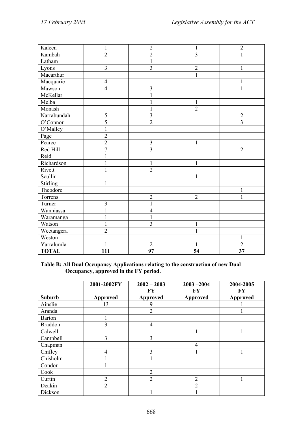| Kaleen          | $\mathbf{1}$            | $\overline{2}$          | $\mathbf 1$             | $\sqrt{2}$     |
|-----------------|-------------------------|-------------------------|-------------------------|----------------|
| Kambah          | $\overline{2}$          | $\overline{2}$          | $\overline{\mathbf{3}}$ | 1              |
| Latham          |                         | $\mathbf{1}$            |                         |                |
| Lyons           | $\overline{\mathbf{3}}$ | $\overline{\mathbf{3}}$ | $\overline{2}$          | 1              |
| Macarthur       |                         |                         | $\mathbf{1}$            |                |
| Macquarie       | $\overline{4}$          |                         |                         | 1              |
| Mawson          | $\overline{4}$          | $\overline{\mathbf{3}}$ |                         | $\mathbf{1}$   |
| McKellar        |                         | $\mathbf{1}$            |                         |                |
| Melba           |                         |                         | 1                       |                |
| Monash          |                         | 1                       | $\overline{2}$          |                |
| Narrabundah     | 5                       | $\overline{\mathbf{3}}$ |                         | $\overline{2}$ |
| O'Connor        | $\overline{5}$          | $\overline{2}$          |                         | $\overline{3}$ |
| O'Malley        | $\mathbf{1}$            |                         |                         |                |
| Page            | $\overline{c}$          |                         |                         |                |
| Pearce          | $\overline{2}$          | $\overline{3}$          | $\mathbf{1}$            |                |
| Red Hill        | $\overline{7}$          | $\overline{3}$          |                         | $\overline{2}$ |
| Reid            | $\mathbf{1}$            |                         |                         |                |
| Richardson      | $\mathbf 1$             | $\mathbf{1}$            | $\mathbf{1}$            |                |
| Rivett          | $\mathbf{1}$            | $\overline{2}$          |                         |                |
| Scullin         |                         |                         | $\mathbf 1$             |                |
| <b>Stirling</b> | $\,1$                   |                         |                         |                |
| Theodore        |                         |                         |                         | 1              |
| Torrens         |                         | $\overline{2}$          | $\overline{2}$          | 1              |
| Turner          | $\overline{3}$          | $\mathbf{1}$            |                         |                |
| Wanniassa       | $\mathbf{1}$            | $\overline{4}$          |                         |                |
| Waramanga       | $\mathbf 1$             | 1                       |                         |                |
| Watson          | $\mathbf{1}$            | $\overline{3}$          | $\mathbf{1}$            |                |
| Weetangera      | $\overline{2}$          |                         | $\mathbf{1}$            |                |
| Weston          |                         |                         |                         | $\mathbf{1}$   |
| Yarralumla      | $\mathbf 1$             | $\overline{2}$          | $\mathbf{1}$            | $\overline{2}$ |
| <b>TOTAL</b>    | 111                     | 97                      | 54                      | 37             |

#### **Table B: All Dual Occupancy Applications relating to the construction of new Dual Occupancy, approved in the FY period.**

|                | 2001-2002FY    | $2002 - 2003$<br><b>FY</b> | $2003 - 2004$<br><b>FY</b> | 2004-2005<br><b>FY</b> |
|----------------|----------------|----------------------------|----------------------------|------------------------|
| <b>Suburb</b>  | Approved       | Approved                   | Approved                   | Approved               |
| Ainslie        | 13             | 9                          |                            |                        |
| Aranda         |                | $\overline{2}$             |                            |                        |
| <b>Barton</b>  |                |                            |                            |                        |
| <b>Braddon</b> | 3              | $\overline{4}$             |                            |                        |
| Calwell        |                |                            |                            |                        |
| Campbell       | 3              | $\overline{3}$             |                            |                        |
| Chapman        |                |                            | 4                          |                        |
| Chifley        | $\overline{4}$ | 3                          |                            |                        |
| Chisholm       |                |                            |                            |                        |
| Condor         |                |                            |                            |                        |
| Cook           |                | $\overline{2}$             |                            |                        |
| Curtin         | $\overline{2}$ | $\overline{2}$             | $\overline{2}$             |                        |
| Deakin         | $\overline{2}$ |                            | $\overline{2}$             |                        |
| Dickson        |                |                            |                            |                        |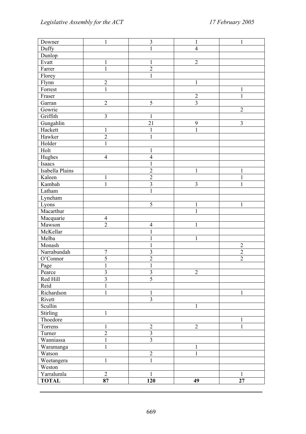| Downer          | $\mathbf{1}$                     | $\overline{3}$          | $\mathbf{1}$   | $\mathbf{1}$   |
|-----------------|----------------------------------|-------------------------|----------------|----------------|
| Duffy           |                                  | $\mathbf{1}$            | $\overline{4}$ |                |
| Dunlop          |                                  |                         |                |                |
| Evatt           | $\mathbf{1}$                     | $\mathbf{1}$            | $\overline{2}$ |                |
| Farrer          | $\mathbf{1}$                     | $\overline{2}$          |                |                |
| Florey          |                                  | $\mathbf{1}$            |                |                |
| Flynn           | $\overline{c}$                   |                         | $\mathbf{1}$   |                |
| Forrest         | $\mathbf{1}$                     |                         |                | 1              |
| Fraser          |                                  |                         | $\overline{2}$ | 1              |
| Garran          | $\overline{2}$                   | $\overline{5}$          | $\overline{3}$ |                |
| Gowrie          |                                  |                         |                | $\overline{2}$ |
| Griffith        | $\overline{\mathbf{3}}$          | $\mathbf{1}$            |                |                |
| Gungahlin       |                                  | 21                      | 9              | 3              |
| Hackett         | $\mathbf{1}$                     | $\mathbf{1}$            | $\mathbf{1}$   |                |
| Hawker          | $\overline{2}$                   | $\mathbf{1}$            |                |                |
| Holder          | $\mathbf{1}$                     |                         |                |                |
| Holt            |                                  | $\mathbf{1}$            |                |                |
| Hughes          | $\overline{4}$                   | $\overline{4}$          |                |                |
| Isaacs          |                                  | $\mathbf{1}$            |                |                |
| Isabella Plains |                                  | $\overline{2}$          | $\mathbf{1}$   | $\mathbf{1}$   |
| Kaleen          | 1                                | $\overline{2}$          |                | 1              |
| Kambah          | $\mathbf{1}$                     | $\overline{3}$          | $\overline{3}$ | 1              |
| Latham          |                                  | $\mathbf{1}$            |                |                |
| Lyneham         |                                  |                         |                |                |
|                 |                                  | 5                       | $\mathbf{1}$   |                |
| Lyons           |                                  |                         | $\mathbf{1}$   | $\mathbf{1}$   |
| Macarthur       |                                  |                         |                |                |
| Macquarie       | $\overline{4}$<br>$\overline{2}$ |                         |                |                |
| Mawson          |                                  | $\overline{4}$          | 1              |                |
| McKellar        |                                  |                         |                |                |
| Melba           |                                  | 1                       | 1              |                |
| Monash          |                                  | 1                       |                | $\overline{2}$ |
| Narrabundah     | $\boldsymbol{7}$                 | $\overline{\mathbf{3}}$ |                | $\sqrt{2}$     |
| O'Connor        | $\overline{5}$                   | $\overline{2}$          |                | $\overline{2}$ |
| Page            | 1                                | 1                       |                |                |
| Pearce          | $\mathfrak{Z}$                   | $\mathfrak{Z}$          | $\overline{2}$ |                |
| Red Hill        | $\overline{3}$                   | 5                       |                |                |
| Reid            | $\,1$                            |                         |                |                |
| Richardson      | $\mathbf{1}$                     | $\mathbf{1}$            |                | 1              |
| Rivett          |                                  | $\overline{3}$          |                |                |
| Scullin         |                                  |                         | $\mathbf{1}$   |                |
| Stirling        | $\mathbf 1$                      |                         |                |                |
| Thoedore        |                                  |                         |                | 1              |
| Torrens         | $\mathbf{1}$                     | $\mathbf{2}$            | $\overline{2}$ | 1              |
| Turner          | $\overline{2}$                   | $\overline{\mathbf{3}}$ |                |                |
| Wanniassa       | $\mathbf{1}$                     | $\overline{3}$          |                |                |
| Waramanga       | $\mathbf{1}$                     |                         | $\mathbf{1}$   |                |
| Watson          |                                  | $\overline{2}$          | $\mathbf{1}$   |                |
| Weetangera      | $\mathbf{1}$                     | $\mathbf{1}$            |                |                |
| Weston          |                                  |                         |                |                |
| Yarralumla      | $\overline{2}$                   | 1                       |                | 1              |
| <b>TOTAL</b>    | 87                               | 120                     | 49             | 27             |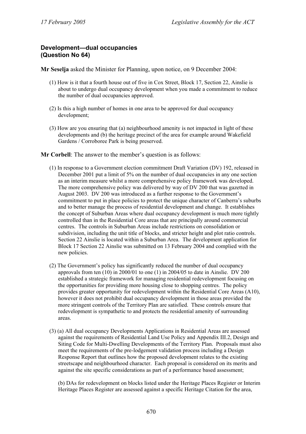## **Development—dual occupancies (Question No 64)**

**Mr Seselja** asked the Minister for Planning, upon notice, on 9 December 2004:

- (1) How is it that a fourth house out of five in Cox Street, Block 17, Section 22, Ainslie is about to undergo dual occupancy development when you made a commitment to reduce the number of dual occupancies approved.
- (2) Is this a high number of homes in one area to be approved for dual occupancy development;
- (3) How are you ensuring that (a) neighbourhood amenity is not impacted in light of these developments and (b) the heritage precinct of the area for example around Wakefield Gardens / Corroboree Park is being preserved.
- **Mr Corbell**: The answer to the member's question is as follows:
	- (1) In response to a Government election commitment Draft Variation (DV) 192, released in December 2001 put a limit of 5% on the number of dual occupancies in any one section as an interim measure whilst a more comprehensive policy framework was developed. The more comprehensive policy was delivered by way of DV 200 that was gazetted in August 2003. DV 200 was introduced as a further response to the Government's commitment to put in place policies to protect the unique character of Canberra's suburbs and to better manage the process of residential development and change. It establishes the concept of Suburban Areas where dual occupancy development is much more tightly controlled than in the Residential Core areas that are principally around commercial centres. The controls in Suburban Areas include restrictions on consolidation or subdivision, including the unit title of blocks, and stricter height and plot ratio controls. Section 22 Ainslie is located within a Suburban Area. The development application for Block 17 Section 22 Ainslie was submitted on 13 February 2004 and complied with the new policies.
	- (2) The Government's policy has significantly reduced the number of dual occupancy approvals from ten (10) in 2000/01 to one (1) in 2004/05 to date in Ainslie. DV 200 established a strategic framework for managing residential redevelopment focusing on the opportunities for providing more housing close to shopping centres. The policy provides greater opportunity for redevelopment within the Residential Core Areas (A10), however it does not prohibit dual occupancy development in those areas provided the more stringent controls of the Territory Plan are satisfied. These controls ensure that redevelopment is sympathetic to and protects the residential amenity of surrounding areas.
	- (3) (a) All dual occupancy Developments Applications in Residential Areas are assessed against the requirements of Residential Land Use Policy and Appendix III.2, Design and Siting Code for Multi-Dwelling Developments of the Territory Plan. Proposals must also meet the requirements of the pre-lodgement validation process including a Design Response Report that outlines how the proposed development relates to the existing streetscape and neighbourhood character. Each proposal is considered on its merits and against the site specific considerations as part of a performance based assessment;

(b) DAs for redevelopment on blocks listed under the Heritage Places Register or Interim Heritage Places Register are assessed against a specific Heritage Citation for the area,